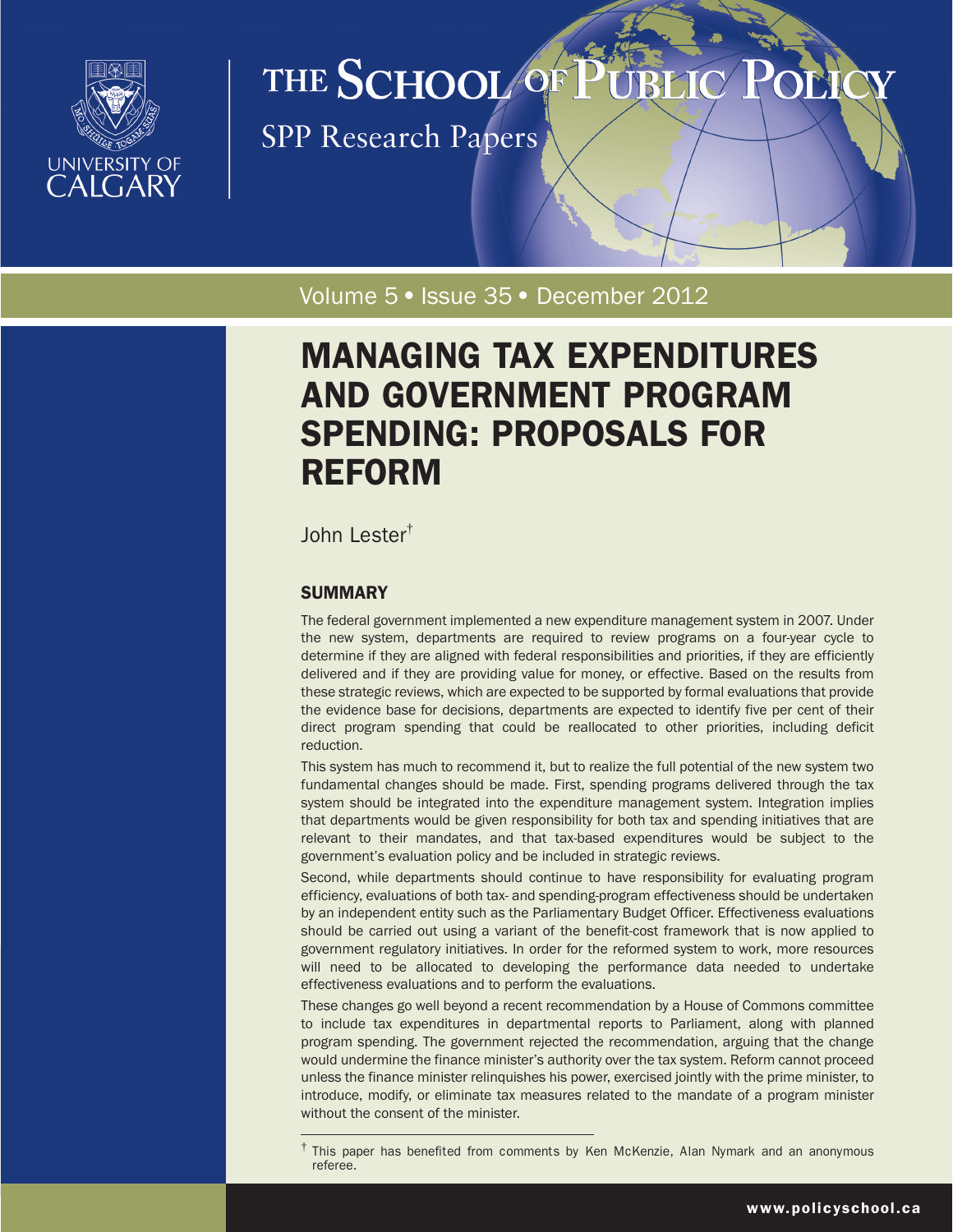

# THE SCHOOL OF

**SPP Research Papers** 

Volume 5 · Issue 35 · December 2012

# MANAGING TAX EXPENDITURES AND GOVERNMENT PROGRAM SPENDING: PROPOSALS FOR REFORM

John Lester†

# **SUMMARY**

The federal government implemented a new expenditure management system in 2007. Under the new system, departments are required to review programs on a four-year cycle to determine if they are aligned with federal responsibilities and priorities, if they are efficiently delivered and if they are providing value for money, or effective. Based on the results from these strategic reviews, which are expected to be supported by formal evaluations that provide the evidence base for decisions, departments are expected to identify five per cent of their direct program spending that could be reallocated to other priorities, including deficit reduction.

This system has much to recommend it, but to realize the full potential of the new system two fundamental changes should be made. First, spending programs delivered through the tax system should be integrated into the expenditure management system. Integration implies that departments would be given responsibility for both tax and spending initiatives that are relevant to their mandates, and that tax-based expenditures would be subject to the government's evaluation policy and be included in strategic reviews.

Second, while departments should continue to have responsibility for evaluating program efficiency, evaluations of both tax- and spending-program effectiveness should be undertaken by an independent entity such as the Parliamentary Budget Officer. Effectiveness evaluations should be carried out using a variant of the benefit-cost framework that is now applied to government regulatory initiatives. In order for the reformed system to work, more resources will need to be allocated to developing the performance data needed to undertake effectiveness evaluations and to perform the evaluations.

These changes go well beyond a recent recommendation by a House of Commons committee to include tax expenditures in departmental reports to Parliament, along with planned program spending. The government rejected the recommendation, arguing that the change would undermine the finance minister's authority over the tax system. Reform cannot proceed unless the finance minister relinquishes his power, exercised jointly with the prime minister, to introduce, modify, or eliminate tax measures related to the mandate of a program minister without the consent of the minister.

<sup>&</sup>lt;sup>†</sup> This paper has benefited from comments by Ken McKenzie, Alan Nymark and an anonymous referee.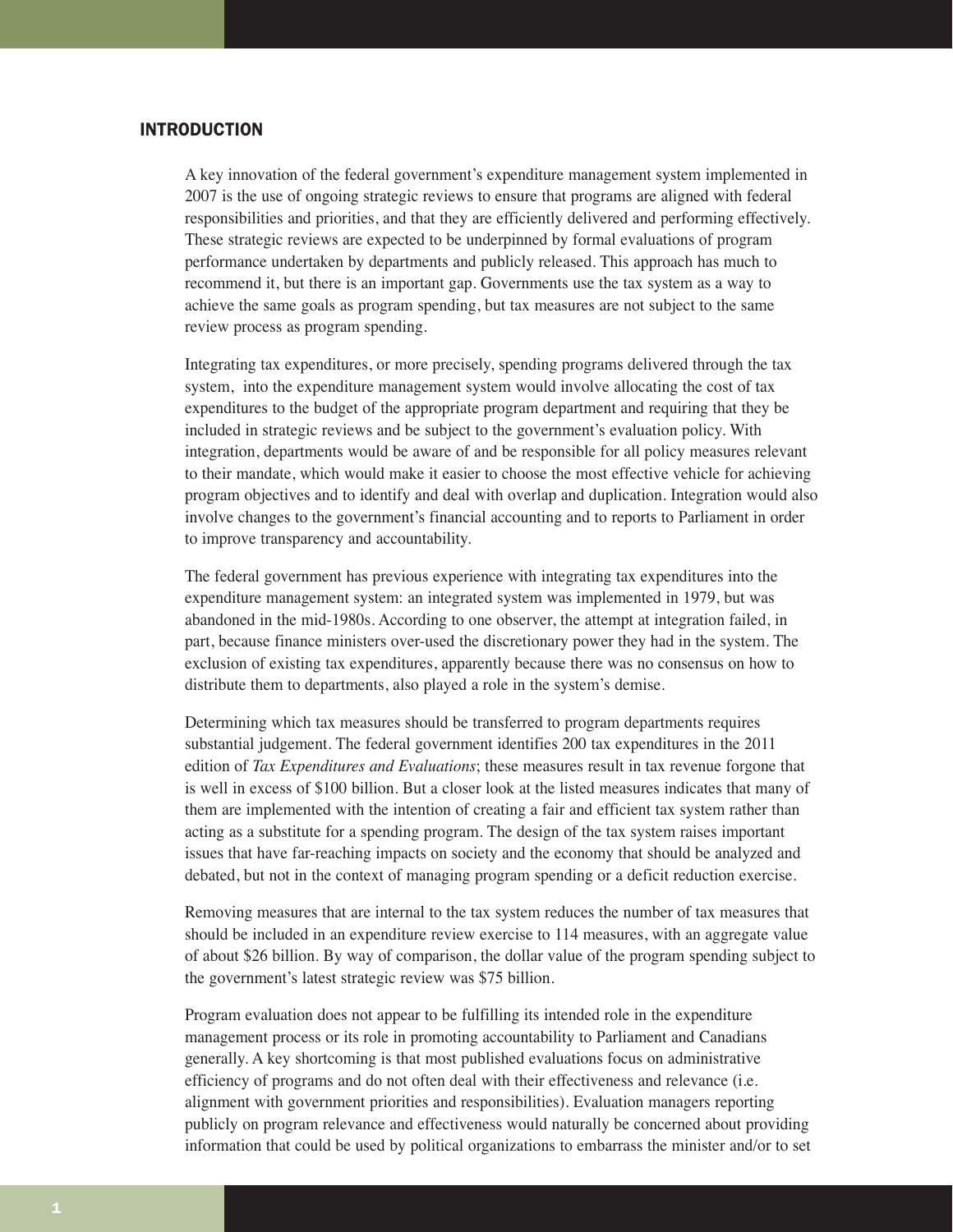# INTRODUCTION

A key innovation of the federal government's expenditure management system implemented in 2007 is the use of ongoing strategic reviews to ensure that programs are aligned with federal responsibilities and priorities, and that they are efficiently delivered and performing effectively. These strategic reviews are expected to be underpinned by formal evaluations of program performance undertaken by departments and publicly released. This approach has much to recommend it, but there is an important gap. Governments use the tax system as a way to achieve the same goals as program spending, but tax measures are not subject to the same review process as program spending.

Integrating tax expenditures, or more precisely, spending programs delivered through the tax system, into the expenditure management system would involve allocating the cost of tax expenditures to the budget of the appropriate program department and requiring that they be included in strategic reviews and be subject to the government's evaluation policy. With integration, departments would be aware of and be responsible for all policy measures relevant to their mandate, which would make it easier to choose the most effective vehicle for achieving program objectives and to identify and deal with overlap and duplication. Integration would also involve changes to the government's financial accounting and to reports to Parliament in order to improve transparency and accountability.

The federal government has previous experience with integrating tax expenditures into the expenditure management system: an integrated system was implemented in 1979, but was abandoned in the mid-1980s. According to one observer, the attempt at integration failed, in part, because finance ministers over-used the discretionary power they had in the system. The exclusion of existing tax expenditures, apparently because there was no consensus on how to distribute them to departments, also played a role in the system's demise.

Determining which tax measures should be transferred to program departments requires substantial judgement. The federal government identifies 200 tax expenditures in the 2011 edition of *Tax Expenditures and Evaluations*; these measures result in tax revenue forgone that is well in excess of \$100 billion. But a closer look at the listed measures indicates that many of them are implemented with the intention of creating a fair and efficient tax system rather than acting as a substitute for a spending program. The design of the tax system raises important issues that have far-reaching impacts on society and the economy that should be analyzed and debated, but not in the context of managing program spending or a deficit reduction exercise.

Removing measures that are internal to the tax system reduces the number of tax measures that should be included in an expenditure review exercise to 114 measures, with an aggregate value of about \$26 billion. By way of comparison, the dollar value of the program spending subject to the government's latest strategic review was \$75 billion.

Program evaluation does not appear to be fulfilling its intended role in the expenditure management process or its role in promoting accountability to Parliament and Canadians generally. A key shortcoming is that most published evaluations focus on administrative efficiency of programs and do not often deal with their effectiveness and relevance (i.e. alignment with government priorities and responsibilities). Evaluation managers reporting publicly on program relevance and effectiveness would naturally be concerned about providing information that could be used by political organizations to embarrass the minister and/or to set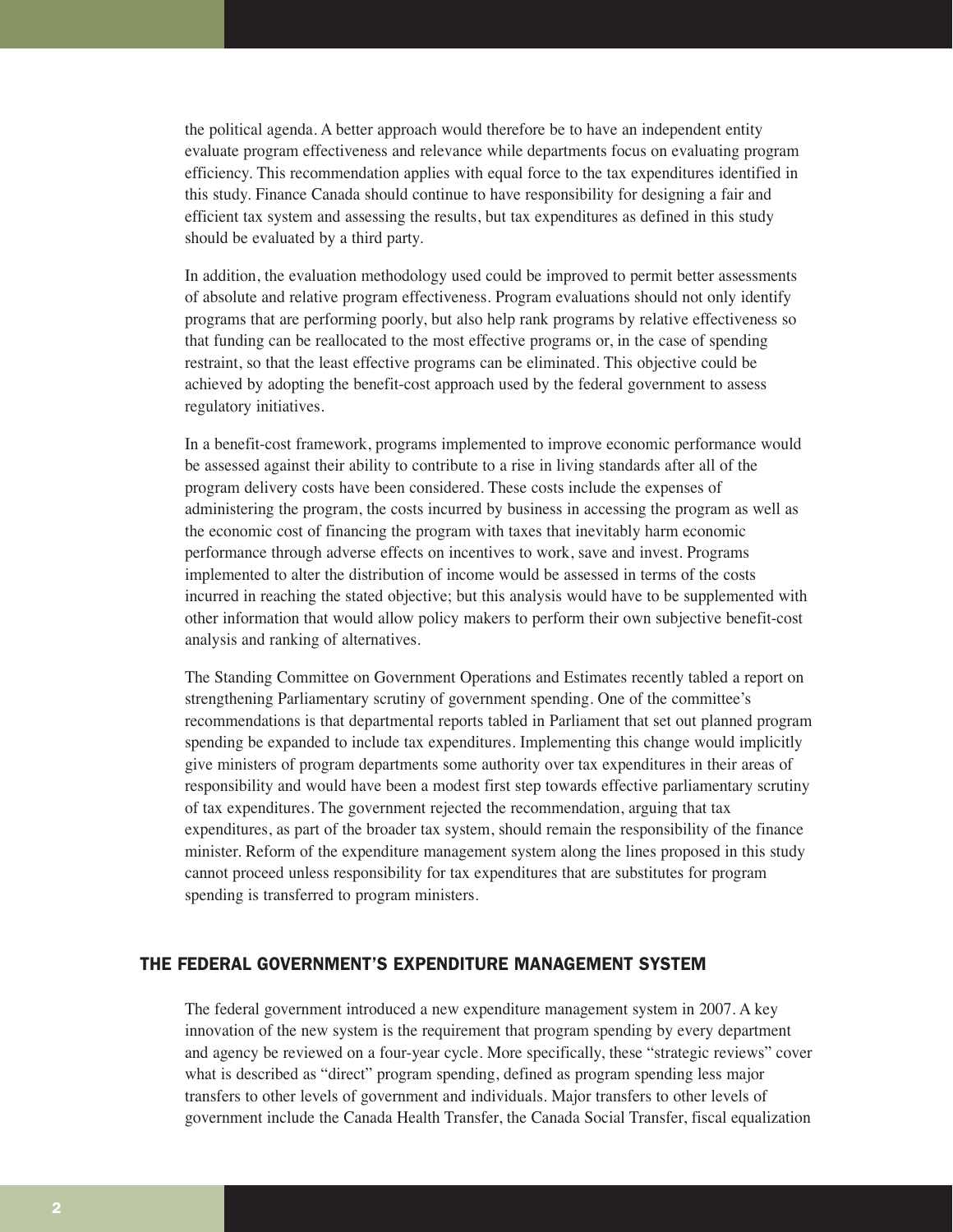the political agenda. A better approach would therefore be to have an independent entity evaluate program effectiveness and relevance while departments focus on evaluating program efficiency. This recommendation applies with equal force to the tax expenditures identified in this study. Finance Canada should continue to have responsibility for designing a fair and efficient tax system and assessing the results, but tax expenditures as defined in this study should be evaluated by a third party.

In addition, the evaluation methodology used could be improved to permit better assessments of absolute and relative program effectiveness. Program evaluations should not only identify programs that are performing poorly, but also help rank programs by relative effectiveness so that funding can be reallocated to the most effective programs or, in the case of spending restraint, so that the least effective programs can be eliminated. This objective could be achieved by adopting the benefit-cost approach used by the federal government to assess regulatory initiatives.

In a benefit-cost framework, programs implemented to improve economic performance would be assessed against their ability to contribute to a rise in living standards after all of the program delivery costs have been considered. These costs include the expenses of administering the program, the costs incurred by business in accessing the program as well as the economic cost of financing the program with taxes that inevitably harm economic performance through adverse effects on incentives to work, save and invest. Programs implemented to alter the distribution of income would be assessed in terms of the costs incurred in reaching the stated objective; but this analysis would have to be supplemented with other information that would allow policy makers to perform their own subjective benefit-cost analysis and ranking of alternatives.

The Standing Committee on Government Operations and Estimates recently tabled a report on strengthening Parliamentary scrutiny of government spending. One of the committee's recommendations is that departmental reports tabled in Parliament that set out planned program spending be expanded to include tax expenditures. Implementing this change would implicitly give ministers of program departments some authority over tax expenditures in their areas of responsibility and would have been a modest first step towards effective parliamentary scrutiny of tax expenditures. The government rejected the recommendation, arguing that tax expenditures, as part of the broader tax system, should remain the responsibility of the finance minister. Reform of the expenditure management system along the lines proposed in this study cannot proceed unless responsibility for tax expenditures that are substitutes for program spending is transferred to program ministers.

# THE FEDERAL GOVERNMENT'S EXPENDITURE MANAGEMENT SYSTEM

The federal government introduced a new expenditure management system in 2007. A key innovation of the new system is the requirement that program spending by every department and agency be reviewed on a four-year cycle. More specifically, these "strategic reviews" cover what is described as "direct" program spending, defined as program spending less major transfers to other levels of government and individuals. Major transfers to other levels of government include the Canada Health Transfer, the Canada Social Transfer, fiscal equalization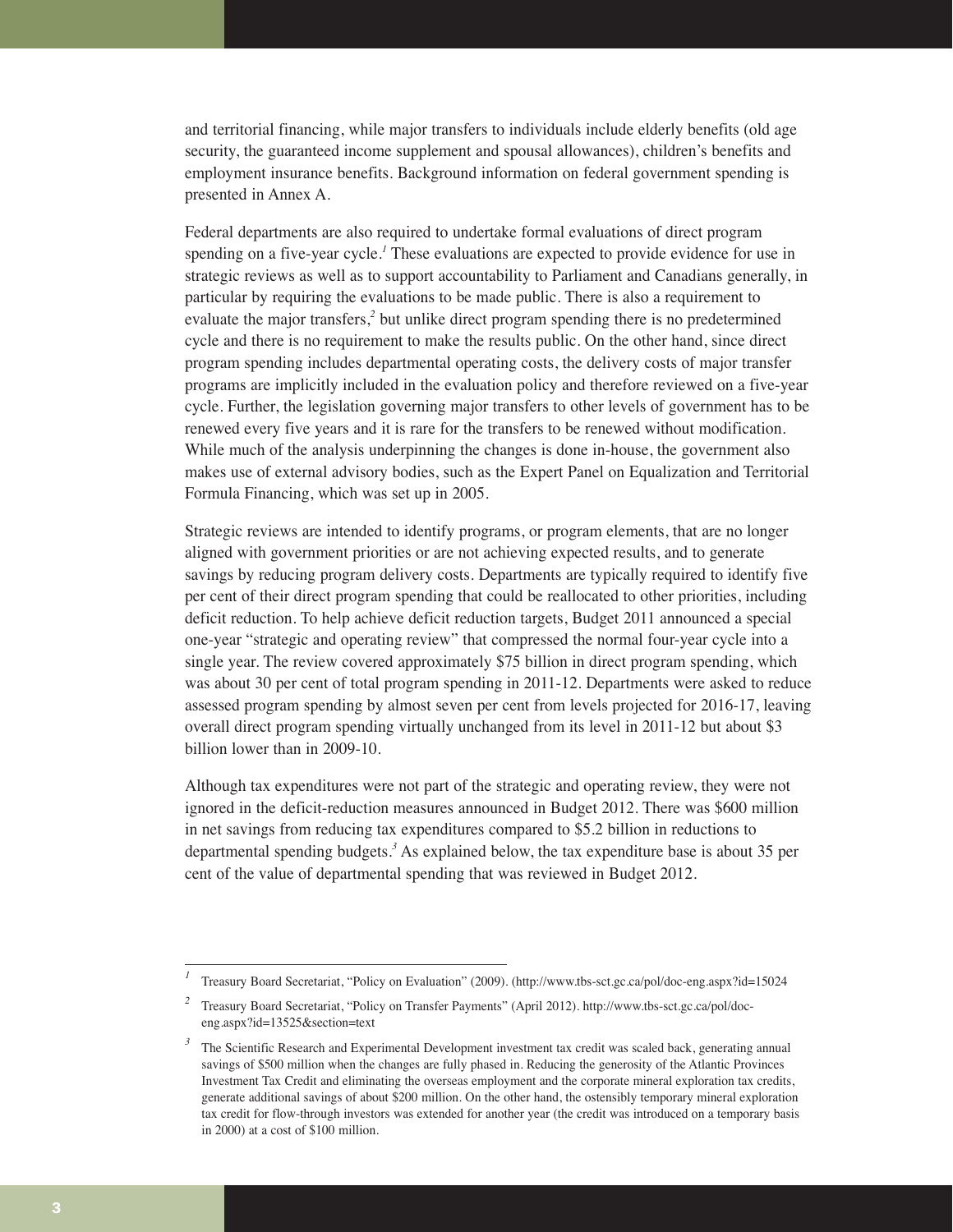and territorial financing, while major transfers to individuals include elderly benefits (old age security, the guaranteed income supplement and spousal allowances), children's benefits and employment insurance benefits. Background information on federal government spending is presented in Annex A.

Federal departments are also required to undertake formal evaluations of direct program spending on a five-year cycle.*<sup>1</sup>* These evaluations are expected to provide evidence for use in strategic reviews as well as to support accountability to Parliament and Canadians generally, in particular by requiring the evaluations to be made public. There is also a requirement to evaluate the major transfers,*<sup>2</sup>* but unlike direct program spending there is no predetermined cycle and there is no requirement to make the results public. On the other hand, since direct program spending includes departmental operating costs, the delivery costs of major transfer programs are implicitly included in the evaluation policy and therefore reviewed on a five-year cycle. Further, the legislation governing major transfers to other levels of government has to be renewed every five years and it is rare for the transfers to be renewed without modification. While much of the analysis underpinning the changes is done in-house, the government also makes use of external advisory bodies, such as the Expert Panel on Equalization and Territorial Formula Financing, which was set up in 2005.

Strategic reviews are intended to identify programs, or program elements, that are no longer aligned with government priorities or are not achieving expected results, and to generate savings by reducing program delivery costs. Departments are typically required to identify five per cent of their direct program spending that could be reallocated to other priorities, including deficit reduction. To help achieve deficit reduction targets, Budget 2011 announced a special one-year "strategic and operating review" that compressed the normal four-year cycle into a single year. The review covered approximately \$75 billion in direct program spending, which was about 30 per cent of total program spending in 2011-12. Departments were asked to reduce assessed program spending by almost seven per cent from levels projected for 2016-17, leaving overall direct program spending virtually unchanged from its level in 2011-12 but about \$3 billion lower than in 2009-10.

Although tax expenditures were not part of the strategic and operating review, they were not ignored in the deficit-reduction measures announced in Budget 2012. There was \$600 million in net savings from reducing tax expenditures compared to \$5.2 billion in reductions to departmental spending budgets.*<sup>3</sup>* As explained below, the tax expenditure base is about 35 per cent of the value of departmental spending that was reviewed in Budget 2012.

*<sup>1</sup>* Treasury Board Secretariat, "Policy on Evaluation" (2009). (http://www.tbs-sct.gc.ca/pol/doc-eng.aspx?id=15024

*<sup>2</sup>* Treasury Board Secretariat, "Policy on Transfer Payments" (April 2012). http://www.tbs-sct.gc.ca/pol/doceng.aspx?id=13525&section=text

<sup>&</sup>lt;sup>3</sup> The Scientific Research and Experimental Development investment tax credit was scaled back, generating annual savings of \$500 million when the changes are fully phased in. Reducing the generosity of the Atlantic Provinces Investment Tax Credit and eliminating the overseas employment and the corporate mineral exploration tax credits, generate additional savings of about \$200 million. On the other hand, the ostensibly temporary mineral exploration tax credit for flow-through investors was extended for another year (the credit was introduced on a temporary basis in 2000) at a cost of \$100 million.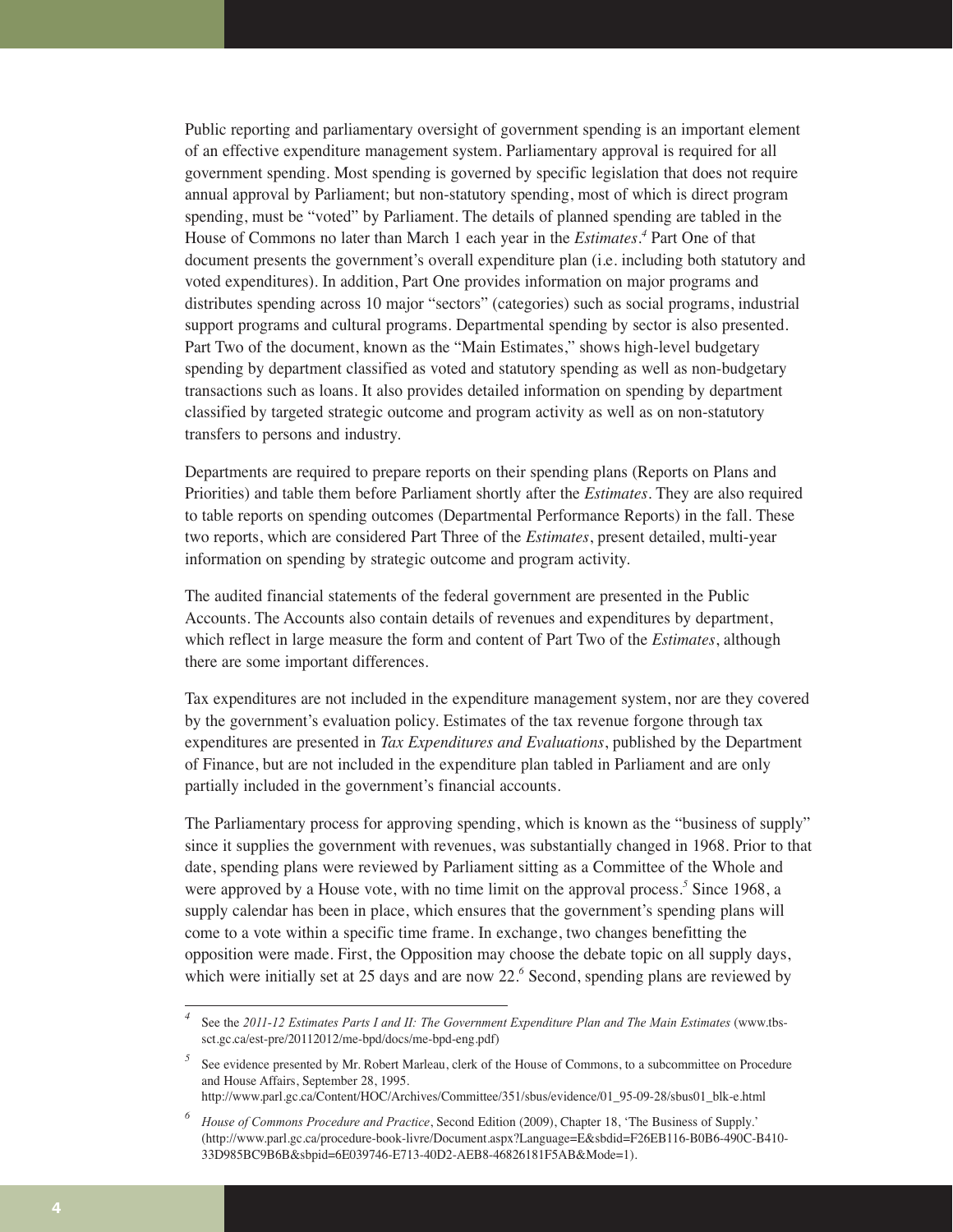Public reporting and parliamentary oversight of government spending is an important element of an effective expenditure management system. Parliamentary approval is required for all government spending. Most spending is governed by specific legislation that does not require annual approval by Parliament; but non-statutory spending, most of which is direct program spending, must be "voted" by Parliament. The details of planned spending are tabled in the House of Commons no later than March 1 each year in the *Estimates*.<sup>4</sup> Part One of that document presents the government's overall expenditure plan (i.e. including both statutory and voted expenditures). In addition, Part One provides information on major programs and distributes spending across 10 major "sectors" (categories) such as social programs, industrial support programs and cultural programs. Departmental spending by sector is also presented. Part Two of the document, known as the "Main Estimates," shows high-level budgetary spending by department classified as voted and statutory spending as well as non-budgetary transactions such as loans. It also provides detailed information on spending by department classified by targeted strategic outcome and program activity as well as on non-statutory transfers to persons and industry.

Departments are required to prepare reports on their spending plans (Reports on Plans and Priorities) and table them before Parliament shortly after the *Estimates*. They are also required to table reports on spending outcomes (Departmental Performance Reports) in the fall. These two reports, which are considered Part Three of the *Estimates*, present detailed, multi-year information on spending by strategic outcome and program activity.

The audited financial statements of the federal government are presented in the Public Accounts. The Accounts also contain details of revenues and expenditures by department, which reflect in large measure the form and content of Part Two of the *Estimates*, although there are some important differences.

Tax expenditures are not included in the expenditure management system, nor are they covered by the government's evaluation policy. Estimates of the tax revenue forgone through tax expenditures are presented in *Tax Expenditures and Evaluations*, published by the Department of Finance, but are not included in the expenditure plan tabled in Parliament and are only partially included in the government's financial accounts.

The Parliamentary process for approving spending, which is known as the "business of supply" since it supplies the government with revenues, was substantially changed in 1968. Prior to that date, spending plans were reviewed by Parliament sitting as a Committee of the Whole and were approved by a House vote, with no time limit on the approval process.*<sup>5</sup>* Since 1968, a supply calendar has been in place, which ensures that the government's spending plans will come to a vote within a specific time frame. In exchange, two changes benefitting the opposition were made. First, the Opposition may choose the debate topic on all supply days, which were initially set at 25 days and are now 22.<sup>6</sup> Second, spending plans are reviewed by

*<sup>4</sup>* See the *2011-12 Estimates Parts I and II: The Government Expenditure Plan and The Main Estimates* (www.tbssct.gc.ca/est-pre/20112012/me-bpd/docs/me-bpd-eng.pdf)

<sup>&</sup>lt;sup>5</sup> See evidence presented by Mr. Robert Marleau, clerk of the House of Commons, to a subcommittee on Procedure and House Affairs, September 28, 1995. http://www.parl.gc.ca/Content/HOC/Archives/Committee/351/sbus/evidence/01\_95-09-28/sbus01\_blk-e.html

*<sup>6</sup> House of Commons Procedure and Practice*, Second Edition (2009), Chapter 18, 'The Business of Supply.'

<sup>(</sup>http://www.parl.gc.ca/procedure-book-livre/Document.aspx?Language=E&sbdid=F26EB116-B0B6-490C-B410- 33D985BC9B6B&sbpid=6E039746-E713-40D2-AEB8-46826181F5AB&Mode=1).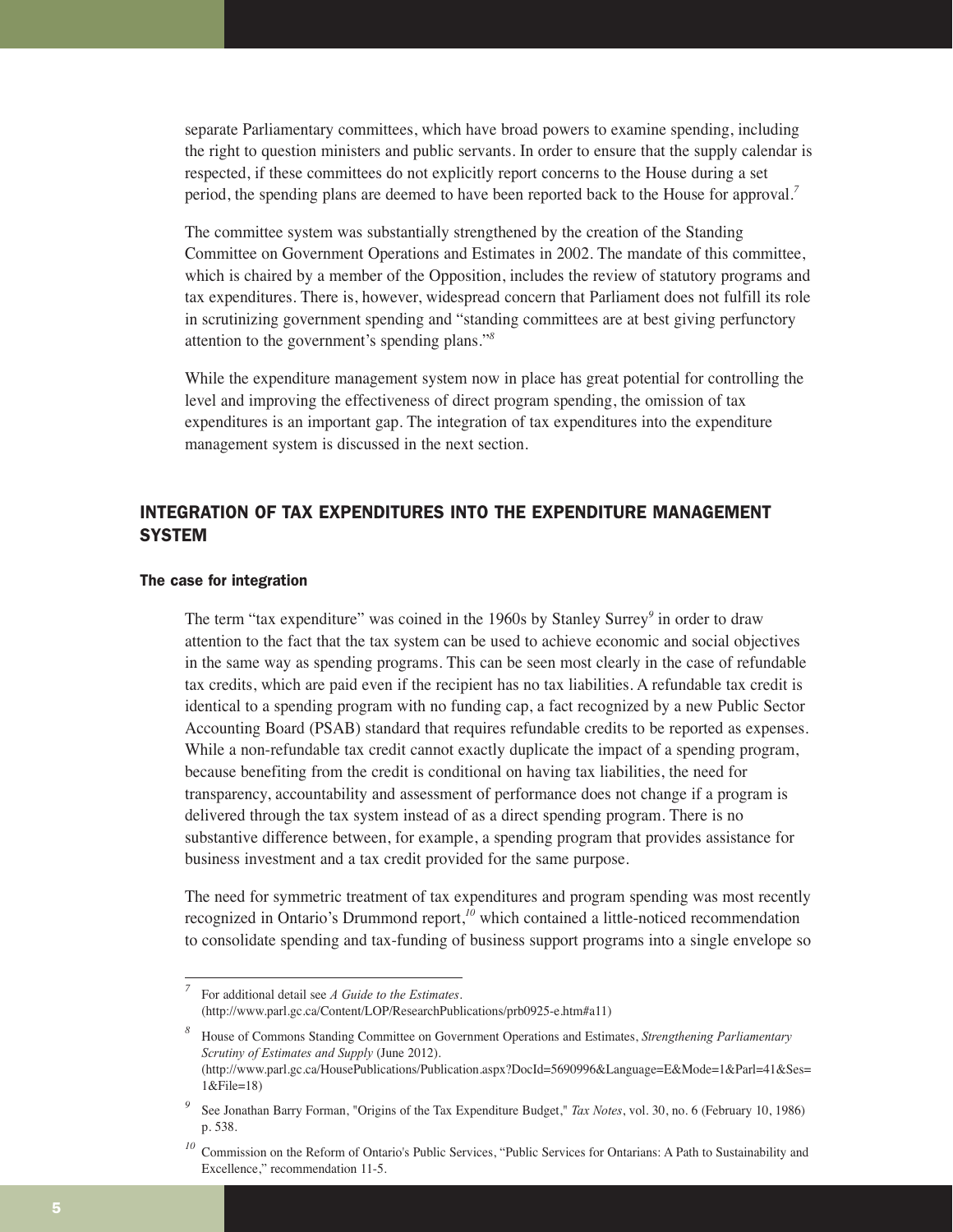separate Parliamentary committees, which have broad powers to examine spending, including the right to question ministers and public servants. In order to ensure that the supply calendar is respected, if these committees do not explicitly report concerns to the House during a set period, the spending plans are deemed to have been reported back to the House for approval.*<sup>7</sup>*

The committee system was substantially strengthened by the creation of the Standing Committee on Government Operations and Estimates in 2002. The mandate of this committee, which is chaired by a member of the Opposition, includes the review of statutory programs and tax expenditures. There is, however, widespread concern that Parliament does not fulfill its role in scrutinizing government spending and "standing committees are at best giving perfunctory attention to the government's spending plans."*<sup>8</sup>*

While the expenditure management system now in place has great potential for controlling the level and improving the effectiveness of direct program spending, the omission of tax expenditures is an important gap. The integration of tax expenditures into the expenditure management system is discussed in the next section.

# INTEGRATION OF TAX EXPENDITURES INTO THE EXPENDITURE MANAGEMENT **SYSTEM**

# The case for integration

The term "tax expenditure" was coined in the 1960s by Stanley Surrey*<sup>9</sup>* in order to draw attention to the fact that the tax system can be used to achieve economic and social objectives in the same way as spending programs. This can be seen most clearly in the case of refundable tax credits, which are paid even if the recipient has no tax liabilities. A refundable tax credit is identical to a spending program with no funding cap, a fact recognized by a new Public Sector Accounting Board (PSAB) standard that requires refundable credits to be reported as expenses. While a non-refundable tax credit cannot exactly duplicate the impact of a spending program, because benefiting from the credit is conditional on having tax liabilities, the need for transparency, accountability and assessment of performance does not change if a program is delivered through the tax system instead of as a direct spending program. There is no substantive difference between, for example, a spending program that provides assistance for business investment and a tax credit provided for the same purpose.

The need for symmetric treatment of tax expenditures and program spending was most recently recognized in Ontario's Drummond report,*<sup>10</sup>* which contained a little-noticed recommendation to consolidate spending and tax-funding of business support programs into a single envelope so

*<sup>7</sup>* For additional detail see *A Guide to the Estimates*. (http://www.parl.gc.ca/Content/LOP/ResearchPublications/prb0925-e.htm#a11)

*<sup>8</sup>* House of Commons Standing Committee on Government Operations and Estimates, *Strengthening Parliamentary Scrutiny of Estimates and Supply* (June 2012). (http://www.parl.gc.ca/HousePublications/Publication.aspx?DocId=5690996&Language=E&Mode=1&Parl=41&Ses= 1&File=18)

*<sup>9</sup>* See Jonathan Barry Forman, "Origins of the Tax Expenditure Budget," *Tax Notes*, vol. 30, no. 6 (February 10, 1986) p. 538.

*<sup>10</sup>* Commission on the Reform of Ontario's Public Services, "Public Services for Ontarians: A Path to Sustainability and Excellence," recommendation 11-5.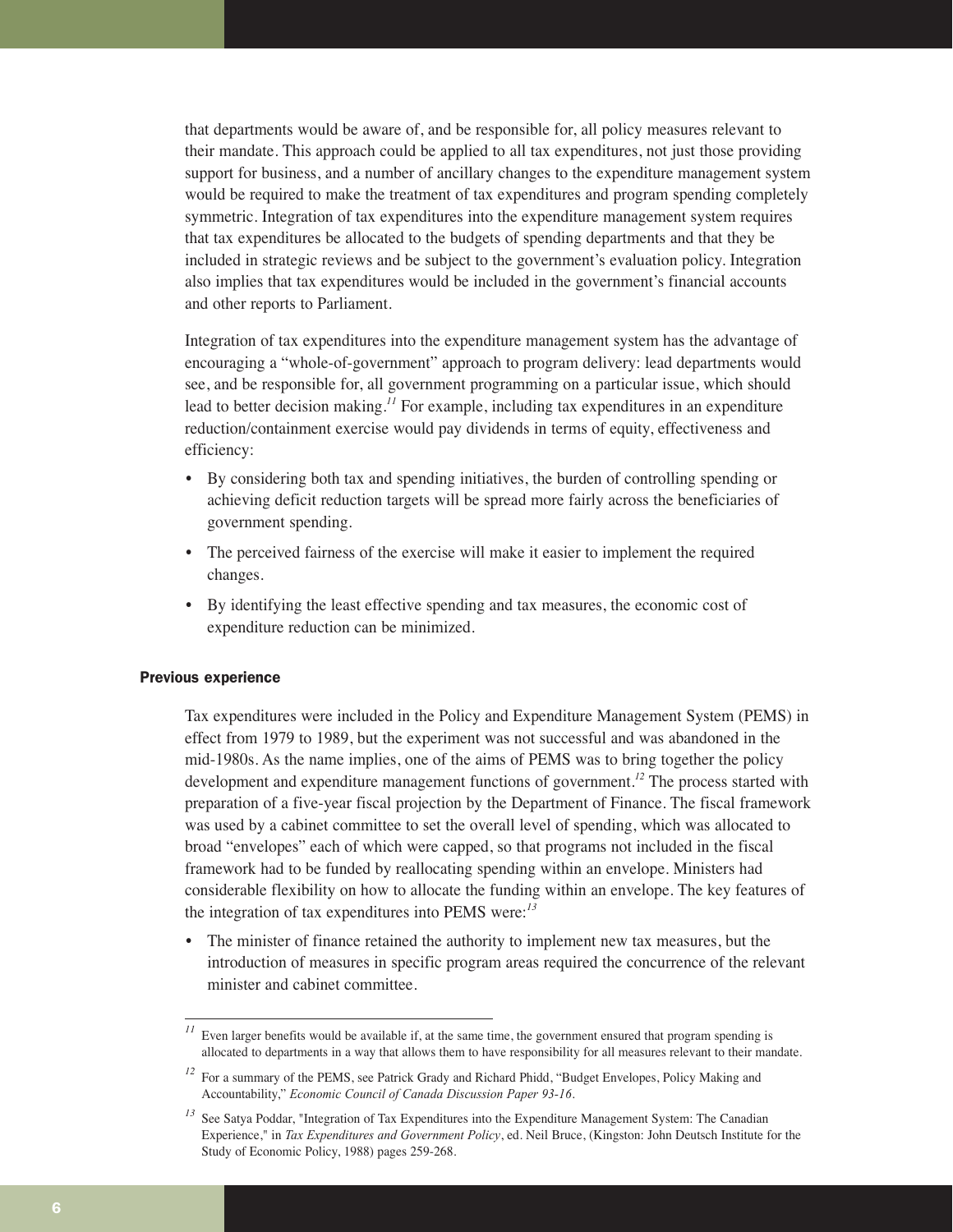that departments would be aware of, and be responsible for, all policy measures relevant to their mandate. This approach could be applied to all tax expenditures, not just those providing support for business, and a number of ancillary changes to the expenditure management system would be required to make the treatment of tax expenditures and program spending completely symmetric. Integration of tax expenditures into the expenditure management system requires that tax expenditures be allocated to the budgets of spending departments and that they be included in strategic reviews and be subject to the government's evaluation policy. Integration also implies that tax expenditures would be included in the government's financial accounts and other reports to Parliament.

Integration of tax expenditures into the expenditure management system has the advantage of encouraging a "whole-of-government" approach to program delivery: lead departments would see, and be responsible for, all government programming on a particular issue, which should lead to better decision making.<sup>11</sup> For example, including tax expenditures in an expenditure reduction/containment exercise would pay dividends in terms of equity, effectiveness and efficiency:

- By considering both tax and spending initiatives, the burden of controlling spending or achieving deficit reduction targets will be spread more fairly across the beneficiaries of government spending.
- The perceived fairness of the exercise will make it easier to implement the required changes.
- By identifying the least effective spending and tax measures, the economic cost of expenditure reduction can be minimized.

# Previous experience

Tax expenditures were included in the Policy and Expenditure Management System (PEMS) in effect from 1979 to 1989, but the experiment was not successful and was abandoned in the mid-1980s. As the name implies, one of the aims of PEMS was to bring together the policy development and expenditure management functions of government.*<sup>12</sup>* The process started with preparation of a five-year fiscal projection by the Department of Finance. The fiscal framework was used by a cabinet committee to set the overall level of spending, which was allocated to broad "envelopes" each of which were capped, so that programs not included in the fiscal framework had to be funded by reallocating spending within an envelope. Ministers had considerable flexibility on how to allocate the funding within an envelope. The key features of the integration of tax expenditures into PEMS were:*<sup>13</sup>*

The minister of finance retained the authority to implement new tax measures, but the introduction of measures in specific program areas required the concurrence of the relevant minister and cabinet committee.

Even larger benefits would be available if, at the same time, the government ensured that program spending is allocated to departments in a way that allows them to have responsibility for all measures relevant to their mandate.

<sup>&</sup>lt;sup>12</sup> For a summary of the PEMS, see Patrick Grady and Richard Phidd, "Budget Envelopes, Policy Making and Accountability," *Economic Council of Canada Discussion Paper 93-16*.

<sup>&</sup>lt;sup>13</sup> See Satya Poddar, "Integration of Tax Expenditures into the Expenditure Management System: The Canadian Experience," in *Tax Expenditures and Government Policy*, ed. Neil Bruce, (Kingston: John Deutsch Institute for the Study of Economic Policy, 1988) pages 259-268.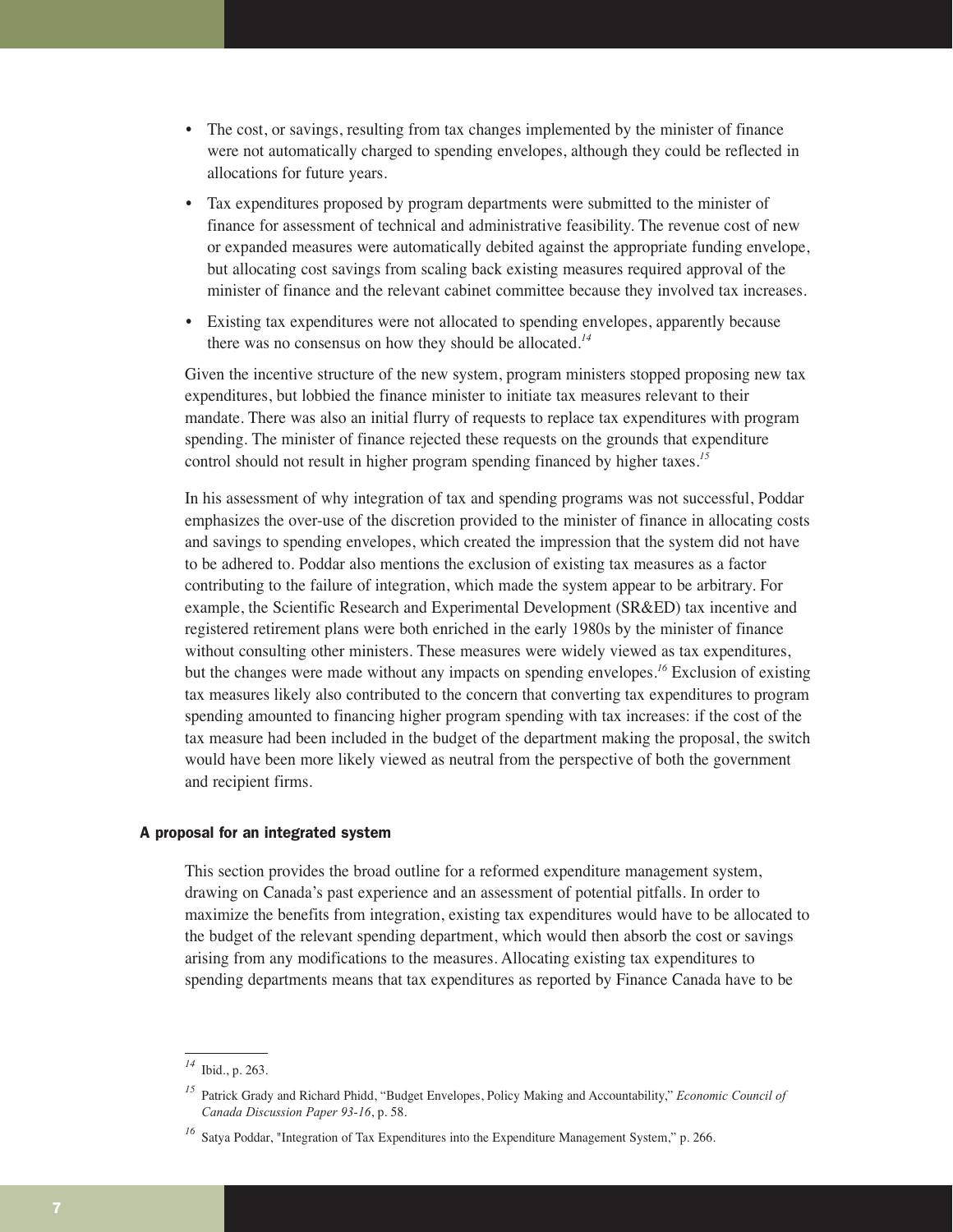- The cost, or savings, resulting from tax changes implemented by the minister of finance were not automatically charged to spending envelopes, although they could be reflected in allocations for future years.
- Tax expenditures proposed by program departments were submitted to the minister of finance for assessment of technical and administrative feasibility. The revenue cost of new or expanded measures were automatically debited against the appropriate funding envelope, but allocating cost savings from scaling back existing measures required approval of the minister of finance and the relevant cabinet committee because they involved tax increases.
- Existing tax expenditures were not allocated to spending envelopes, apparently because there was no consensus on how they should be allocated.*<sup>14</sup>*

Given the incentive structure of the new system, program ministers stopped proposing new tax expenditures, but lobbied the finance minister to initiate tax measures relevant to their mandate. There was also an initial flurry of requests to replace tax expenditures with program spending. The minister of finance rejected these requests on the grounds that expenditure control should not result in higher program spending financed by higher taxes.*<sup>15</sup>*

In his assessment of why integration of tax and spending programs was not successful, Poddar emphasizes the over-use of the discretion provided to the minister of finance in allocating costs and savings to spending envelopes, which created the impression that the system did not have to be adhered to. Poddar also mentions the exclusion of existing tax measures as a factor contributing to the failure of integration, which made the system appear to be arbitrary. For example, the Scientific Research and Experimental Development (SR&ED) tax incentive and registered retirement plans were both enriched in the early 1980s by the minister of finance without consulting other ministers. These measures were widely viewed as tax expenditures, but the changes were made without any impacts on spending envelopes.*<sup>16</sup>* Exclusion of existing tax measures likely also contributed to the concern that converting tax expenditures to program spending amounted to financing higher program spending with tax increases: if the cost of the tax measure had been included in the budget of the department making the proposal, the switch would have been more likely viewed as neutral from the perspective of both the government and recipient firms.

# A proposal for an integrated system

This section provides the broad outline for a reformed expenditure management system, drawing on Canada's past experience and an assessment of potential pitfalls. In order to maximize the benefits from integration, existing tax expenditures would have to be allocated to the budget of the relevant spending department, which would then absorb the cost or savings arising from any modifications to the measures. Allocating existing tax expenditures to spending departments means that tax expenditures as reported by Finance Canada have to be

*<sup>14</sup>* Ibid., p. 263.

*<sup>15</sup>* Patrick Grady and Richard Phidd, "Budget Envelopes, Policy Making and Accountability," *Economic Council of Canada Discussion Paper 93-16*, p. 58.

Satya Poddar, "Integration of Tax Expenditures into the Expenditure Management System," p. 266.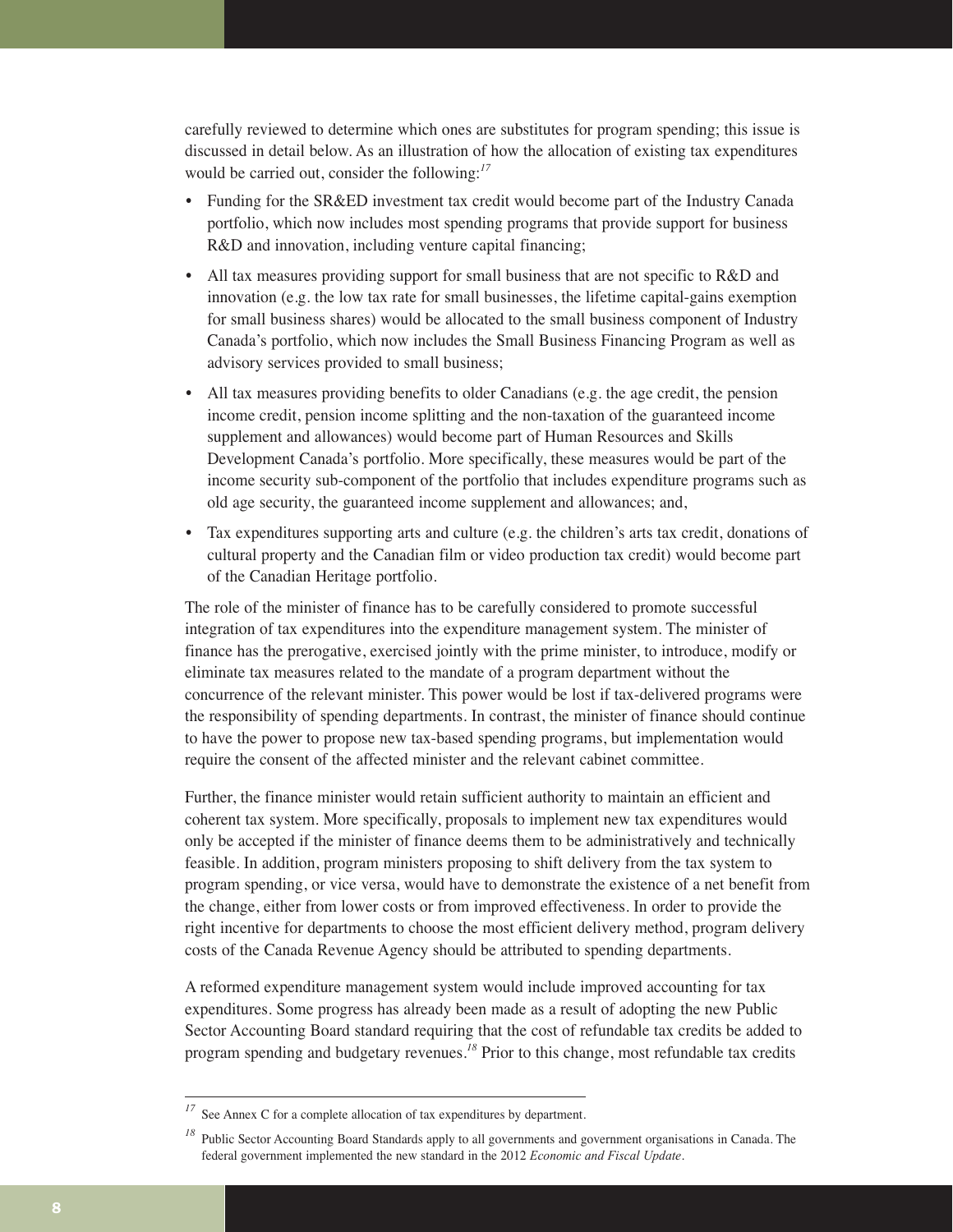carefully reviewed to determine which ones are substitutes for program spending; this issue is discussed in detail below. As an illustration of how the allocation of existing tax expenditures would be carried out, consider the following:*<sup>17</sup>*

- Funding for the SR&ED investment tax credit would become part of the Industry Canada portfolio, which now includes most spending programs that provide support for business R&D and innovation, including venture capital financing;
- All tax measures providing support for small business that are not specific to R&D and innovation (e.g. the low tax rate for small businesses, the lifetime capital-gains exemption for small business shares) would be allocated to the small business component of Industry Canada's portfolio, which now includes the Small Business Financing Program as well as advisory services provided to small business;
- All tax measures providing benefits to older Canadians (e.g. the age credit, the pension income credit, pension income splitting and the non-taxation of the guaranteed income supplement and allowances) would become part of Human Resources and Skills Development Canada's portfolio. More specifically, these measures would be part of the income security sub-component of the portfolio that includes expenditure programs such as old age security, the guaranteed income supplement and allowances; and,
- Tax expenditures supporting arts and culture (e.g. the children's arts tax credit, donations of cultural property and the Canadian film or video production tax credit) would become part of the Canadian Heritage portfolio.

The role of the minister of finance has to be carefully considered to promote successful integration of tax expenditures into the expenditure management system. The minister of finance has the prerogative, exercised jointly with the prime minister, to introduce, modify or eliminate tax measures related to the mandate of a program department without the concurrence of the relevant minister. This power would be lost if tax-delivered programs were the responsibility of spending departments. In contrast, the minister of finance should continue to have the power to propose new tax-based spending programs, but implementation would require the consent of the affected minister and the relevant cabinet committee.

Further, the finance minister would retain sufficient authority to maintain an efficient and coherent tax system. More specifically, proposals to implement new tax expenditures would only be accepted if the minister of finance deems them to be administratively and technically feasible. In addition, program ministers proposing to shift delivery from the tax system to program spending, or vice versa, would have to demonstrate the existence of a net benefit from the change, either from lower costs or from improved effectiveness. In order to provide the right incentive for departments to choose the most efficient delivery method, program delivery costs of the Canada Revenue Agency should be attributed to spending departments.

A reformed expenditure management system would include improved accounting for tax expenditures. Some progress has already been made as a result of adopting the new Public Sector Accounting Board standard requiring that the cost of refundable tax credits be added to program spending and budgetary revenues.*<sup>18</sup>* Prior to this change, most refundable tax credits

See Annex C for a complete allocation of tax expenditures by department.

<sup>&</sup>lt;sup>18</sup> Public Sector Accounting Board Standards apply to all governments and government organisations in Canada. The federal government implemented the new standard in the 2012 *Economic and Fiscal Update*.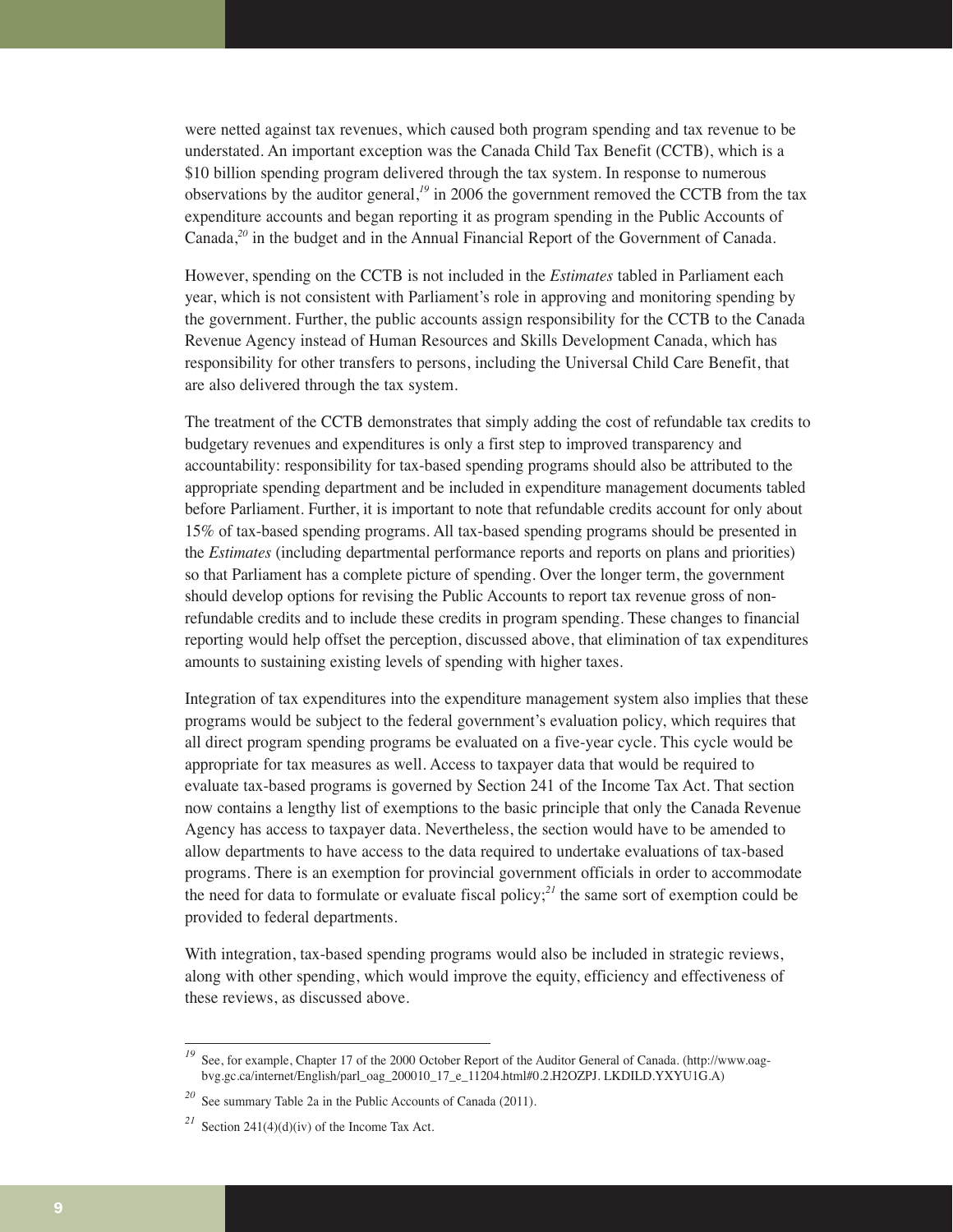were netted against tax revenues, which caused both program spending and tax revenue to be understated. An important exception was the Canada Child Tax Benefit (CCTB), which is a \$10 billion spending program delivered through the tax system. In response to numerous observations by the auditor general,*<sup>19</sup>* in 2006 the government removed the CCTB from the tax expenditure accounts and began reporting it as program spending in the Public Accounts of Canada,*<sup>20</sup>* in the budget and in the Annual Financial Report of the Government of Canada.

However, spending on the CCTB is not included in the *Estimates* tabled in Parliament each year, which is not consistent with Parliament's role in approving and monitoring spending by the government. Further, the public accounts assign responsibility for the CCTB to the Canada Revenue Agency instead of Human Resources and Skills Development Canada, which has responsibility for other transfers to persons, including the Universal Child Care Benefit, that are also delivered through the tax system.

The treatment of the CCTB demonstrates that simply adding the cost of refundable tax credits to budgetary revenues and expenditures is only a first step to improved transparency and accountability: responsibility for tax-based spending programs should also be attributed to the appropriate spending department and be included in expenditure management documents tabled before Parliament. Further, it is important to note that refundable credits account for only about 15% of tax-based spending programs. All tax-based spending programs should be presented in the *Estimates* (including departmental performance reports and reports on plans and priorities) so that Parliament has a complete picture of spending. Over the longer term, the government should develop options for revising the Public Accounts to report tax revenue gross of nonrefundable credits and to include these credits in program spending. These changes to financial reporting would help offset the perception, discussed above, that elimination of tax expenditures amounts to sustaining existing levels of spending with higher taxes.

Integration of tax expenditures into the expenditure management system also implies that these programs would be subject to the federal government's evaluation policy, which requires that all direct program spending programs be evaluated on a five-year cycle. This cycle would be appropriate for tax measures as well. Access to taxpayer data that would be required to evaluate tax-based programs is governed by Section 241 of the Income Tax Act. That section now contains a lengthy list of exemptions to the basic principle that only the Canada Revenue Agency has access to taxpayer data. Nevertheless, the section would have to be amended to allow departments to have access to the data required to undertake evaluations of tax-based programs. There is an exemption for provincial government officials in order to accommodate the need for data to formulate or evaluate fiscal policy;*<sup>21</sup>* the same sort of exemption could be provided to federal departments.

With integration, tax-based spending programs would also be included in strategic reviews, along with other spending, which would improve the equity, efficiency and effectiveness of these reviews, as discussed above.

<sup>&</sup>lt;sup>19</sup> See, for example, Chapter 17 of the 2000 October Report of the Auditor General of Canada. (http://www.oagbvg.gc.ca/internet/English/parl\_oag\_200010\_17\_e\_11204.html#0.2.H2OZPJ. LKDILD.YXYU1G.A)

*<sup>20</sup>* See summary Table 2a in the Public Accounts of Canada (2011).

<sup>&</sup>lt;sup>21</sup> Section 241(4)(d)(iv) of the Income Tax Act.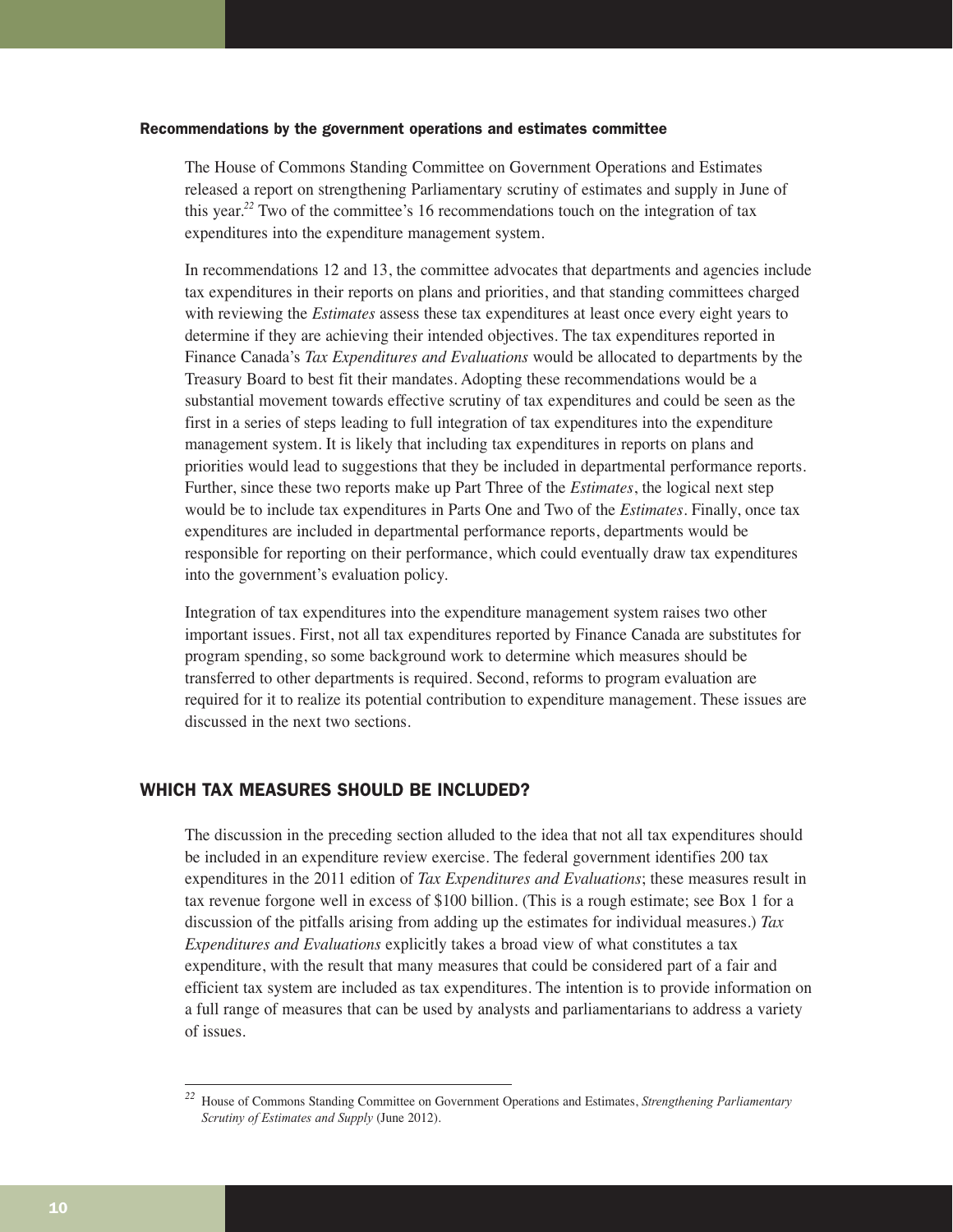#### Recommendations by the government operations and estimates committee

The House of Commons Standing Committee on Government Operations and Estimates released a report on strengthening Parliamentary scrutiny of estimates and supply in June of this year.*<sup>22</sup>* Two of the committee's 16 recommendations touch on the integration of tax expenditures into the expenditure management system.

In recommendations 12 and 13, the committee advocates that departments and agencies include tax expenditures in their reports on plans and priorities, and that standing committees charged with reviewing the *Estimates* assess these tax expenditures at least once every eight years to determine if they are achieving their intended objectives. The tax expenditures reported in Finance Canada's *Tax Expenditures and Evaluations* would be allocated to departments by the Treasury Board to best fit their mandates. Adopting these recommendations would be a substantial movement towards effective scrutiny of tax expenditures and could be seen as the first in a series of steps leading to full integration of tax expenditures into the expenditure management system. It is likely that including tax expenditures in reports on plans and priorities would lead to suggestions that they be included in departmental performance reports. Further, since these two reports make up Part Three of the *Estimates*, the logical next step would be to include tax expenditures in Parts One and Two of the *Estimates*. Finally, once tax expenditures are included in departmental performance reports, departments would be responsible for reporting on their performance, which could eventually draw tax expenditures into the government's evaluation policy.

Integration of tax expenditures into the expenditure management system raises two other important issues. First, not all tax expenditures reported by Finance Canada are substitutes for program spending, so some background work to determine which measures should be transferred to other departments is required. Second, reforms to program evaluation are required for it to realize its potential contribution to expenditure management. These issues are discussed in the next two sections.

# WHICH TAX MEASURES SHOULD BE INCLUDED?

The discussion in the preceding section alluded to the idea that not all tax expenditures should be included in an expenditure review exercise. The federal government identifies 200 tax expenditures in the 2011 edition of *Tax Expenditures and Evaluations*; these measures result in tax revenue forgone well in excess of \$100 billion. (This is a rough estimate; see Box 1 for a discussion of the pitfalls arising from adding up the estimates for individual measures.) *Tax Expenditures and Evaluations* explicitly takes a broad view of what constitutes a tax expenditure, with the result that many measures that could be considered part of a fair and efficient tax system are included as tax expenditures. The intention is to provide information on a full range of measures that can be used by analysts and parliamentarians to address a variety of issues.

*<sup>22</sup>* House of Commons Standing Committee on Government Operations and Estimates, *Strengthening Parliamentary Scrutiny of Estimates and Supply* (June 2012).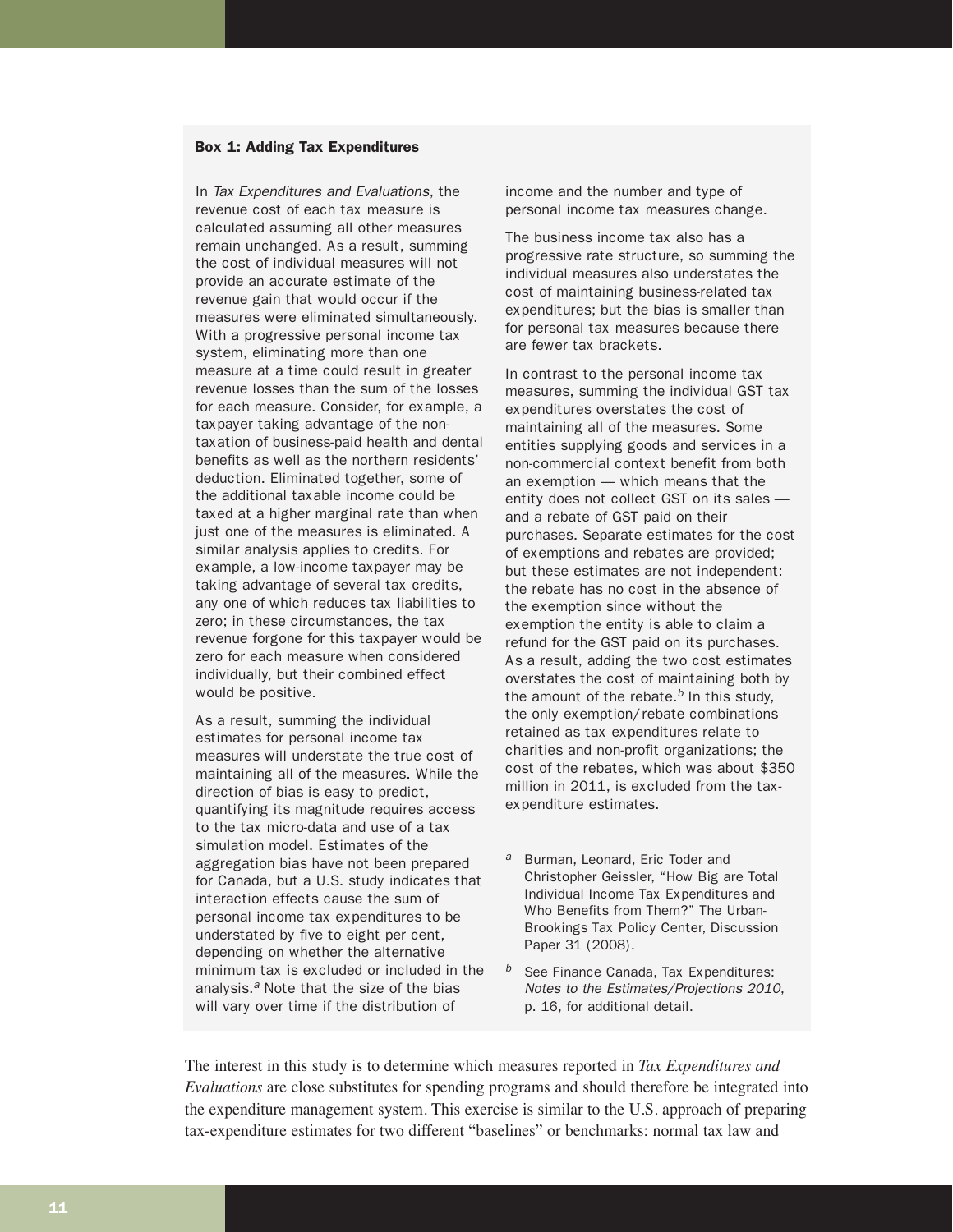#### Box 1: Adding Tax Expenditures

In Tax Expenditures and Evaluations, the revenue cost of each tax measure is calculated assuming all other measures remain unchanged. As a result, summing the cost of individual measures will not provide an accurate estimate of the revenue gain that would occur if the measures were eliminated simultaneously. With a progressive personal income tax system, eliminating more than one measure at a time could result in greater revenue losses than the sum of the losses for each measure. Consider, for example, a taxpayer taking advantage of the nontaxation of business-paid health and dental benefits as well as the northern residents' deduction. Eliminated together, some of the additional taxable income could be taxed at a higher marginal rate than when just one of the measures is eliminated. A similar analysis applies to credits. For example, a low-income taxpayer may be taking advantage of several tax credits, any one of which reduces tax liabilities to zero; in these circumstances, the tax revenue forgone for this taxpayer would be zero for each measure when considered individually, but their combined effect would be positive.

As a result, summing the individual estimates for personal income tax measures will understate the true cost of maintaining all of the measures. While the direction of bias is easy to predict, quantifying its magnitude requires access to the tax micro-data and use of a tax simulation model. Estimates of the aggregation bias have not been prepared for Canada, but a U.S. study indicates that interaction effects cause the sum of personal income tax expenditures to be understated by five to eight per cent, depending on whether the alternative minimum tax is excluded or included in the analysis.<sup> $a$ </sup> Note that the size of the bias will vary over time if the distribution of

income and the number and type of personal income tax measures change.

The business income tax also has a progressive rate structure, so summing the individual measures also understates the cost of maintaining business-related tax expenditures; but the bias is smaller than for personal tax measures because there are fewer tax brackets.

In contrast to the personal income tax measures, summing the individual GST tax expenditures overstates the cost of maintaining all of the measures. Some entities supplying goods and services in a non-commercial context benefit from both an exemption — which means that the entity does not collect GST on its sales and a rebate of GST paid on their purchases. Separate estimates for the cost of exemptions and rebates are provided; but these estimates are not independent: the rebate has no cost in the absence of the exemption since without the exemption the entity is able to claim a refund for the GST paid on its purchases. As a result, adding the two cost estimates overstates the cost of maintaining both by the amount of the rebate. $<sup>b</sup>$  In this study,</sup> the only exemption/rebate combinations retained as tax expenditures relate to charities and non-profit organizations; the cost of the rebates, which was about \$350 million in 2011, is excluded from the taxexpenditure estimates.

- a Burman, Leonard, Eric Toder and Christopher Geissler, "How Big are Total Individual Income Tax Expenditures and Who Benefits from Them?" The Urban-Brookings Tax Policy Center, Discussion Paper 31 (2008).
- $b$  See Finance Canada, Tax Expenditures: Notes to the Estimates/Projections 2010, p. 16, for additional detail.

The interest in this study is to determine which measures reported in *Tax Expenditures and Evaluations* are close substitutes for spending programs and should therefore be integrated into the expenditure management system. This exercise is similar to the U.S. approach of preparing tax-expenditure estimates for two different "baselines" or benchmarks: normal tax law and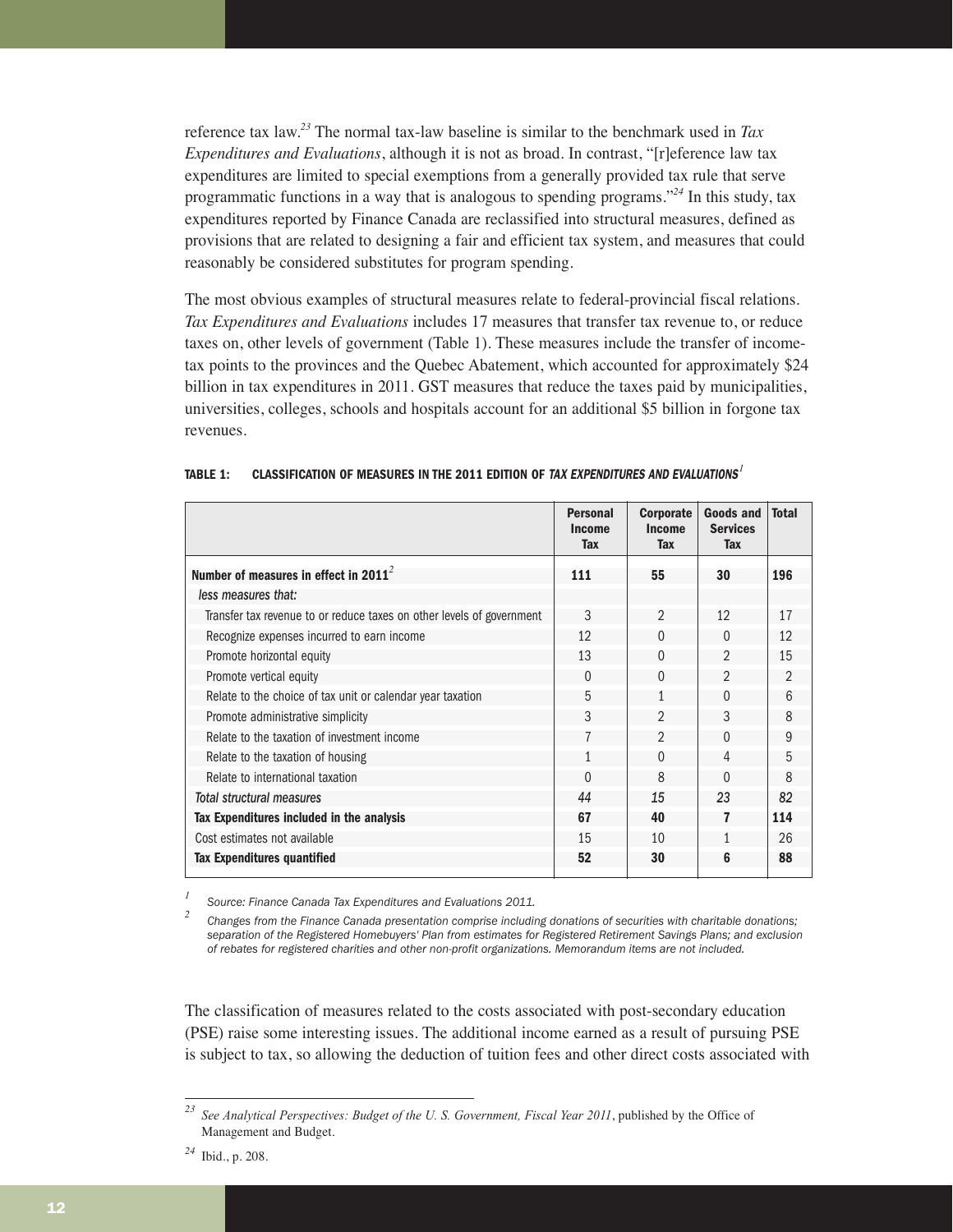reference tax law.*<sup>23</sup>* The normal tax-law baseline is similar to the benchmark used in *Tax Expenditures and Evaluations*, although it is not as broad. In contrast, "[r]eference law tax expenditures are limited to special exemptions from a generally provided tax rule that serve programmatic functions in a way that is analogous to spending programs."*<sup>24</sup>* In this study, tax expenditures reported by Finance Canada are reclassified into structural measures, defined as provisions that are related to designing a fair and efficient tax system, and measures that could reasonably be considered substitutes for program spending.

The most obvious examples of structural measures relate to federal-provincial fiscal relations. *Tax Expenditures and Evaluations* includes 17 measures that transfer tax revenue to, or reduce taxes on, other levels of government (Table 1). These measures include the transfer of incometax points to the provinces and the Quebec Abatement, which accounted for approximately \$24 billion in tax expenditures in 2011. GST measures that reduce the taxes paid by municipalities, universities, colleges, schools and hospitals account for an additional \$5 billion in forgone tax revenues.

|                                                                       | <b>Personal</b><br>Income<br><b>Tax</b> | <b>Corporate</b><br><b>Income</b><br><b>Tax</b> | <b>Goods and</b><br><b>Services</b><br>Tax | <b>Total</b>   |
|-----------------------------------------------------------------------|-----------------------------------------|-------------------------------------------------|--------------------------------------------|----------------|
| Number of measures in effect in 2011 $^2$                             | 111                                     | 55                                              | 30                                         | 196            |
| less measures that:                                                   |                                         |                                                 |                                            |                |
| Transfer tax revenue to or reduce taxes on other levels of government | 3                                       | $\mathfrak{D}$                                  | 12                                         | 17             |
| Recognize expenses incurred to earn income                            | 12                                      | $\Omega$                                        | $\Omega$                                   | 12             |
| Promote horizontal equity                                             | 13                                      | $\Omega$                                        | $\mathfrak{D}$                             | 15             |
| Promote vertical equity                                               | $\Omega$                                | $\Omega$                                        | $\mathfrak{D}$                             | $\overline{2}$ |
| Relate to the choice of tax unit or calendar year taxation            | 5                                       | 1                                               | $\Omega$                                   | 6              |
| Promote administrative simplicity                                     | 3                                       | $\mathfrak{D}$                                  | 3                                          | 8              |
| Relate to the taxation of investment income                           | 7                                       | $\mathfrak{D}$                                  | $\Omega$                                   | 9              |
| Relate to the taxation of housing                                     | 1                                       | $\Omega$                                        | $\overline{4}$                             | 5              |
| Relate to international taxation                                      | $\Omega$                                | $\mathsf{R}$                                    | $\Omega$                                   | 8              |
| Total structural measures                                             | 44                                      | 15                                              | 23                                         | 82             |
| Tax Expenditures included in the analysis                             | 67                                      | 40                                              | 7                                          | 114            |
| Cost estimates not available                                          | 15                                      | 10                                              | 1                                          | 26             |
| <b>Tax Expenditures quantified</b>                                    | 52                                      | 30                                              | 6                                          | 88             |

# **TABLE 1: CLASSIFICATION OF MEASURES IN THE 2011 EDITION OF** TAX EXPENDITURES AND EVALUATIONS*<sup>1</sup>*

*<sup>1</sup> Source: Finance Canada Tax Expenditures and Evaluations 2011.* 

*<sup>2</sup> Changes from the Finance Canada presentation comprise including donations of securities with charitable donations; separation of the Registered Homebuyers' Plan from estimates for Registered Retirement Savings Plans; and exclusion of rebates for registered charities and other non-profit organizations. Memorandum items are not included.* 

The classification of measures related to the costs associated with post-secondary education (PSE) raise some interesting issues. The additional income earned as a result of pursuing PSE is subject to tax, so allowing the deduction of tuition fees and other direct costs associated with

*<sup>23</sup> See Analytical Perspectives: Budget of the U. S. Government, Fiscal Year 2011*, published by the Office of Management and Budget.

*<sup>24</sup>* Ibid., p. 208.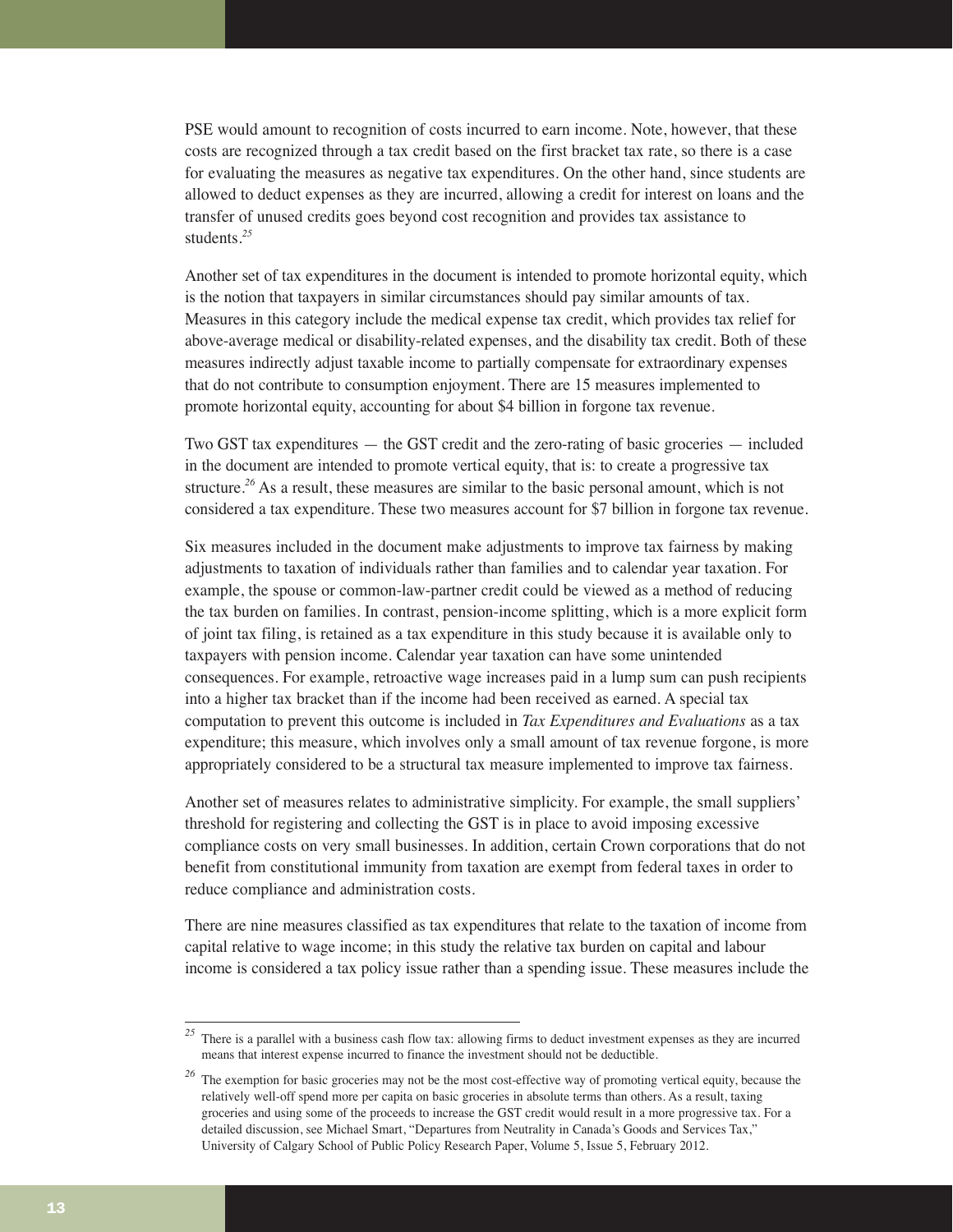PSE would amount to recognition of costs incurred to earn income. Note, however, that these costs are recognized through a tax credit based on the first bracket tax rate, so there is a case for evaluating the measures as negative tax expenditures. On the other hand, since students are allowed to deduct expenses as they are incurred, allowing a credit for interest on loans and the transfer of unused credits goes beyond cost recognition and provides tax assistance to students.*<sup>25</sup>*

Another set of tax expenditures in the document is intended to promote horizontal equity, which is the notion that taxpayers in similar circumstances should pay similar amounts of tax. Measures in this category include the medical expense tax credit, which provides tax relief for above-average medical or disability-related expenses, and the disability tax credit. Both of these measures indirectly adjust taxable income to partially compensate for extraordinary expenses that do not contribute to consumption enjoyment. There are 15 measures implemented to promote horizontal equity, accounting for about \$4 billion in forgone tax revenue.

Two GST tax expenditures — the GST credit and the zero-rating of basic groceries — included in the document are intended to promote vertical equity, that is: to create a progressive tax structure.*<sup>26</sup>* As a result, these measures are similar to the basic personal amount, which is not considered a tax expenditure. These two measures account for \$7 billion in forgone tax revenue.

Six measures included in the document make adjustments to improve tax fairness by making adjustments to taxation of individuals rather than families and to calendar year taxation. For example, the spouse or common-law-partner credit could be viewed as a method of reducing the tax burden on families. In contrast, pension-income splitting, which is a more explicit form of joint tax filing, is retained as a tax expenditure in this study because it is available only to taxpayers with pension income. Calendar year taxation can have some unintended consequences. For example, retroactive wage increases paid in a lump sum can push recipients into a higher tax bracket than if the income had been received as earned. A special tax computation to prevent this outcome is included in *Tax Expenditures and Evaluations* as a tax expenditure; this measure, which involves only a small amount of tax revenue forgone, is more appropriately considered to be a structural tax measure implemented to improve tax fairness.

Another set of measures relates to administrative simplicity. For example, the small suppliers' threshold for registering and collecting the GST is in place to avoid imposing excessive compliance costs on very small businesses. In addition, certain Crown corporations that do not benefit from constitutional immunity from taxation are exempt from federal taxes in order to reduce compliance and administration costs.

There are nine measures classified as tax expenditures that relate to the taxation of income from capital relative to wage income; in this study the relative tax burden on capital and labour income is considered a tax policy issue rather than a spending issue. These measures include the

<sup>&</sup>lt;sup>25</sup> There is a parallel with a business cash flow tax: allowing firms to deduct investment expenses as they are incurred means that interest expense incurred to finance the investment should not be deductible.

<sup>&</sup>lt;sup>26</sup> The exemption for basic groceries may not be the most cost-effective way of promoting vertical equity, because the relatively well-off spend more per capita on basic groceries in absolute terms than others. As a result, taxing groceries and using some of the proceeds to increase the GST credit would result in a more progressive tax. For a detailed discussion, see Michael Smart, "Departures from Neutrality in Canada's Goods and Services Tax," University of Calgary School of Public Policy Research Paper, Volume 5, Issue 5, February 2012.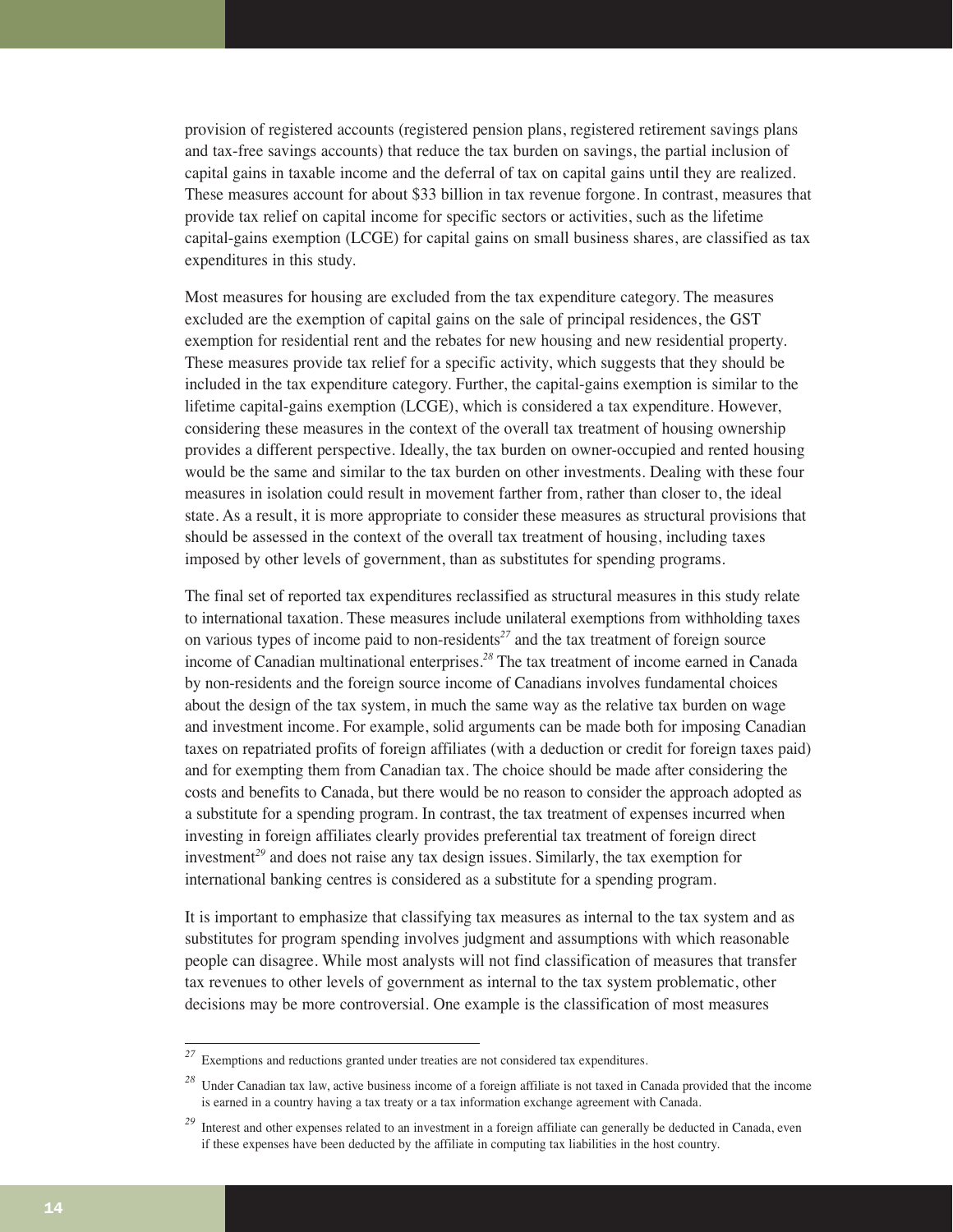provision of registered accounts (registered pension plans, registered retirement savings plans and tax-free savings accounts) that reduce the tax burden on savings, the partial inclusion of capital gains in taxable income and the deferral of tax on capital gains until they are realized. These measures account for about \$33 billion in tax revenue forgone. In contrast, measures that provide tax relief on capital income for specific sectors or activities, such as the lifetime capital-gains exemption (LCGE) for capital gains on small business shares, are classified as tax expenditures in this study.

Most measures for housing are excluded from the tax expenditure category. The measures excluded are the exemption of capital gains on the sale of principal residences, the GST exemption for residential rent and the rebates for new housing and new residential property. These measures provide tax relief for a specific activity, which suggests that they should be included in the tax expenditure category. Further, the capital-gains exemption is similar to the lifetime capital-gains exemption (LCGE), which is considered a tax expenditure. However, considering these measures in the context of the overall tax treatment of housing ownership provides a different perspective. Ideally, the tax burden on owner-occupied and rented housing would be the same and similar to the tax burden on other investments. Dealing with these four measures in isolation could result in movement farther from, rather than closer to, the ideal state. As a result, it is more appropriate to consider these measures as structural provisions that should be assessed in the context of the overall tax treatment of housing, including taxes imposed by other levels of government, than as substitutes for spending programs.

The final set of reported tax expenditures reclassified as structural measures in this study relate to international taxation. These measures include unilateral exemptions from withholding taxes on various types of income paid to non-residents*<sup>27</sup>* and the tax treatment of foreign source income of Canadian multinational enterprises.*<sup>28</sup>* The tax treatment of income earned in Canada by non-residents and the foreign source income of Canadians involves fundamental choices about the design of the tax system, in much the same way as the relative tax burden on wage and investment income. For example, solid arguments can be made both for imposing Canadian taxes on repatriated profits of foreign affiliates (with a deduction or credit for foreign taxes paid) and for exempting them from Canadian tax. The choice should be made after considering the costs and benefits to Canada, but there would be no reason to consider the approach adopted as a substitute for a spending program. In contrast, the tax treatment of expenses incurred when investing in foreign affiliates clearly provides preferential tax treatment of foreign direct investment*<sup>29</sup>* and does not raise any tax design issues. Similarly, the tax exemption for international banking centres is considered as a substitute for a spending program.

It is important to emphasize that classifying tax measures as internal to the tax system and as substitutes for program spending involves judgment and assumptions with which reasonable people can disagree. While most analysts will not find classification of measures that transfer tax revenues to other levels of government as internal to the tax system problematic, other decisions may be more controversial. One example is the classification of most measures

*<sup>27</sup>* Exemptions and reductions granted under treaties are not considered tax expenditures.

*<sup>28</sup>* Under Canadian tax law, active business income of a foreign affiliate is not taxed in Canada provided that the income is earned in a country having a tax treaty or a tax information exchange agreement with Canada.

<sup>&</sup>lt;sup>29</sup> Interest and other expenses related to an investment in a foreign affiliate can generally be deducted in Canada, even if these expenses have been deducted by the affiliate in computing tax liabilities in the host country.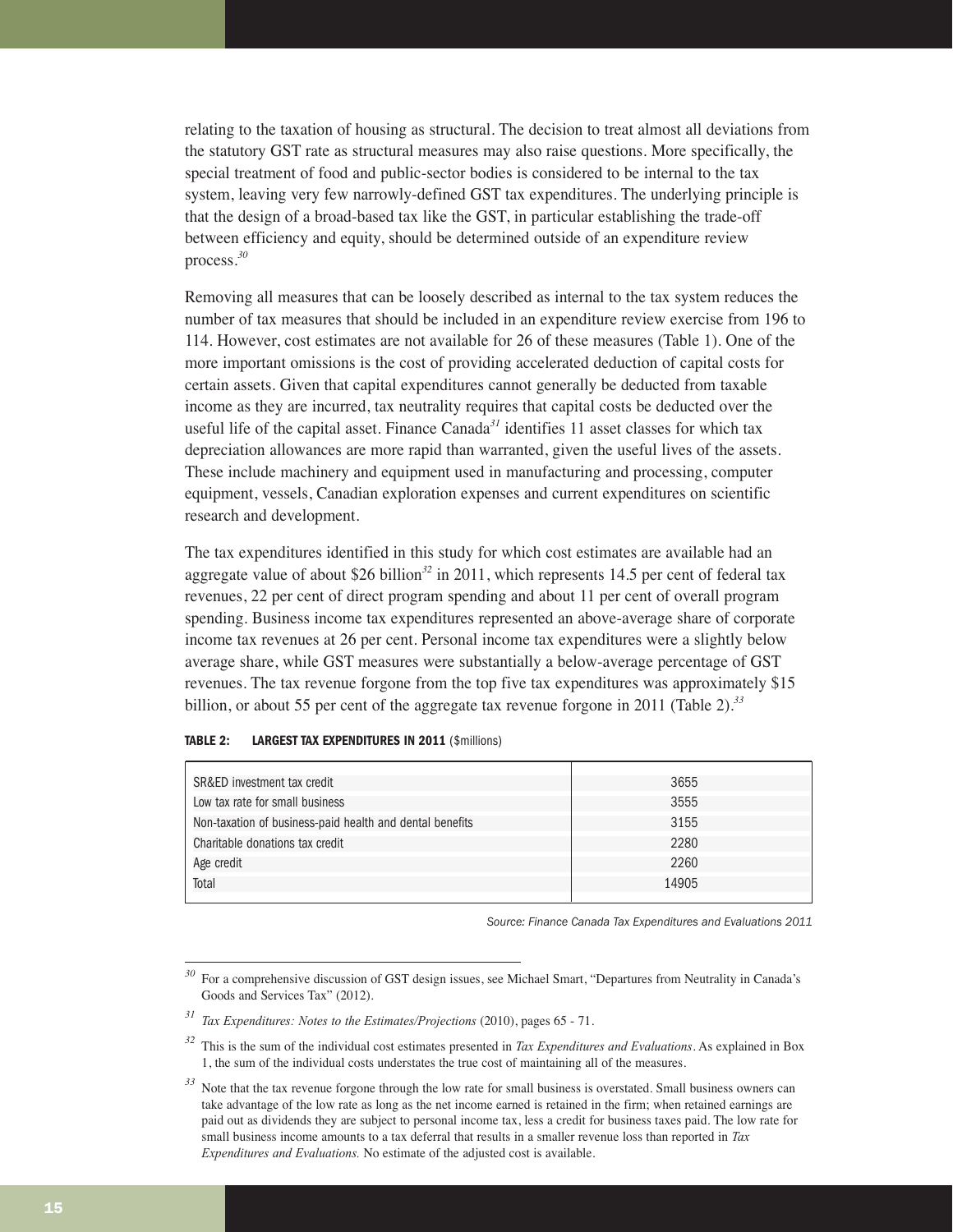relating to the taxation of housing as structural. The decision to treat almost all deviations from the statutory GST rate as structural measures may also raise questions. More specifically, the special treatment of food and public-sector bodies is considered to be internal to the tax system, leaving very few narrowly-defined GST tax expenditures. The underlying principle is that the design of a broad-based tax like the GST, in particular establishing the trade-off between efficiency and equity, should be determined outside of an expenditure review process.*<sup>30</sup>*

Removing all measures that can be loosely described as internal to the tax system reduces the number of tax measures that should be included in an expenditure review exercise from 196 to 114. However, cost estimates are not available for 26 of these measures (Table 1). One of the more important omissions is the cost of providing accelerated deduction of capital costs for certain assets. Given that capital expenditures cannot generally be deducted from taxable income as they are incurred, tax neutrality requires that capital costs be deducted over the useful life of the capital asset. Finance Canada*<sup>31</sup>* identifies 11 asset classes for which tax depreciation allowances are more rapid than warranted, given the useful lives of the assets. These include machinery and equipment used in manufacturing and processing, computer equipment, vessels, Canadian exploration expenses and current expenditures on scientific research and development.

The tax expenditures identified in this study for which cost estimates are available had an aggregate value of about \$26 billion*<sup>32</sup>* in 2011, which represents 14.5 per cent of federal tax revenues, 22 per cent of direct program spending and about 11 per cent of overall program spending. Business income tax expenditures represented an above-average share of corporate income tax revenues at 26 per cent. Personal income tax expenditures were a slightly below average share, while GST measures were substantially a below-average percentage of GST revenues. The tax revenue forgone from the top five tax expenditures was approximately \$15 billion, or about 55 per cent of the aggregate tax revenue forgone in 2011 (Table 2).*<sup>33</sup>*

| SR&ED investment tax credit                              | 3655  |
|----------------------------------------------------------|-------|
| Low tax rate for small business                          | 3555  |
| Non-taxation of business-paid health and dental benefits | 3155  |
| Charitable donations tax credit                          | 2280  |
| Age credit                                               | 2260  |
| Total                                                    | 14905 |
|                                                          |       |

#### **TABLE 2: LARGEST TAX EXPENDITURES IN 2011** (\$millions)

*Source: Finance Canada Tax Expenditures and Evaluations 2011*

*<sup>30</sup>* For a comprehensive discussion of GST design issues, see Michael Smart, "Departures from Neutrality in Canada's Goods and Services Tax" (2012).

*<sup>31</sup> Tax Expenditures: Notes to the Estimates/Projections* (2010), pages 65 - 71.

*<sup>32</sup>* This is the sum of the individual cost estimates presented in *Tax Expenditures and Evaluations*. As explained in Box 1, the sum of the individual costs understates the true cost of maintaining all of the measures.

<sup>&</sup>lt;sup>33</sup> Note that the tax revenue forgone through the low rate for small business is overstated. Small business owners can take advantage of the low rate as long as the net income earned is retained in the firm; when retained earnings are paid out as dividends they are subject to personal income tax, less a credit for business taxes paid. The low rate for small business income amounts to a tax deferral that results in a smaller revenue loss than reported in *Tax Expenditures and Evaluations.* No estimate of the adjusted cost is available.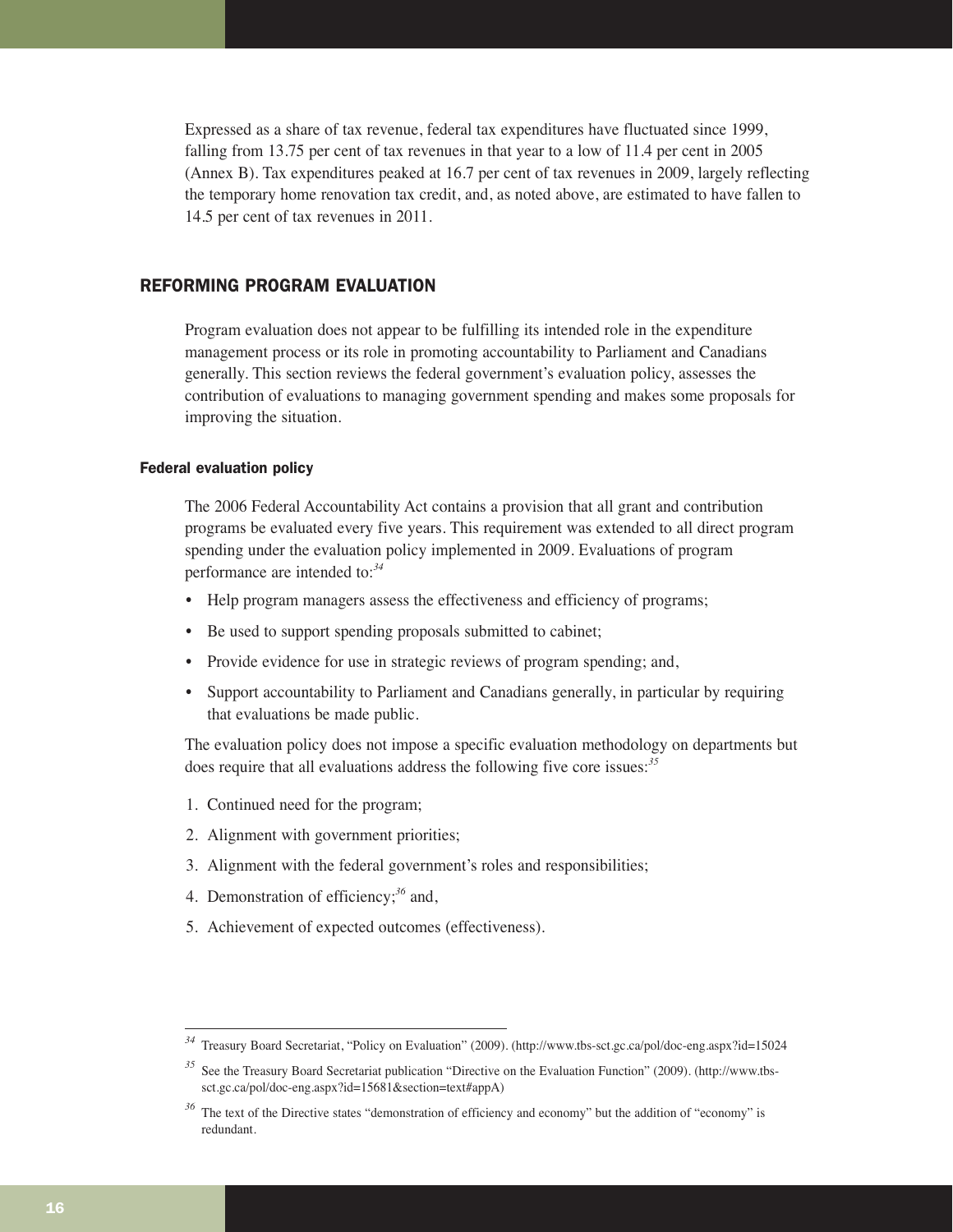Expressed as a share of tax revenue, federal tax expenditures have fluctuated since 1999, falling from 13.75 per cent of tax revenues in that year to a low of 11.4 per cent in 2005 (Annex B). Tax expenditures peaked at 16.7 per cent of tax revenues in 2009, largely reflecting the temporary home renovation tax credit, and, as noted above, are estimated to have fallen to 14.5 per cent of tax revenues in 2011.

# REFORMING PROGRAM EVALUATION

Program evaluation does not appear to be fulfilling its intended role in the expenditure management process or its role in promoting accountability to Parliament and Canadians generally. This section reviews the federal government's evaluation policy, assesses the contribution of evaluations to managing government spending and makes some proposals for improving the situation.

# Federal evaluation policy

The 2006 Federal Accountability Act contains a provision that all grant and contribution programs be evaluated every five years. This requirement was extended to all direct program spending under the evaluation policy implemented in 2009. Evaluations of program performance are intended to:*<sup>34</sup>*

- Help program managers assess the effectiveness and efficiency of programs;
- Be used to support spending proposals submitted to cabinet;
- Provide evidence for use in strategic reviews of program spending; and,
- Support accountability to Parliament and Canadians generally, in particular by requiring that evaluations be made public.

The evaluation policy does not impose a specific evaluation methodology on departments but does require that all evaluations address the following five core issues:*<sup>35</sup>*

- 1. Continued need for the program;
- 2. Alignment with government priorities;
- 3. Alignment with the federal government's roles and responsibilities;
- 4. Demonstration of efficiency;*<sup>36</sup>* and,
- 5. Achievement of expected outcomes (effectiveness).

*<sup>34</sup>* Treasury Board Secretariat, "Policy on Evaluation" (2009). (http://www.tbs-sct.gc.ca/pol/doc-eng.aspx?id=15024

*<sup>35</sup>* See the Treasury Board Secretariat publication "Directive on the Evaluation Function" (2009). (http://www.tbssct.gc.ca/pol/doc-eng.aspx?id=15681&section=text#appA)

<sup>&</sup>lt;sup>36</sup> The text of the Directive states "demonstration of efficiency and economy" but the addition of "economy" is redundant.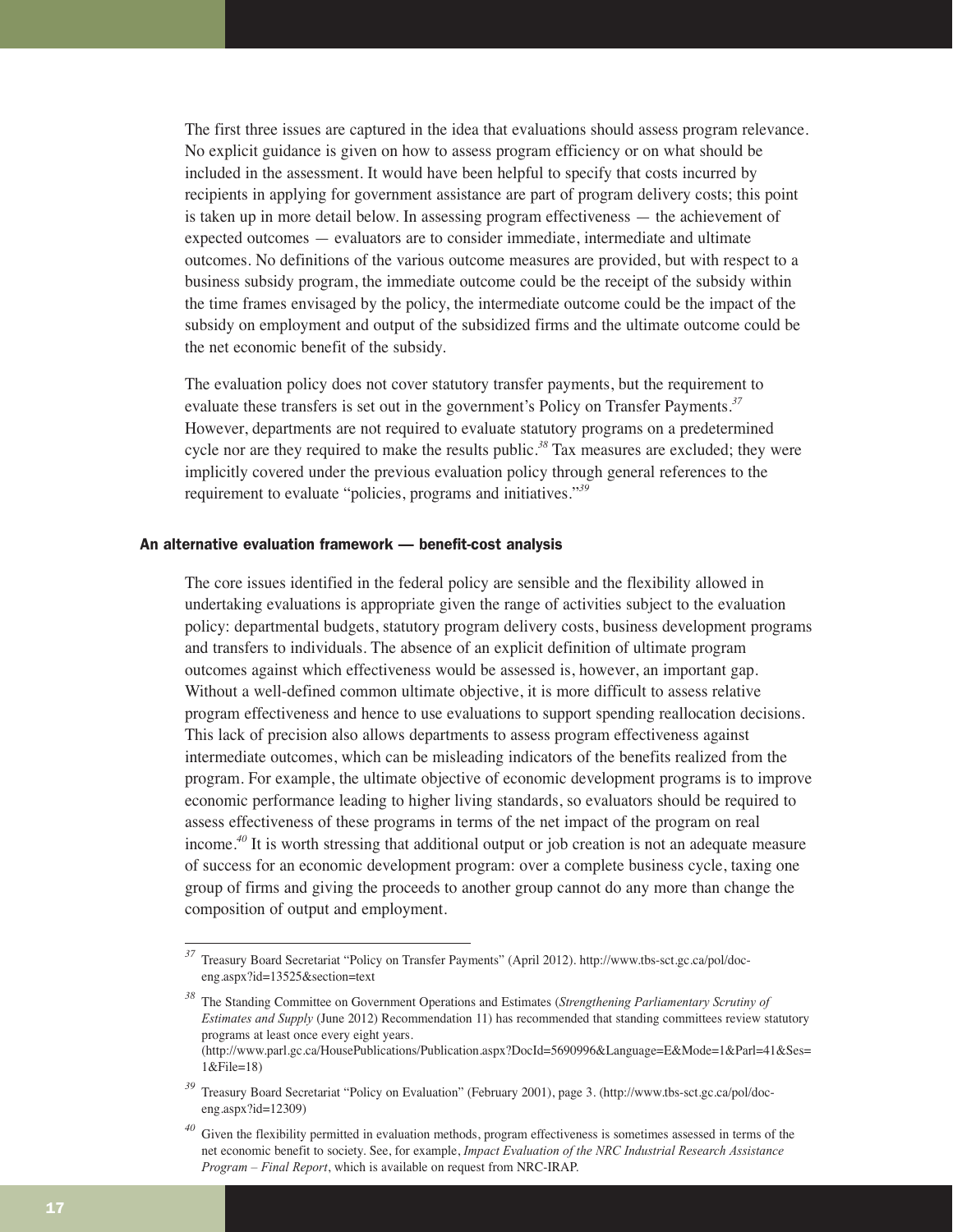The first three issues are captured in the idea that evaluations should assess program relevance. No explicit guidance is given on how to assess program efficiency or on what should be included in the assessment. It would have been helpful to specify that costs incurred by recipients in applying for government assistance are part of program delivery costs; this point is taken up in more detail below. In assessing program effectiveness — the achievement of expected outcomes — evaluators are to consider immediate, intermediate and ultimate outcomes. No definitions of the various outcome measures are provided, but with respect to a business subsidy program, the immediate outcome could be the receipt of the subsidy within the time frames envisaged by the policy, the intermediate outcome could be the impact of the subsidy on employment and output of the subsidized firms and the ultimate outcome could be the net economic benefit of the subsidy.

The evaluation policy does not cover statutory transfer payments, but the requirement to evaluate these transfers is set out in the government's Policy on Transfer Payments.*<sup>37</sup>* However, departments are not required to evaluate statutory programs on a predetermined cycle nor are they required to make the results public.*<sup>38</sup>* Tax measures are excluded; they were implicitly covered under the previous evaluation policy through general references to the requirement to evaluate "policies, programs and initiatives."*<sup>39</sup>*

# An alternative evaluation framework — benefit-cost analysis

The core issues identified in the federal policy are sensible and the flexibility allowed in undertaking evaluations is appropriate given the range of activities subject to the evaluation policy: departmental budgets, statutory program delivery costs, business development programs and transfers to individuals. The absence of an explicit definition of ultimate program outcomes against which effectiveness would be assessed is, however, an important gap. Without a well-defined common ultimate objective, it is more difficult to assess relative program effectiveness and hence to use evaluations to support spending reallocation decisions. This lack of precision also allows departments to assess program effectiveness against intermediate outcomes, which can be misleading indicators of the benefits realized from the program. For example, the ultimate objective of economic development programs is to improve economic performance leading to higher living standards, so evaluators should be required to assess effectiveness of these programs in terms of the net impact of the program on real income.*<sup>40</sup>* It is worth stressing that additional output or job creation is not an adequate measure of success for an economic development program: over a complete business cycle, taxing one group of firms and giving the proceeds to another group cannot do any more than change the composition of output and employment.

*<sup>37</sup>* Treasury Board Secretariat "Policy on Transfer Payments" (April 2012). http://www.tbs-sct.gc.ca/pol/doceng.aspx?id=13525&section=text

*<sup>38</sup>* The Standing Committee on Government Operations and Estimates (*Strengthening Parliamentary Scrutiny of Estimates and Supply* (June 2012) Recommendation 11) has recommended that standing committees review statutory programs at least once every eight years.

<sup>(</sup>http://www.parl.gc.ca/HousePublications/Publication.aspx?DocId=5690996&Language=E&Mode=1&Parl=41&Ses= 1&File=18)

*<sup>39</sup>* Treasury Board Secretariat "Policy on Evaluation" (February 2001), page 3. (http://www.tbs-sct.gc.ca/pol/doceng.aspx?id=12309)

Given the flexibility permitted in evaluation methods, program effectiveness is sometimes assessed in terms of the net economic benefit to society. See, for example, *Impact Evaluation of the NRC Industrial Research Assistance Program – Final Report*, which is available on request from NRC-IRAP.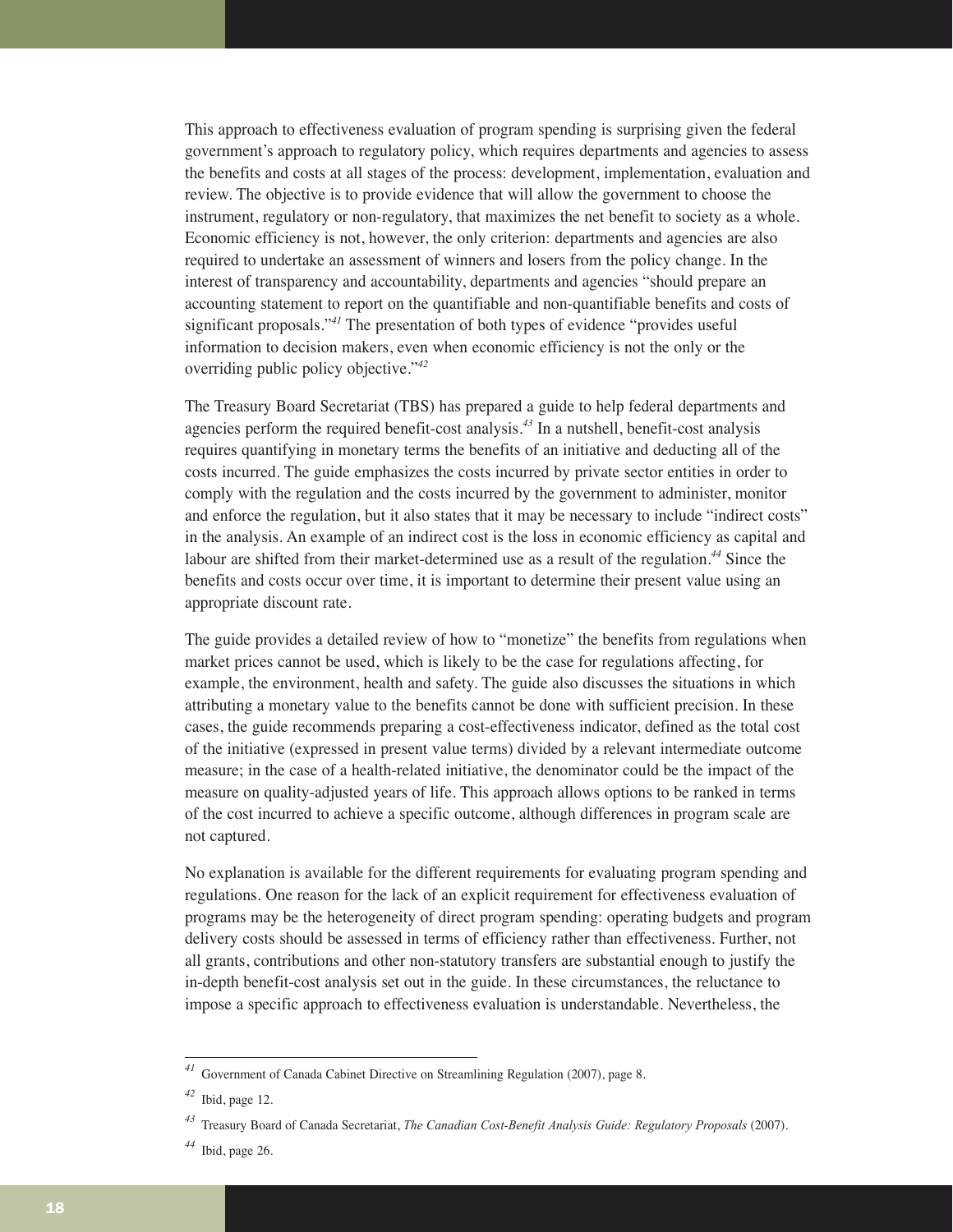This approach to effectiveness evaluation of program spending is surprising given the federal government's approach to regulatory policy, which requires departments and agencies to assess the benefits and costs at all stages of the process: development, implementation, evaluation and review. The objective is to provide evidence that will allow the government to choose the instrument, regulatory or non-regulatory, that maximizes the net benefit to society as a whole. Economic efficiency is not, however, the only criterion: departments and agencies are also required to undertake an assessment of winners and losers from the policy change. In the interest of transparency and accountability, departments and agencies "should prepare an accounting statement to report on the quantifiable and non-quantifiable benefits and costs of significant proposals."*<sup>41</sup>* The presentation of both types of evidence "provides useful information to decision makers, even when economic efficiency is not the only or the overriding public policy objective."*<sup>42</sup>*

The Treasury Board Secretariat (TBS) has prepared a guide to help federal departments and agencies perform the required benefit-cost analysis.*<sup>43</sup>* In a nutshell, benefit-cost analysis requires quantifying in monetary terms the benefits of an initiative and deducting all of the costs incurred. The guide emphasizes the costs incurred by private sector entities in order to comply with the regulation and the costs incurred by the government to administer, monitor and enforce the regulation, but it also states that it may be necessary to include "indirect costs" in the analysis. An example of an indirect cost is the loss in economic efficiency as capital and labour are shifted from their market-determined use as a result of the regulation.*<sup>44</sup>* Since the benefits and costs occur over time, it is important to determine their present value using an appropriate discount rate.

The guide provides a detailed review of how to "monetize" the benefits from regulations when market prices cannot be used, which is likely to be the case for regulations affecting, for example, the environment, health and safety. The guide also discusses the situations in which attributing a monetary value to the benefits cannot be done with sufficient precision. In these cases, the guide recommends preparing a cost-effectiveness indicator, defined as the total cost of the initiative (expressed in present value terms) divided by a relevant intermediate outcome measure; in the case of a health-related initiative, the denominator could be the impact of the measure on quality-adjusted years of life. This approach allows options to be ranked in terms of the cost incurred to achieve a specific outcome, although differences in program scale are not captured.

No explanation is available for the different requirements for evaluating program spending and regulations. One reason for the lack of an explicit requirement for effectiveness evaluation of programs may be the heterogeneity of direct program spending: operating budgets and program delivery costs should be assessed in terms of efficiency rather than effectiveness. Further, not all grants, contributions and other non-statutory transfers are substantial enough to justify the in-depth benefit-cost analysis set out in the guide. In these circumstances, the reluctance to impose a specific approach to effectiveness evaluation is understandable. Nevertheless, the

*<sup>41</sup>* Government of Canada Cabinet Directive on Streamlining Regulation (2007), page 8.

*<sup>42</sup>* Ibid, page 12.

*<sup>43</sup>* Treasury Board of Canada Secretariat, *The Canadian Cost-Benefit Analysis Guide: Regulatory Proposals* (2007).

*<sup>44</sup>* Ibid, page 26.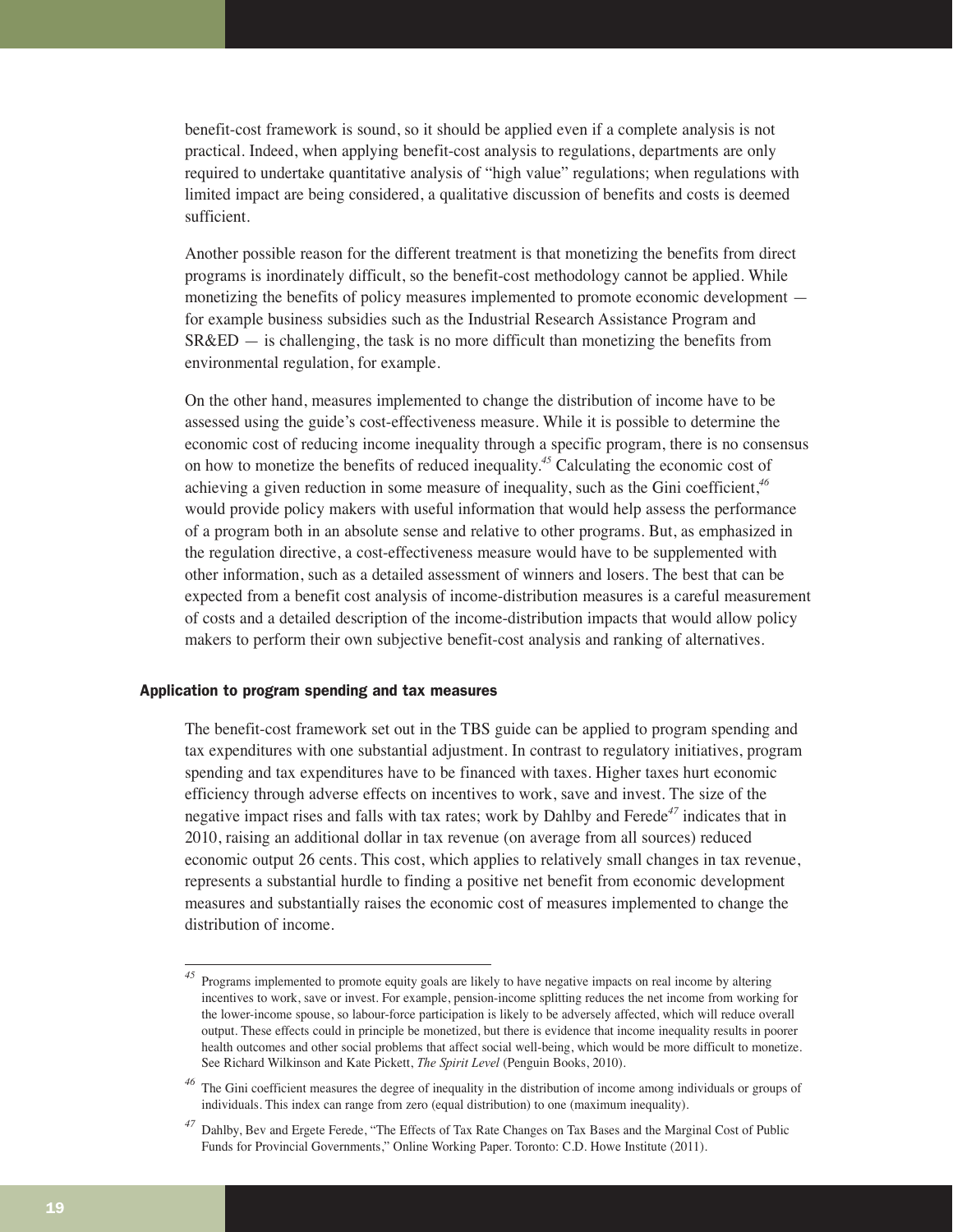benefit-cost framework is sound, so it should be applied even if a complete analysis is not practical. Indeed, when applying benefit-cost analysis to regulations, departments are only required to undertake quantitative analysis of "high value" regulations; when regulations with limited impact are being considered, a qualitative discussion of benefits and costs is deemed sufficient.

Another possible reason for the different treatment is that monetizing the benefits from direct programs is inordinately difficult, so the benefit-cost methodology cannot be applied. While monetizing the benefits of policy measures implemented to promote economic development for example business subsidies such as the Industrial Research Assistance Program and  $S R \& E$  = is challenging, the task is no more difficult than monetizing the benefits from environmental regulation, for example.

On the other hand, measures implemented to change the distribution of income have to be assessed using the guide's cost-effectiveness measure. While it is possible to determine the economic cost of reducing income inequality through a specific program, there is no consensus on how to monetize the benefits of reduced inequality.*<sup>45</sup>* Calculating the economic cost of achieving a given reduction in some measure of inequality, such as the Gini coefficient,*<sup>46</sup>* would provide policy makers with useful information that would help assess the performance of a program both in an absolute sense and relative to other programs. But, as emphasized in the regulation directive, a cost-effectiveness measure would have to be supplemented with other information, such as a detailed assessment of winners and losers. The best that can be expected from a benefit cost analysis of income-distribution measures is a careful measurement of costs and a detailed description of the income-distribution impacts that would allow policy makers to perform their own subjective benefit-cost analysis and ranking of alternatives.

## Application to program spending and tax measures

The benefit-cost framework set out in the TBS guide can be applied to program spending and tax expenditures with one substantial adjustment. In contrast to regulatory initiatives, program spending and tax expenditures have to be financed with taxes. Higher taxes hurt economic efficiency through adverse effects on incentives to work, save and invest. The size of the negative impact rises and falls with tax rates; work by Dahlby and Ferede*<sup>47</sup>* indicates that in 2010, raising an additional dollar in tax revenue (on average from all sources) reduced economic output 26 cents. This cost, which applies to relatively small changes in tax revenue, represents a substantial hurdle to finding a positive net benefit from economic development measures and substantially raises the economic cost of measures implemented to change the distribution of income.

*<sup>45</sup>* Programs implemented to promote equity goals are likely to have negative impacts on real income by altering incentives to work, save or invest. For example, pension-income splitting reduces the net income from working for the lower-income spouse, so labour-force participation is likely to be adversely affected, which will reduce overall output. These effects could in principle be monetized, but there is evidence that income inequality results in poorer health outcomes and other social problems that affect social well-being, which would be more difficult to monetize. See Richard Wilkinson and Kate Pickett, *The Spirit Level* (Penguin Books, 2010).

The Gini coefficient measures the degree of inequality in the distribution of income among individuals or groups of individuals. This index can range from zero (equal distribution) to one (maximum inequality).

*<sup>47</sup>* Dahlby, Bev and Ergete Ferede, "The Effects of Tax Rate Changes on Tax Bases and the Marginal Cost of Public Funds for Provincial Governments," Online Working Paper. Toronto: C.D. Howe Institute (2011).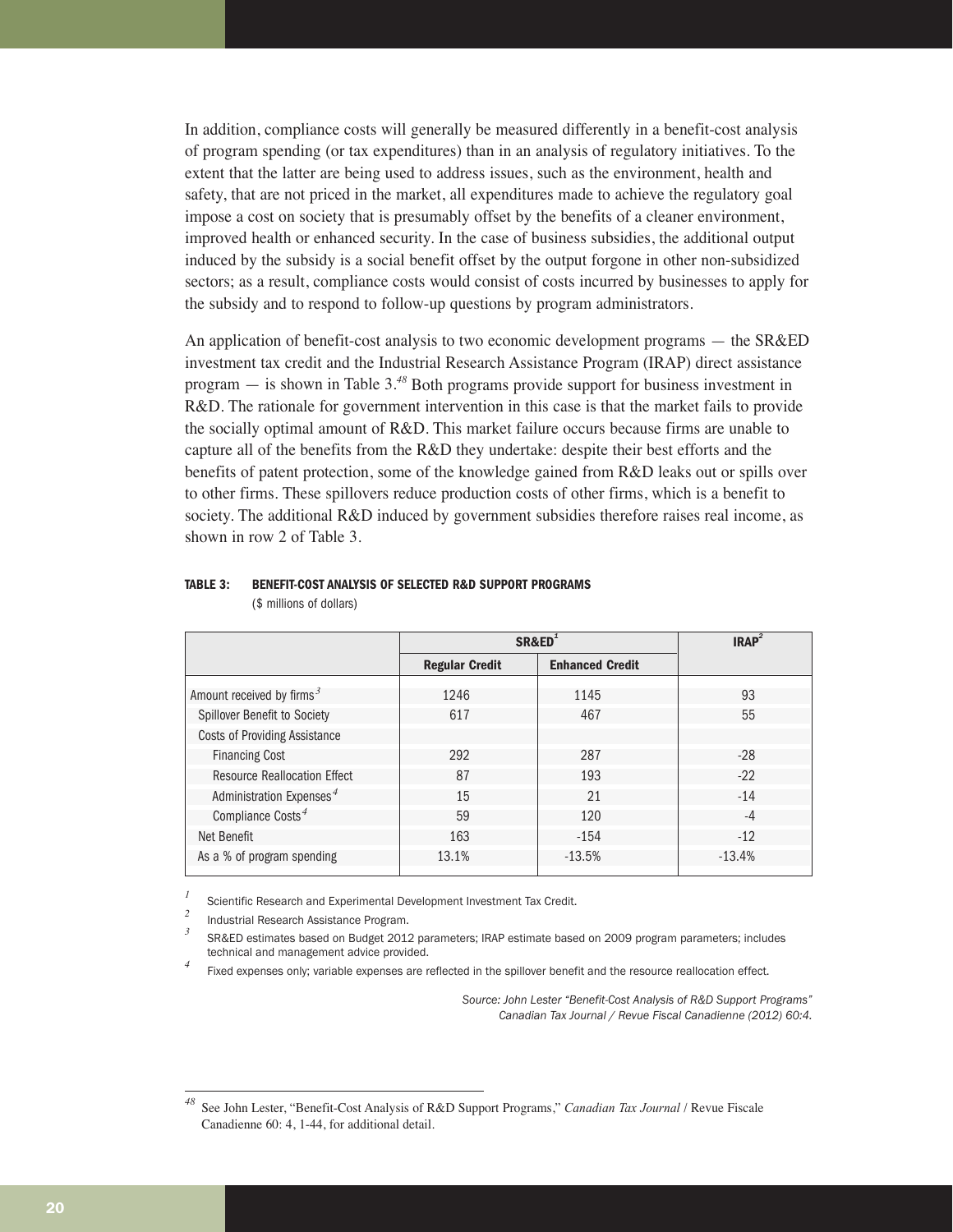In addition, compliance costs will generally be measured differently in a benefit-cost analysis of program spending (or tax expenditures) than in an analysis of regulatory initiatives. To the extent that the latter are being used to address issues, such as the environment, health and safety, that are not priced in the market, all expenditures made to achieve the regulatory goal impose a cost on society that is presumably offset by the benefits of a cleaner environment, improved health or enhanced security. In the case of business subsidies, the additional output induced by the subsidy is a social benefit offset by the output forgone in other non-subsidized sectors; as a result, compliance costs would consist of costs incurred by businesses to apply for the subsidy and to respond to follow-up questions by program administrators.

An application of benefit-cost analysis to two economic development programs — the SR&ED investment tax credit and the Industrial Research Assistance Program (IRAP) direct assistance program — is shown in Table 3.*<sup>48</sup>* Both programs provide support for business investment in R&D. The rationale for government intervention in this case is that the market fails to provide the socially optimal amount of R&D. This market failure occurs because firms are unable to capture all of the benefits from the R&D they undertake: despite their best efforts and the benefits of patent protection, some of the knowledge gained from R&D leaks out or spills over to other firms. These spillovers reduce production costs of other firms, which is a benefit to society. The additional R&D induced by government subsidies therefore raises real income, as shown in row 2 of Table 3.

|                                      | SR&ED <sup>1</sup>    |                        | IRAP <sup>2</sup> |
|--------------------------------------|-----------------------|------------------------|-------------------|
|                                      | <b>Regular Credit</b> | <b>Enhanced Credit</b> |                   |
| Amount received by firms $3$         | 1246                  | 1145                   | 93                |
| Spillover Benefit to Society         | 617                   | 467                    | 55                |
| <b>Costs of Providing Assistance</b> |                       |                        |                   |
| <b>Financing Cost</b>                | 292                   | 287                    | $-28$             |
| <b>Resource Reallocation Effect</b>  | 87                    | 193                    | $-22$             |
| Administration Expenses <sup>4</sup> | 15                    | 21                     | $-14$             |
| Compliance $\text{Costs}^4$          | 59                    | 120                    | $-4$              |
| Net Benefit                          | 163                   | $-154$                 | $-12$             |
| As a % of program spending           | 13.1%                 | $-13.5%$               | $-13.4%$          |

# **TABLE 3: BENEFIT-COST ANALYSIS OF SELECTED R&D SUPPORT PROGRAMS**

(\$ millions of dollars)

<sup>1</sup> Scientific Research and Experimental Development Investment Tax Credit.

<sup>2</sup> Industrial Research Assistance Program.

*<sup>3</sup>* SR&ED estimates based on Budget 2012 parameters; IRAP estimate based on 2009 program parameters; includes technical and management advice provided.

Fixed expenses only; variable expenses are reflected in the spillover benefit and the resource reallocation effect.

*Source: John Lester "Benefit-Cost Analysis of R&D Support Programs" Canadian Tax Journal / Revue Fiscal Canadienne (2012) 60:4.*

*<sup>48</sup>* See John Lester, "Benefit-Cost Analysis of R&D Support Programs," *Canadian Tax Journal* / Revue Fiscale Canadienne 60: 4, 1-44, for additional detail.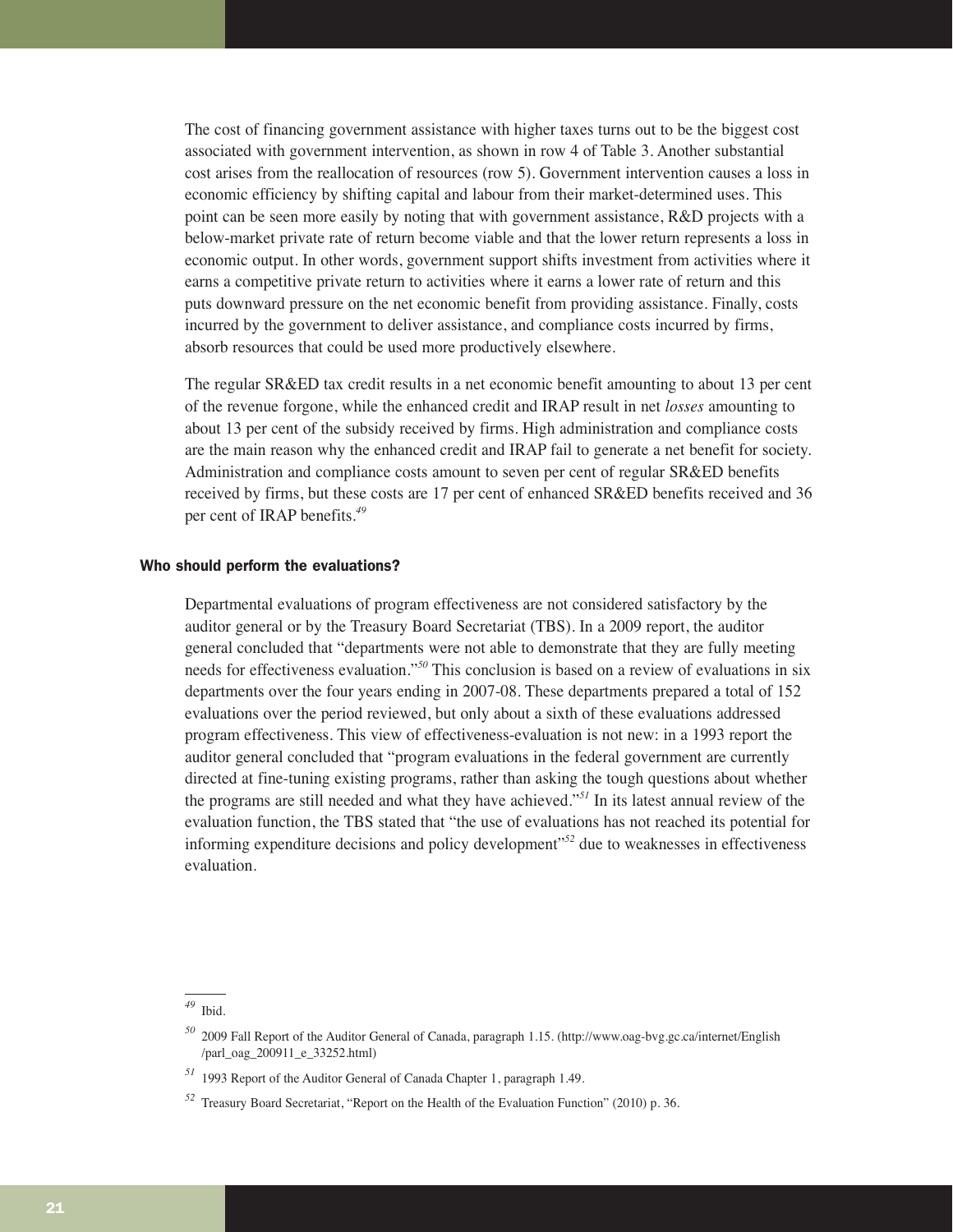The cost of financing government assistance with higher taxes turns out to be the biggest cost associated with government intervention, as shown in row 4 of Table 3. Another substantial cost arises from the reallocation of resources (row 5). Government intervention causes a loss in economic efficiency by shifting capital and labour from their market-determined uses. This point can be seen more easily by noting that with government assistance, R&D projects with a below-market private rate of return become viable and that the lower return represents a loss in economic output. In other words, government support shifts investment from activities where it earns a competitive private return to activities where it earns a lower rate of return and this puts downward pressure on the net economic benefit from providing assistance. Finally, costs incurred by the government to deliver assistance, and compliance costs incurred by firms, absorb resources that could be used more productively elsewhere.

The regular SR&ED tax credit results in a net economic benefit amounting to about 13 per cent of the revenue forgone, while the enhanced credit and IRAP result in net *losses* amounting to about 13 per cent of the subsidy received by firms. High administration and compliance costs are the main reason why the enhanced credit and IRAP fail to generate a net benefit for society. Administration and compliance costs amount to seven per cent of regular SR&ED benefits received by firms, but these costs are 17 per cent of enhanced SR&ED benefits received and 36 per cent of IRAP benefits.*<sup>49</sup>*

## Who should perform the evaluations?

Departmental evaluations of program effectiveness are not considered satisfactory by the auditor general or by the Treasury Board Secretariat (TBS). In a 2009 report, the auditor general concluded that "departments were not able to demonstrate that they are fully meeting needs for effectiveness evaluation."*<sup>50</sup>* This conclusion is based on a review of evaluations in six departments over the four years ending in 2007-08. These departments prepared a total of 152 evaluations over the period reviewed, but only about a sixth of these evaluations addressed program effectiveness. This view of effectiveness-evaluation is not new: in a 1993 report the auditor general concluded that "program evaluations in the federal government are currently directed at fine-tuning existing programs, rather than asking the tough questions about whether the programs are still needed and what they have achieved."*<sup>51</sup>* In its latest annual review of the evaluation function, the TBS stated that "the use of evaluations has not reached its potential for informing expenditure decisions and policy development"*<sup>52</sup>* due to weaknesses in effectiveness evaluation.

*<sup>49</sup>* Ibid.

*<sup>50</sup>* 2009 Fall Report of the Auditor General of Canada, paragraph 1.15. (http://www.oag-bvg.gc.ca/internet/English /parl\_oag\_200911\_e\_33252.html)

*<sup>51</sup>* 1993 Report of the Auditor General of Canada Chapter 1, paragraph 1.49.

*<sup>52</sup>* Treasury Board Secretariat, "Report on the Health of the Evaluation Function" (2010) p. 36.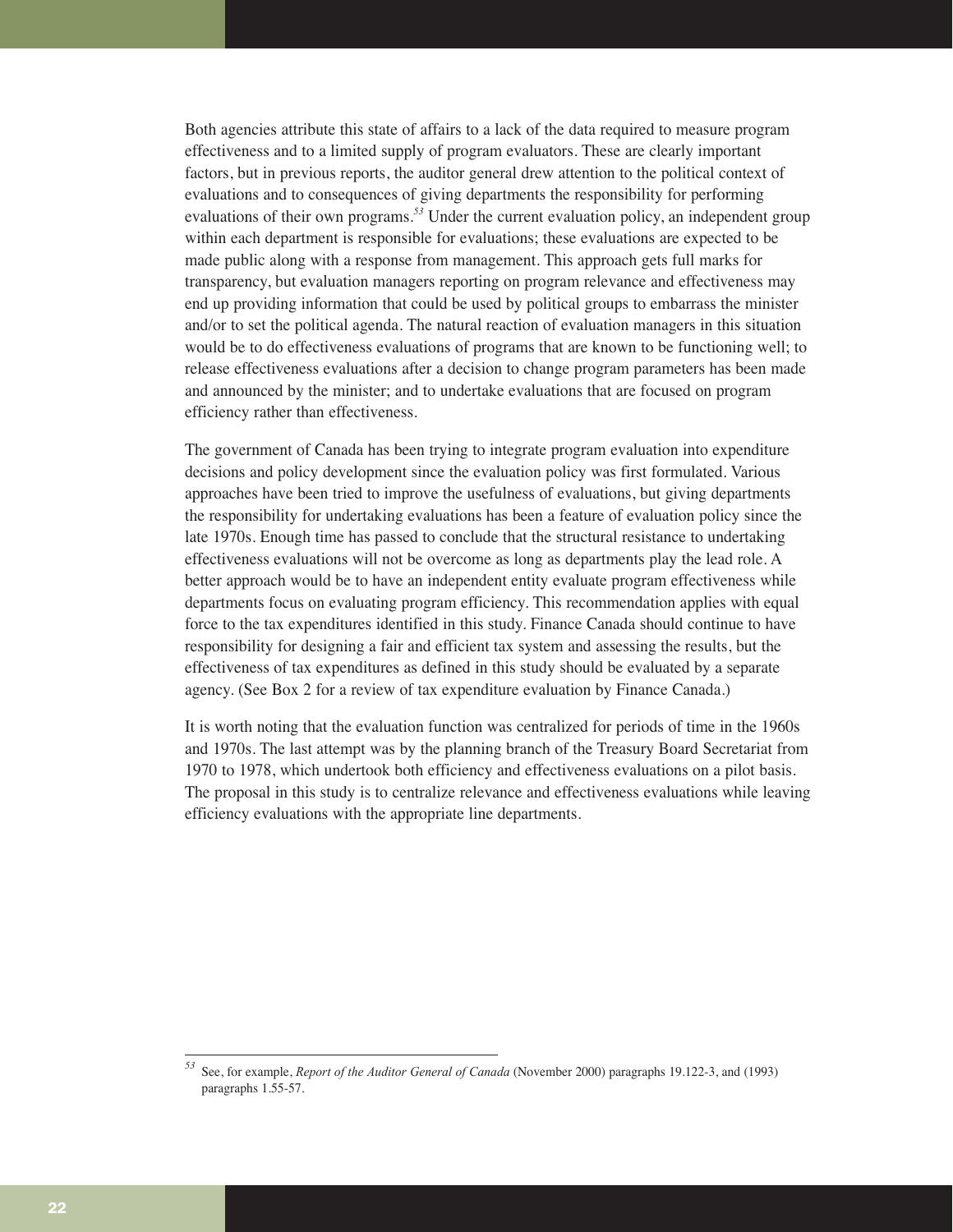Both agencies attribute this state of affairs to a lack of the data required to measure program effectiveness and to a limited supply of program evaluators. These are clearly important factors, but in previous reports, the auditor general drew attention to the political context of evaluations and to consequences of giving departments the responsibility for performing evaluations of their own programs.*<sup>53</sup>* Under the current evaluation policy, an independent group within each department is responsible for evaluations; these evaluations are expected to be made public along with a response from management. This approach gets full marks for transparency, but evaluation managers reporting on program relevance and effectiveness may end up providing information that could be used by political groups to embarrass the minister and/or to set the political agenda. The natural reaction of evaluation managers in this situation would be to do effectiveness evaluations of programs that are known to be functioning well; to release effectiveness evaluations after a decision to change program parameters has been made and announced by the minister; and to undertake evaluations that are focused on program efficiency rather than effectiveness.

The government of Canada has been trying to integrate program evaluation into expenditure decisions and policy development since the evaluation policy was first formulated. Various approaches have been tried to improve the usefulness of evaluations, but giving departments the responsibility for undertaking evaluations has been a feature of evaluation policy since the late 1970s. Enough time has passed to conclude that the structural resistance to undertaking effectiveness evaluations will not be overcome as long as departments play the lead role. A better approach would be to have an independent entity evaluate program effectiveness while departments focus on evaluating program efficiency. This recommendation applies with equal force to the tax expenditures identified in this study. Finance Canada should continue to have responsibility for designing a fair and efficient tax system and assessing the results, but the effectiveness of tax expenditures as defined in this study should be evaluated by a separate agency. (See Box 2 for a review of tax expenditure evaluation by Finance Canada.)

It is worth noting that the evaluation function was centralized for periods of time in the 1960s and 1970s. The last attempt was by the planning branch of the Treasury Board Secretariat from 1970 to 1978, which undertook both efficiency and effectiveness evaluations on a pilot basis. The proposal in this study is to centralize relevance and effectiveness evaluations while leaving efficiency evaluations with the appropriate line departments.

*<sup>53</sup>* See, for example, *Report of the Auditor General of Canada* (November 2000) paragraphs 19.122-3, and (1993) paragraphs 1.55-57.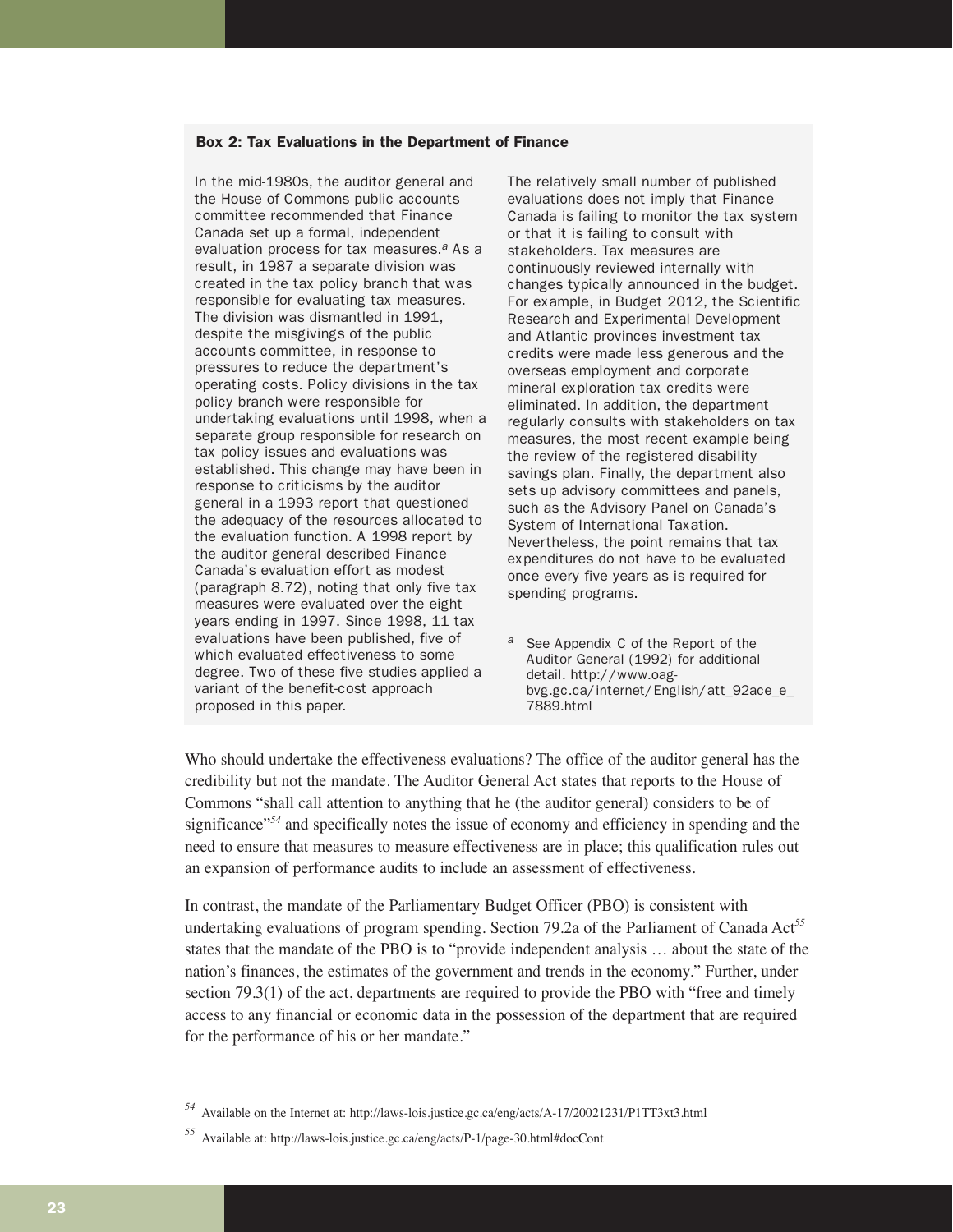#### Box 2: Tax Evaluations in the Department of Finance

In the mid-1980s, the auditor general and the House of Commons public accounts committee recommended that Finance Canada set up a formal, independent evaluation process for tax measures. $a$  As a result, in 1987 a separate division was created in the tax policy branch that was responsible for evaluating tax measures. The division was dismantled in 1991, despite the misgivings of the public accounts committee, in response to pressures to reduce the department's operating costs. Policy divisions in the tax policy branch were responsible for undertaking evaluations until 1998, when a separate group responsible for research on tax policy issues and evaluations was established. This change may have been in response to criticisms by the auditor general in a 1993 report that questioned the adequacy of the resources allocated to the evaluation function. A 1998 report by the auditor general described Finance Canada's evaluation effort as modest (paragraph 8.72), noting that only five tax measures were evaluated over the eight years ending in 1997. Since 1998, 11 tax evaluations have been published, five of which evaluated effectiveness to some degree. Two of these five studies applied a variant of the benefit-cost approach proposed in this paper.

The relatively small number of published evaluations does not imply that Finance Canada is failing to monitor the tax system or that it is failing to consult with stakeholders. Tax measures are continuously reviewed internally with changes typically announced in the budget. For example, in Budget 2012, the Scientific Research and Experimental Development and Atlantic provinces investment tax credits were made less generous and the overseas employment and corporate mineral exploration tax credits were eliminated. In addition, the department regularly consults with stakeholders on tax measures, the most recent example being the review of the registered disability savings plan. Finally, the department also sets up advisory committees and panels, such as the Advisory Panel on Canada's System of International Taxation. Nevertheless, the point remains that tax expenditures do not have to be evaluated once every five years as is required for spending programs.

a See Appendix C of the Report of the Auditor General (1992) for additional detail. http://www.oagbvg.gc.ca/internet/English/att\_92ace\_e\_ 7889.html

Who should undertake the effectiveness evaluations? The office of the auditor general has the credibility but not the mandate. The Auditor General Act states that reports to the House of Commons "shall call attention to anything that he (the auditor general) considers to be of significance"*<sup>54</sup>* and specifically notes the issue of economy and efficiency in spending and the need to ensure that measures to measure effectiveness are in place; this qualification rules out an expansion of performance audits to include an assessment of effectiveness.

In contrast, the mandate of the Parliamentary Budget Officer (PBO) is consistent with undertaking evaluations of program spending. Section 79.2a of the Parliament of Canada Act*<sup>55</sup>* states that the mandate of the PBO is to "provide independent analysis … about the state of the nation's finances, the estimates of the government and trends in the economy." Further, under section 79.3(1) of the act, departments are required to provide the PBO with "free and timely access to any financial or economic data in the possession of the department that are required for the performance of his or her mandate."

*<sup>54</sup>* Available on the Internet at: http://laws-lois.justice.gc.ca/eng/acts/A-17/20021231/P1TT3xt3.html

*<sup>55</sup>* Available at: http://laws-lois.justice.gc.ca/eng/acts/P-1/page-30.html#docCont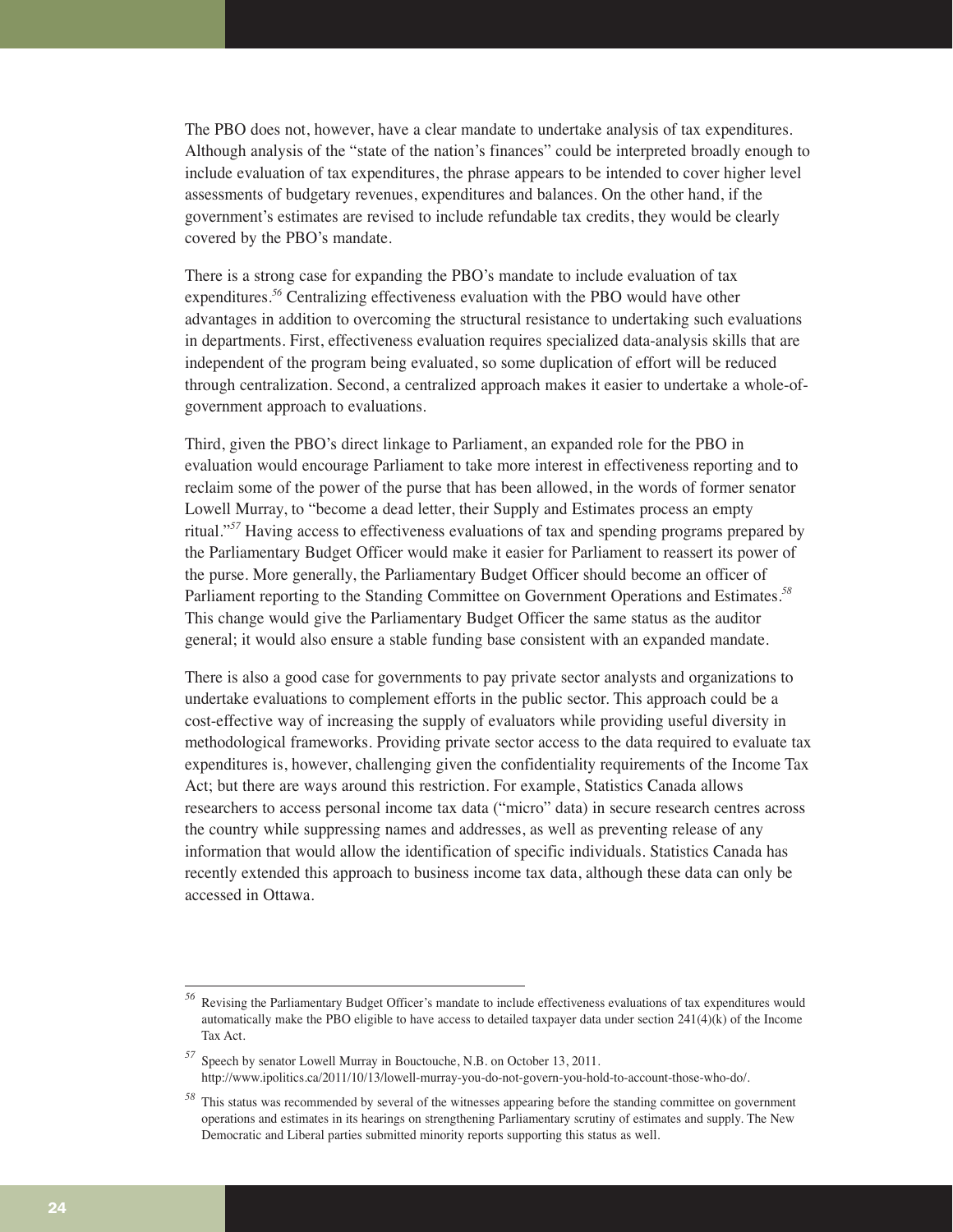The PBO does not, however, have a clear mandate to undertake analysis of tax expenditures. Although analysis of the "state of the nation's finances" could be interpreted broadly enough to include evaluation of tax expenditures, the phrase appears to be intended to cover higher level assessments of budgetary revenues, expenditures and balances. On the other hand, if the government's estimates are revised to include refundable tax credits, they would be clearly covered by the PBO's mandate.

There is a strong case for expanding the PBO's mandate to include evaluation of tax expenditures.*<sup>56</sup>* Centralizing effectiveness evaluation with the PBO would have other advantages in addition to overcoming the structural resistance to undertaking such evaluations in departments. First, effectiveness evaluation requires specialized data-analysis skills that are independent of the program being evaluated, so some duplication of effort will be reduced through centralization. Second, a centralized approach makes it easier to undertake a whole-ofgovernment approach to evaluations.

Third, given the PBO's direct linkage to Parliament, an expanded role for the PBO in evaluation would encourage Parliament to take more interest in effectiveness reporting and to reclaim some of the power of the purse that has been allowed, in the words of former senator Lowell Murray, to "become a dead letter, their Supply and Estimates process an empty ritual."*<sup>57</sup>* Having access to effectiveness evaluations of tax and spending programs prepared by the Parliamentary Budget Officer would make it easier for Parliament to reassert its power of the purse. More generally, the Parliamentary Budget Officer should become an officer of Parliament reporting to the Standing Committee on Government Operations and Estimates.*<sup>58</sup>* This change would give the Parliamentary Budget Officer the same status as the auditor general; it would also ensure a stable funding base consistent with an expanded mandate.

There is also a good case for governments to pay private sector analysts and organizations to undertake evaluations to complement efforts in the public sector. This approach could be a cost-effective way of increasing the supply of evaluators while providing useful diversity in methodological frameworks. Providing private sector access to the data required to evaluate tax expenditures is, however, challenging given the confidentiality requirements of the Income Tax Act; but there are ways around this restriction. For example, Statistics Canada allows researchers to access personal income tax data ("micro" data) in secure research centres across the country while suppressing names and addresses, as well as preventing release of any information that would allow the identification of specific individuals. Statistics Canada has recently extended this approach to business income tax data, although these data can only be accessed in Ottawa.

*<sup>57</sup>* Speech by senator Lowell Murray in Bouctouche, N.B. on October 13, 2011. http://www.ipolitics.ca/2011/10/13/lowell-murray-you-do-not-govern-you-hold-to-account-those-who-do/.

*<sup>56</sup>* Revising the Parliamentary Budget Officer's mandate to include effectiveness evaluations of tax expenditures would automatically make the PBO eligible to have access to detailed taxpayer data under section 241(4)(k) of the Income Tax Act.

*<sup>58</sup>* This status was recommended by several of the witnesses appearing before the standing committee on government operations and estimates in its hearings on strengthening Parliamentary scrutiny of estimates and supply. The New Democratic and Liberal parties submitted minority reports supporting this status as well.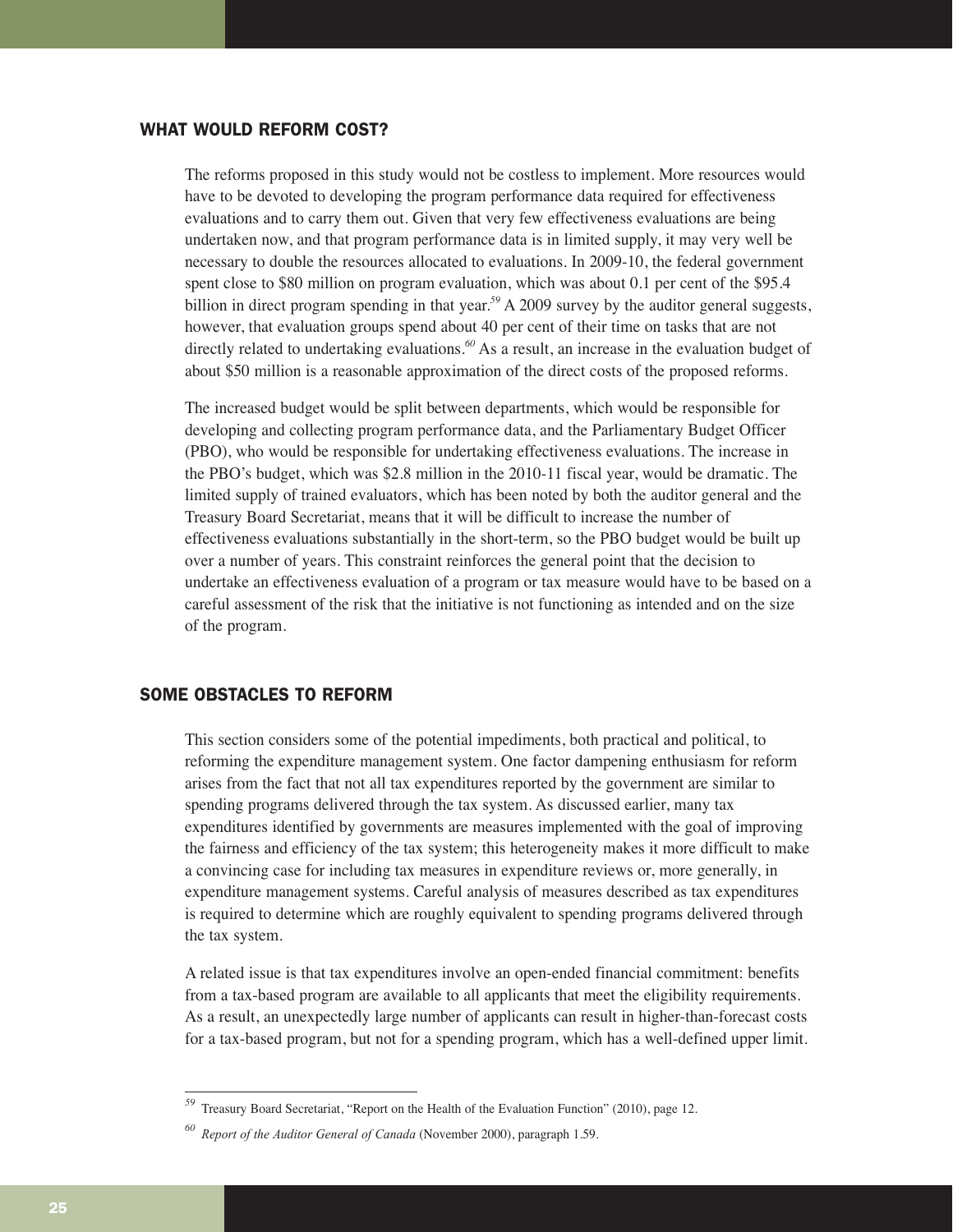# WHAT WOULD REFORM COST?

The reforms proposed in this study would not be costless to implement. More resources would have to be devoted to developing the program performance data required for effectiveness evaluations and to carry them out. Given that very few effectiveness evaluations are being undertaken now, and that program performance data is in limited supply, it may very well be necessary to double the resources allocated to evaluations. In 2009-10, the federal government spent close to \$80 million on program evaluation, which was about 0.1 per cent of the \$95.4 billion in direct program spending in that year.<sup>59</sup> A 2009 survey by the auditor general suggests, however, that evaluation groups spend about 40 per cent of their time on tasks that are not directly related to undertaking evaluations.<sup>60</sup> As a result, an increase in the evaluation budget of about \$50 million is a reasonable approximation of the direct costs of the proposed reforms.

The increased budget would be split between departments, which would be responsible for developing and collecting program performance data, and the Parliamentary Budget Officer (PBO), who would be responsible for undertaking effectiveness evaluations. The increase in the PBO's budget, which was \$2.8 million in the 2010-11 fiscal year, would be dramatic. The limited supply of trained evaluators, which has been noted by both the auditor general and the Treasury Board Secretariat, means that it will be difficult to increase the number of effectiveness evaluations substantially in the short-term, so the PBO budget would be built up over a number of years. This constraint reinforces the general point that the decision to undertake an effectiveness evaluation of a program or tax measure would have to be based on a careful assessment of the risk that the initiative is not functioning as intended and on the size of the program.

# SOME OBSTACLES TO REFORM

This section considers some of the potential impediments, both practical and political, to reforming the expenditure management system. One factor dampening enthusiasm for reform arises from the fact that not all tax expenditures reported by the government are similar to spending programs delivered through the tax system. As discussed earlier, many tax expenditures identified by governments are measures implemented with the goal of improving the fairness and efficiency of the tax system; this heterogeneity makes it more difficult to make a convincing case for including tax measures in expenditure reviews or, more generally, in expenditure management systems. Careful analysis of measures described as tax expenditures is required to determine which are roughly equivalent to spending programs delivered through the tax system.

A related issue is that tax expenditures involve an open-ended financial commitment: benefits from a tax-based program are available to all applicants that meet the eligibility requirements. As a result, an unexpectedly large number of applicants can result in higher-than-forecast costs for a tax-based program, but not for a spending program, which has a well-defined upper limit.

*<sup>59</sup>* Treasury Board Secretariat, "Report on the Health of the Evaluation Function" (2010), page 12.

*<sup>60</sup> Report of the Auditor General of Canada* (November 2000), paragraph 1.59.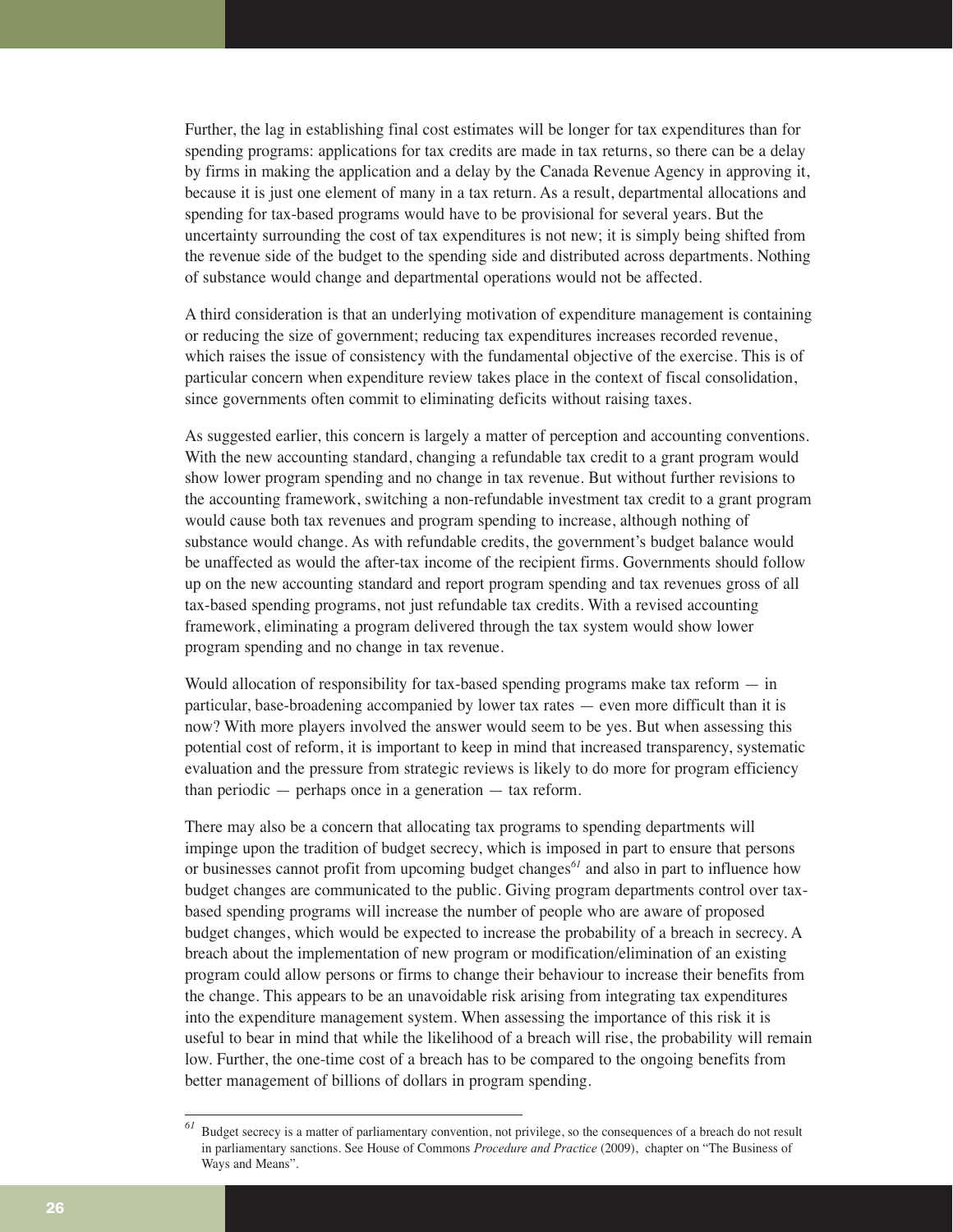Further, the lag in establishing final cost estimates will be longer for tax expenditures than for spending programs: applications for tax credits are made in tax returns, so there can be a delay by firms in making the application and a delay by the Canada Revenue Agency in approving it, because it is just one element of many in a tax return. As a result, departmental allocations and spending for tax-based programs would have to be provisional for several years. But the uncertainty surrounding the cost of tax expenditures is not new; it is simply being shifted from the revenue side of the budget to the spending side and distributed across departments. Nothing of substance would change and departmental operations would not be affected.

A third consideration is that an underlying motivation of expenditure management is containing or reducing the size of government; reducing tax expenditures increases recorded revenue, which raises the issue of consistency with the fundamental objective of the exercise. This is of particular concern when expenditure review takes place in the context of fiscal consolidation, since governments often commit to eliminating deficits without raising taxes.

As suggested earlier, this concern is largely a matter of perception and accounting conventions. With the new accounting standard, changing a refundable tax credit to a grant program would show lower program spending and no change in tax revenue. But without further revisions to the accounting framework, switching a non-refundable investment tax credit to a grant program would cause both tax revenues and program spending to increase, although nothing of substance would change. As with refundable credits, the government's budget balance would be unaffected as would the after-tax income of the recipient firms. Governments should follow up on the new accounting standard and report program spending and tax revenues gross of all tax-based spending programs, not just refundable tax credits. With a revised accounting framework, eliminating a program delivered through the tax system would show lower program spending and no change in tax revenue.

Would allocation of responsibility for tax-based spending programs make tax reform — in particular, base-broadening accompanied by lower tax rates — even more difficult than it is now? With more players involved the answer would seem to be yes. But when assessing this potential cost of reform, it is important to keep in mind that increased transparency, systematic evaluation and the pressure from strategic reviews is likely to do more for program efficiency than periodic — perhaps once in a generation — tax reform.

There may also be a concern that allocating tax programs to spending departments will impinge upon the tradition of budget secrecy, which is imposed in part to ensure that persons or businesses cannot profit from upcoming budget changes*<sup>61</sup>* and also in part to influence how budget changes are communicated to the public. Giving program departments control over taxbased spending programs will increase the number of people who are aware of proposed budget changes, which would be expected to increase the probability of a breach in secrecy. A breach about the implementation of new program or modification/elimination of an existing program could allow persons or firms to change their behaviour to increase their benefits from the change. This appears to be an unavoidable risk arising from integrating tax expenditures into the expenditure management system. When assessing the importance of this risk it is useful to bear in mind that while the likelihood of a breach will rise, the probability will remain low. Further, the one-time cost of a breach has to be compared to the ongoing benefits from better management of billions of dollars in program spending.

*<sup>61</sup>* Budget secrecy is a matter of parliamentary convention, not privilege, so the consequences of a breach do not result in parliamentary sanctions. See House of Commons *Procedure and Practice* (2009), chapter on "The Business of Ways and Means".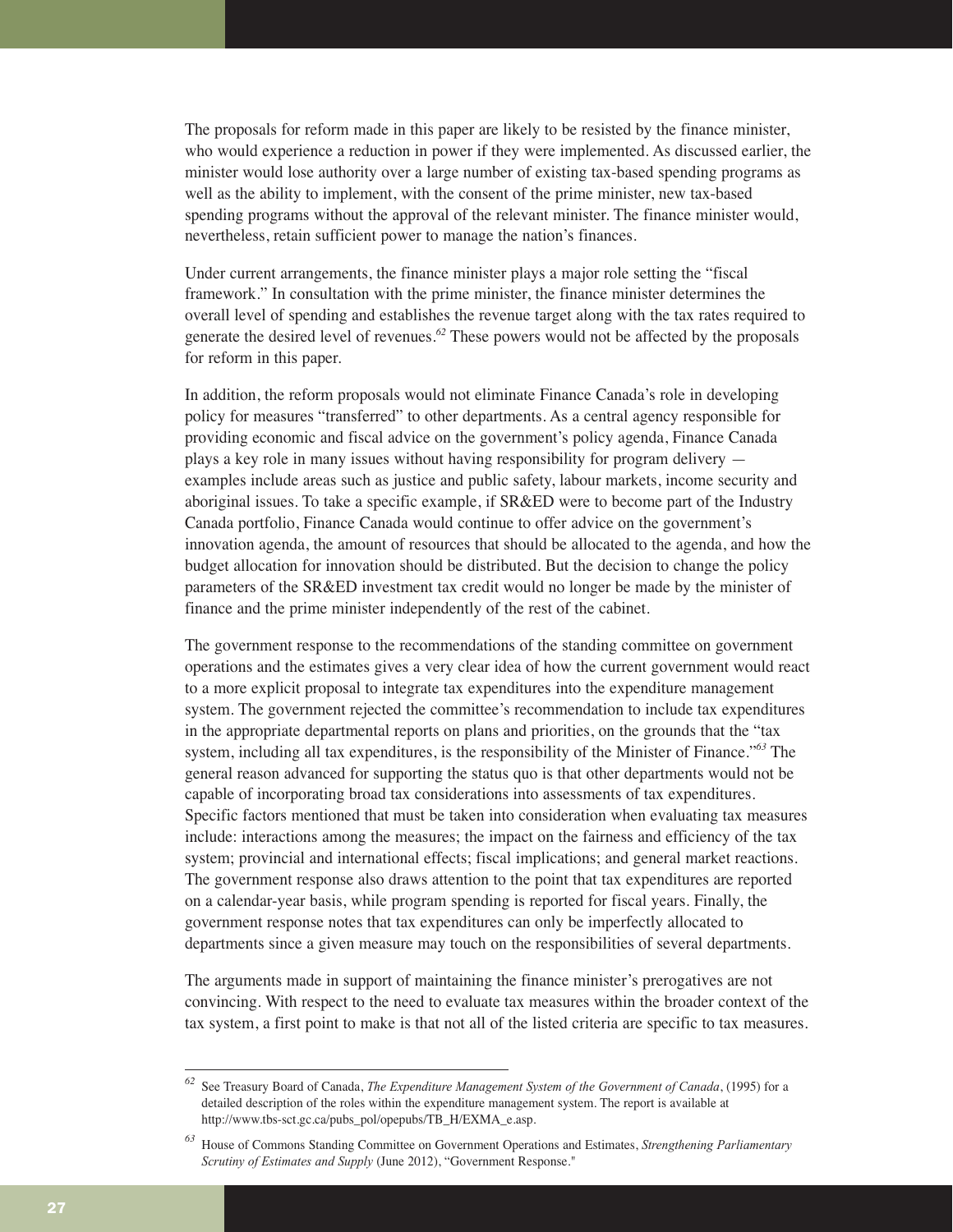The proposals for reform made in this paper are likely to be resisted by the finance minister, who would experience a reduction in power if they were implemented. As discussed earlier, the minister would lose authority over a large number of existing tax-based spending programs as well as the ability to implement, with the consent of the prime minister, new tax-based spending programs without the approval of the relevant minister. The finance minister would, nevertheless, retain sufficient power to manage the nation's finances.

Under current arrangements, the finance minister plays a major role setting the "fiscal framework." In consultation with the prime minister, the finance minister determines the overall level of spending and establishes the revenue target along with the tax rates required to generate the desired level of revenues.*<sup>62</sup>* These powers would not be affected by the proposals for reform in this paper.

In addition, the reform proposals would not eliminate Finance Canada's role in developing policy for measures "transferred" to other departments. As a central agency responsible for providing economic and fiscal advice on the government's policy agenda, Finance Canada plays a key role in many issues without having responsibility for program delivery examples include areas such as justice and public safety, labour markets, income security and aboriginal issues. To take a specific example, if SR&ED were to become part of the Industry Canada portfolio, Finance Canada would continue to offer advice on the government's innovation agenda, the amount of resources that should be allocated to the agenda, and how the budget allocation for innovation should be distributed. But the decision to change the policy parameters of the SR&ED investment tax credit would no longer be made by the minister of finance and the prime minister independently of the rest of the cabinet.

The government response to the recommendations of the standing committee on government operations and the estimates gives a very clear idea of how the current government would react to a more explicit proposal to integrate tax expenditures into the expenditure management system. The government rejected the committee's recommendation to include tax expenditures in the appropriate departmental reports on plans and priorities, on the grounds that the "tax system, including all tax expenditures, is the responsibility of the Minister of Finance."*<sup>63</sup>* The general reason advanced for supporting the status quo is that other departments would not be capable of incorporating broad tax considerations into assessments of tax expenditures. Specific factors mentioned that must be taken into consideration when evaluating tax measures include: interactions among the measures; the impact on the fairness and efficiency of the tax system; provincial and international effects; fiscal implications; and general market reactions. The government response also draws attention to the point that tax expenditures are reported on a calendar-year basis, while program spending is reported for fiscal years. Finally, the government response notes that tax expenditures can only be imperfectly allocated to departments since a given measure may touch on the responsibilities of several departments.

The arguments made in support of maintaining the finance minister's prerogatives are not convincing. With respect to the need to evaluate tax measures within the broader context of the tax system, a first point to make is that not all of the listed criteria are specific to tax measures.

*<sup>62</sup>* See Treasury Board of Canada, *The Expenditure Management System of the Government of Canada*, (1995) for a detailed description of the roles within the expenditure management system. The report is available at http://www.tbs-sct.gc.ca/pubs\_pol/opepubs/TB\_H/EXMA\_e.asp.

*<sup>63</sup>* House of Commons Standing Committee on Government Operations and Estimates, *Strengthening Parliamentary Scrutiny of Estimates and Supply* (June 2012), "Government Response."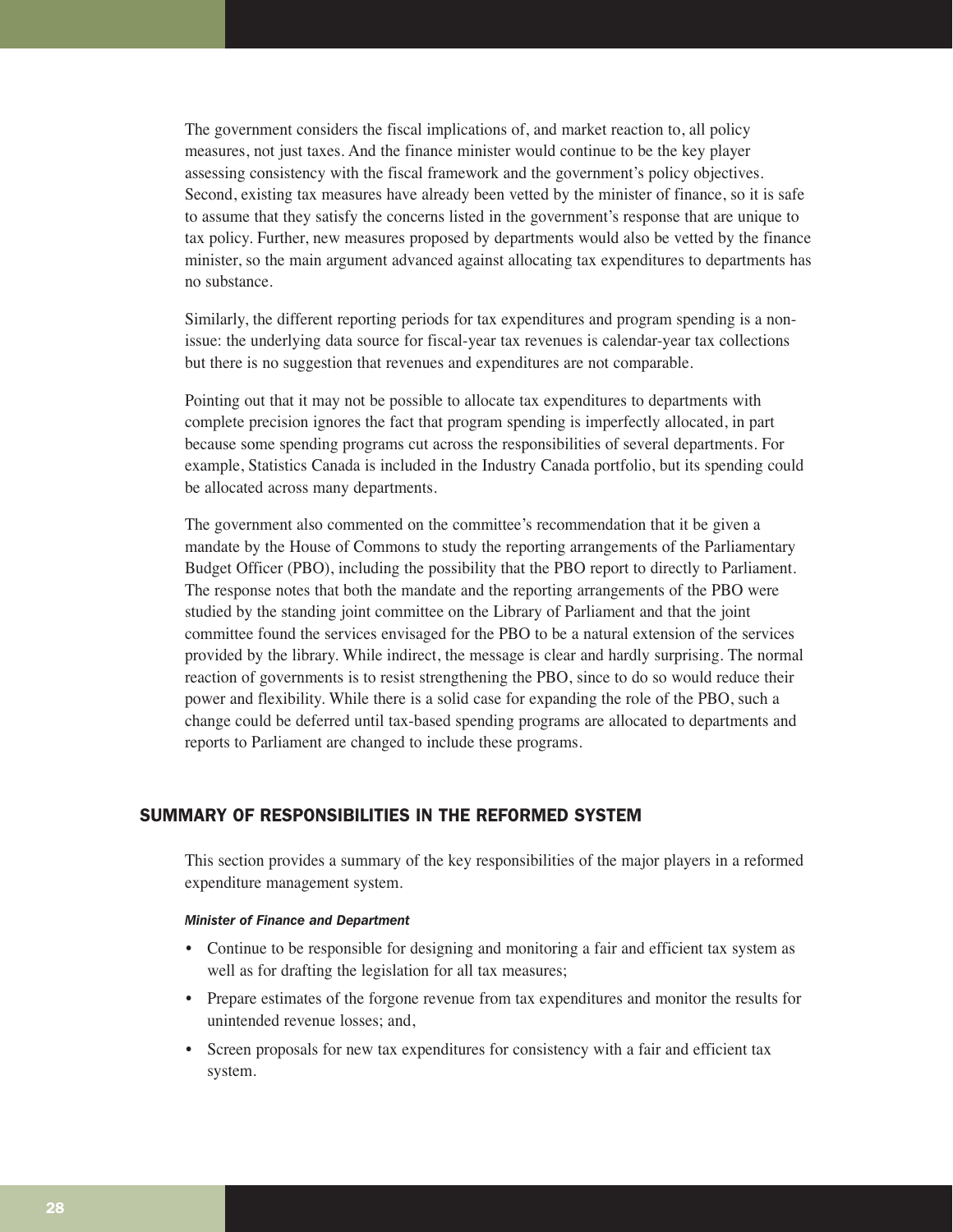The government considers the fiscal implications of, and market reaction to, all policy measures, not just taxes. And the finance minister would continue to be the key player assessing consistency with the fiscal framework and the government's policy objectives. Second, existing tax measures have already been vetted by the minister of finance, so it is safe to assume that they satisfy the concerns listed in the government's response that are unique to tax policy. Further, new measures proposed by departments would also be vetted by the finance minister, so the main argument advanced against allocating tax expenditures to departments has no substance.

Similarly, the different reporting periods for tax expenditures and program spending is a nonissue: the underlying data source for fiscal-year tax revenues is calendar-year tax collections but there is no suggestion that revenues and expenditures are not comparable.

Pointing out that it may not be possible to allocate tax expenditures to departments with complete precision ignores the fact that program spending is imperfectly allocated, in part because some spending programs cut across the responsibilities of several departments. For example, Statistics Canada is included in the Industry Canada portfolio, but its spending could be allocated across many departments.

The government also commented on the committee's recommendation that it be given a mandate by the House of Commons to study the reporting arrangements of the Parliamentary Budget Officer (PBO), including the possibility that the PBO report to directly to Parliament. The response notes that both the mandate and the reporting arrangements of the PBO were studied by the standing joint committee on the Library of Parliament and that the joint committee found the services envisaged for the PBO to be a natural extension of the services provided by the library. While indirect, the message is clear and hardly surprising. The normal reaction of governments is to resist strengthening the PBO, since to do so would reduce their power and flexibility. While there is a solid case for expanding the role of the PBO, such a change could be deferred until tax-based spending programs are allocated to departments and reports to Parliament are changed to include these programs.

# SUMMARY OF RESPONSIBILITIES IN THE REFORMED SYSTEM

This section provides a summary of the key responsibilities of the major players in a reformed expenditure management system.

#### *Minister of Finance and Department*

- Continue to be responsible for designing and monitoring a fair and efficient tax system as well as for drafting the legislation for all tax measures;
- Prepare estimates of the forgone revenue from tax expenditures and monitor the results for unintended revenue losses; and,
- Screen proposals for new tax expenditures for consistency with a fair and efficient tax system.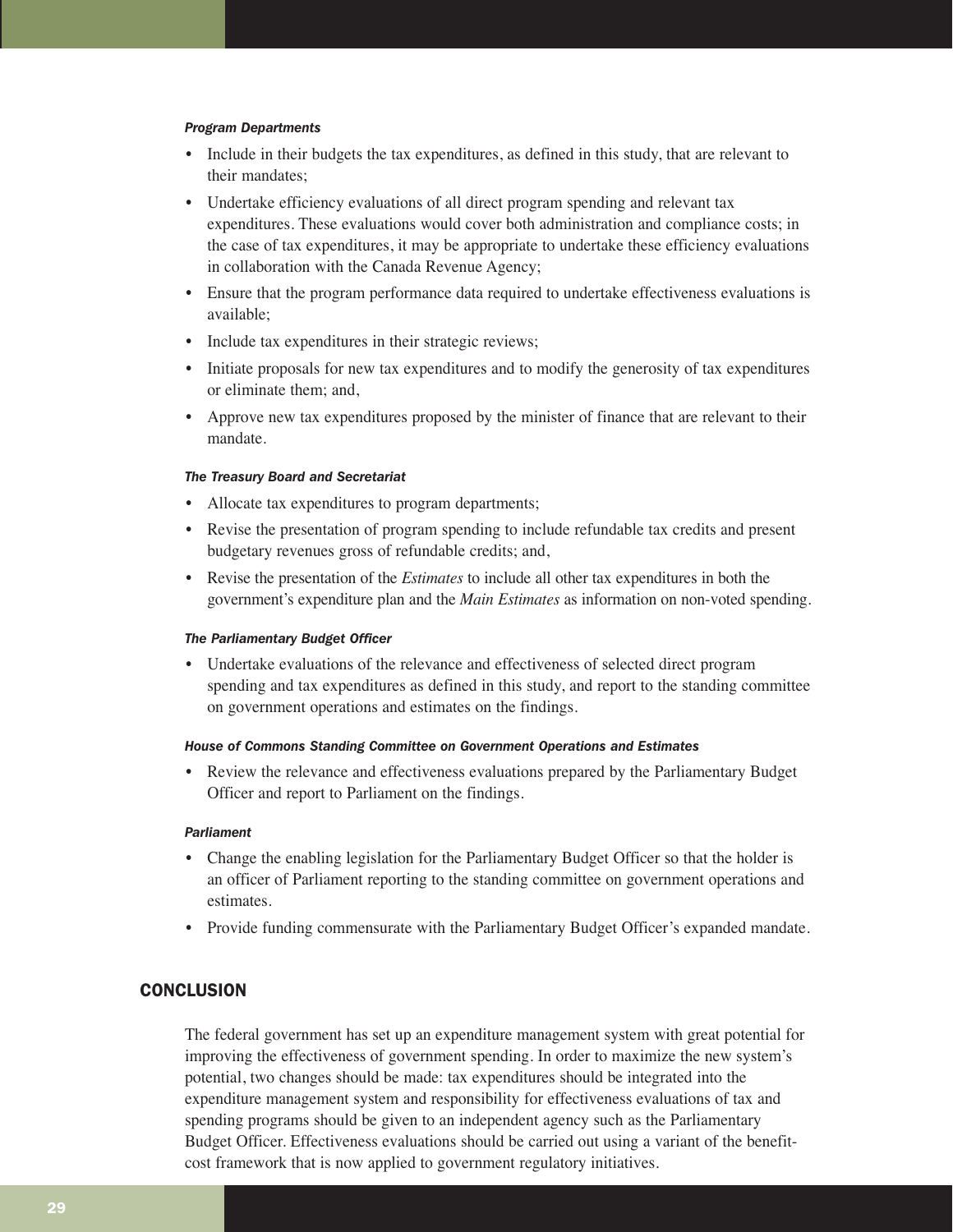#### *Program Departments*

- Include in their budgets the tax expenditures, as defined in this study, that are relevant to their mandates;
- Undertake efficiency evaluations of all direct program spending and relevant tax expenditures. These evaluations would cover both administration and compliance costs; in the case of tax expenditures, it may be appropriate to undertake these efficiency evaluations in collaboration with the Canada Revenue Agency;
- Ensure that the program performance data required to undertake effectiveness evaluations is available;
- Include tax expenditures in their strategic reviews;
- Initiate proposals for new tax expenditures and to modify the generosity of tax expenditures or eliminate them; and,
- Approve new tax expenditures proposed by the minister of finance that are relevant to their mandate.

#### *The Treasury Board and Secretariat*

- Allocate tax expenditures to program departments;
- Revise the presentation of program spending to include refundable tax credits and present budgetary revenues gross of refundable credits; and,
- Revise the presentation of the *Estimates* to include all other tax expenditures in both the government's expenditure plan and the *Main Estimates* as information on non-voted spending.

#### *The Parliamentary Budget Officer*

• Undertake evaluations of the relevance and effectiveness of selected direct program spending and tax expenditures as defined in this study, and report to the standing committee on government operations and estimates on the findings.

#### *House of Commons Standing Committee on Government Operations and Estimates*

• Review the relevance and effectiveness evaluations prepared by the Parliamentary Budget Officer and report to Parliament on the findings.

#### *Parliament*

- Change the enabling legislation for the Parliamentary Budget Officer so that the holder is an officer of Parliament reporting to the standing committee on government operations and estimates.
- Provide funding commensurate with the Parliamentary Budget Officer's expanded mandate.

# **CONCLUSION**

The federal government has set up an expenditure management system with great potential for improving the effectiveness of government spending. In order to maximize the new system's potential, two changes should be made: tax expenditures should be integrated into the expenditure management system and responsibility for effectiveness evaluations of tax and spending programs should be given to an independent agency such as the Parliamentary Budget Officer. Effectiveness evaluations should be carried out using a variant of the benefitcost framework that is now applied to government regulatory initiatives.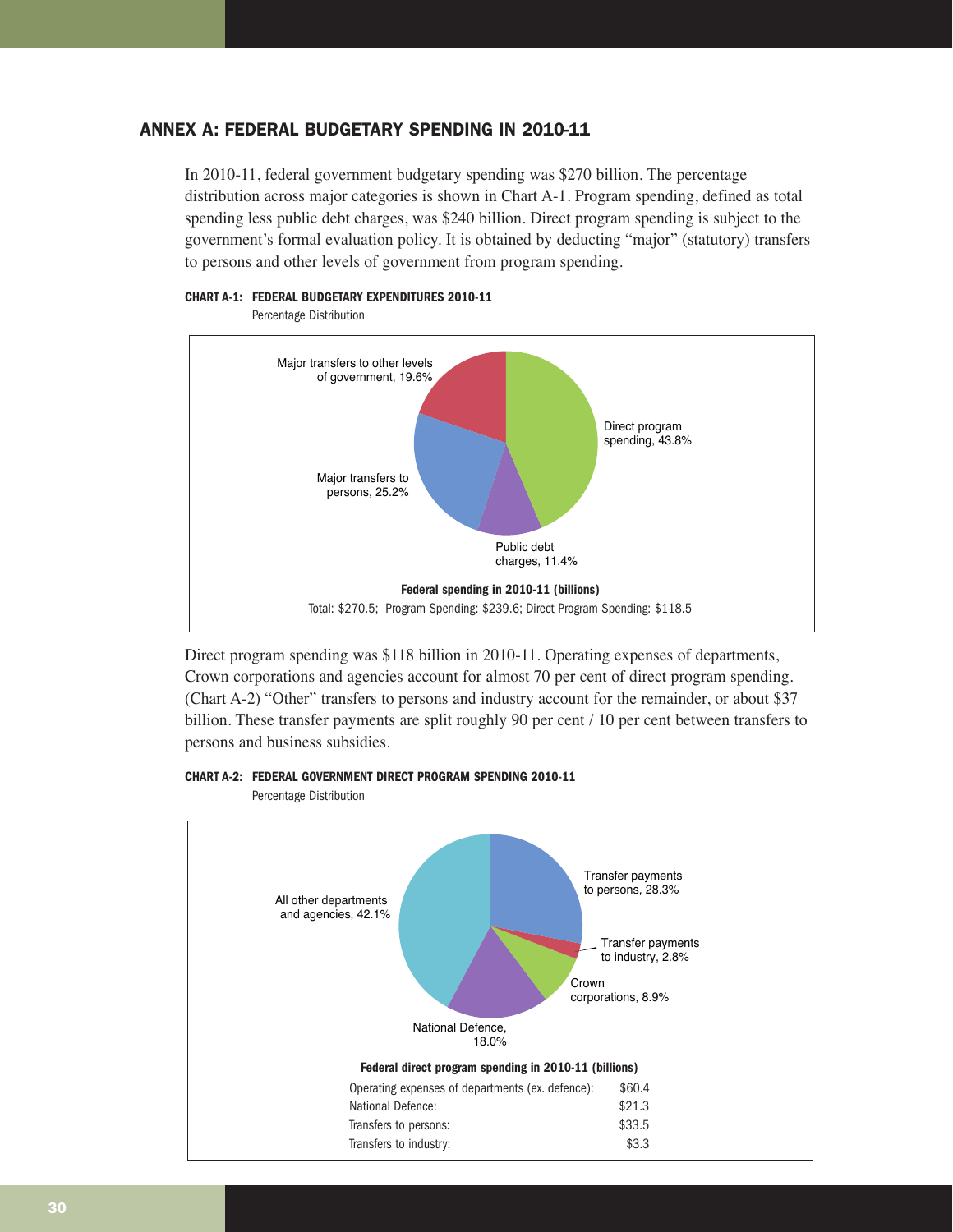# ANNEX A: FEDERAL BUDGETARY SPENDING IN 2010-11

In 2010-11, federal government budgetary spending was \$270 billion. The percentage distribution across major categories is shown in Chart A-1. Program spending, defined as total spending less public debt charges, was \$240 billion. Direct program spending is subject to the government's formal evaluation policy. It is obtained by deducting "major" (statutory) transfers to persons and other levels of government from program spending.



Direct program spending was \$118 billion in 2010-11. Operating expenses of departments, Crown corporations and agencies account for almost 70 per cent of direct program spending. (Chart A-2) "Other" transfers to persons and industry account for the remainder, or about \$37 billion. These transfer payments are split roughly 90 per cent / 10 per cent between transfers to persons and business subsidies.

**CHART A-2: FEDERAL GOVERNMENT DIRECT PROGRAM SPENDING 2010-11**

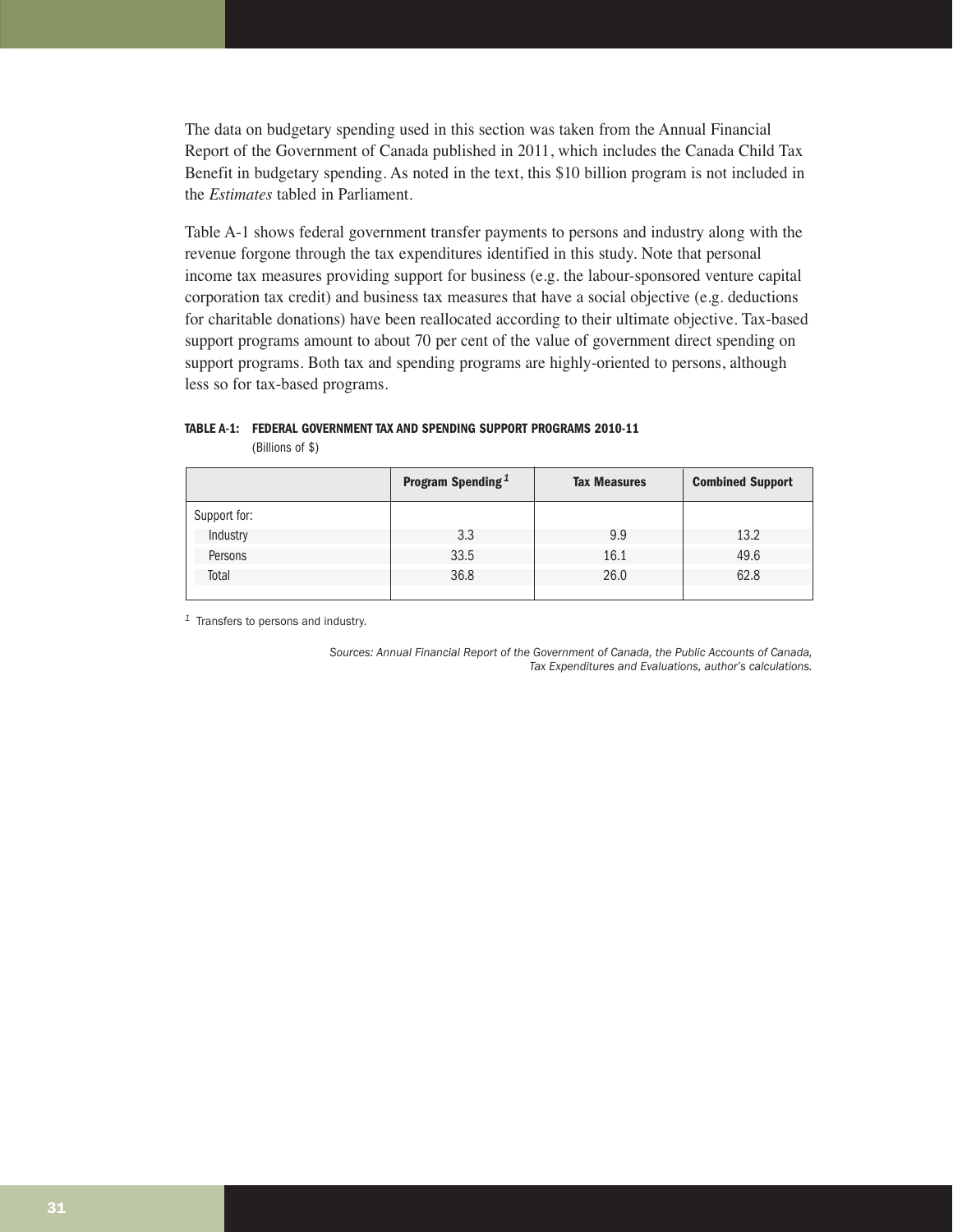The data on budgetary spending used in this section was taken from the Annual Financial Report of the Government of Canada published in 2011, which includes the Canada Child Tax Benefit in budgetary spending. As noted in the text, this \$10 billion program is not included in the *Estimates* tabled in Parliament.

Table A-1 shows federal government transfer payments to persons and industry along with the revenue forgone through the tax expenditures identified in this study. Note that personal income tax measures providing support for business (e.g. the labour-sponsored venture capital corporation tax credit) and business tax measures that have a social objective (e.g. deductions for charitable donations) have been reallocated according to their ultimate objective. Tax-based support programs amount to about 70 per cent of the value of government direct spending on support programs. Both tax and spending programs are highly-oriented to persons, although less so for tax-based programs.

# **TABLE A-1: FEDERAL GOVERNMENT TAX AND SPENDING SUPPORT PROGRAMS 2010-11**

(Billions of \$)

|              | <b>Program Spending</b> <sup>1</sup> | <b>Tax Measures</b> | <b>Combined Support</b> |
|--------------|--------------------------------------|---------------------|-------------------------|
| Support for: |                                      |                     |                         |
| Industry     | 3.3                                  | 9.9                 | 13.2                    |
| Persons      | 33.5                                 | 16.1                | 49.6                    |
| Total        | 36.8                                 | 26.0                | 62.8                    |
|              |                                      |                     |                         |

*<sup>1</sup>* Transfers to persons and industry.

*Sources: Annual Financial Report of the Government of Canada, the Public Accounts of Canada, Tax Expenditures and Evaluations, author's calculations.*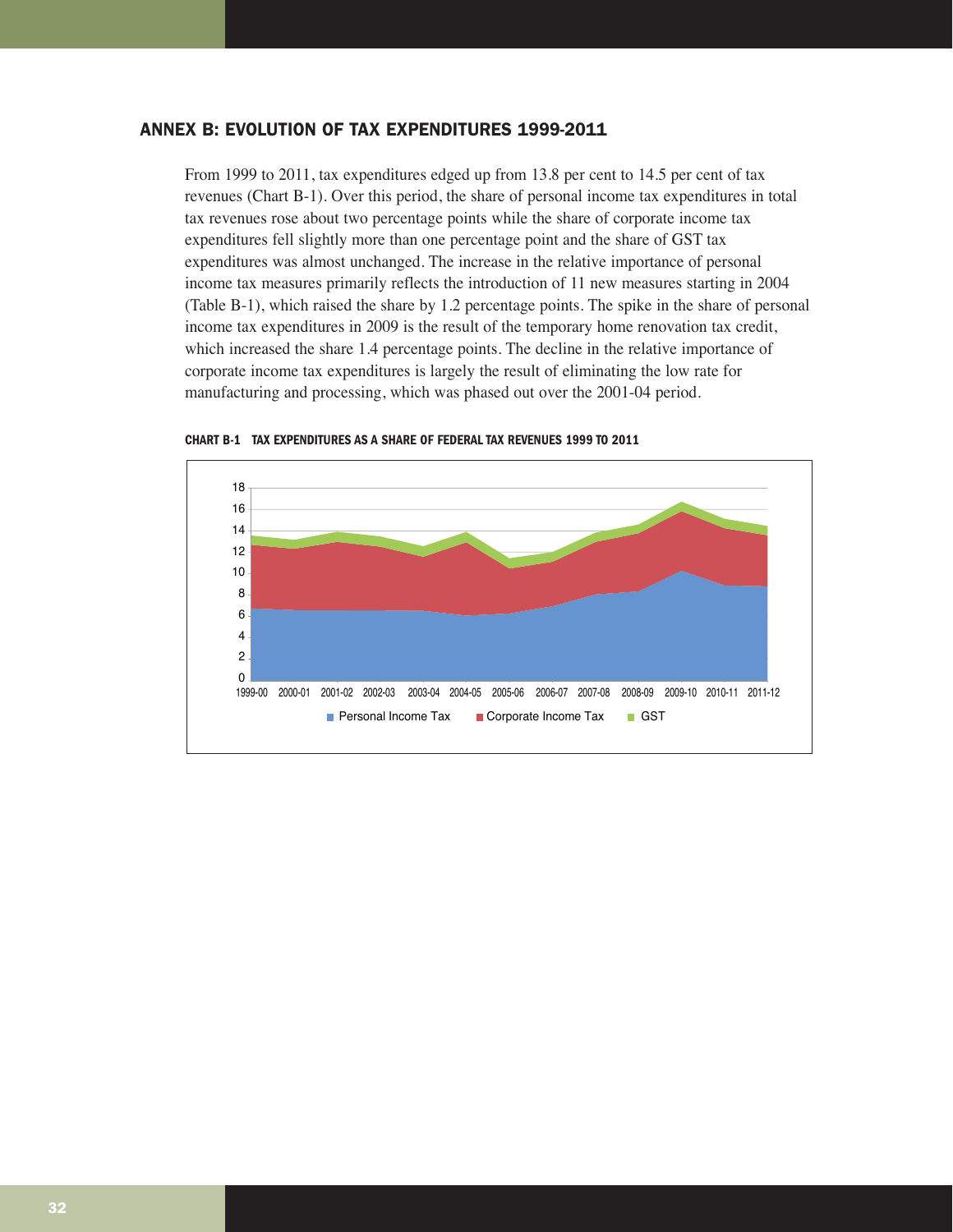# ANNEX B: EVOLUTION OF TAX EXPENDITURES 1999-2011

From 1999 to 2011, tax expenditures edged up from 13.8 per cent to 14.5 per cent of tax revenues (Chart B-1). Over this period, the share of personal income tax expenditures in total tax revenues rose about two percentage points while the share of corporate income tax expenditures fell slightly more than one percentage point and the share of GST tax expenditures was almost unchanged. The increase in the relative importance of personal income tax measures primarily reflects the introduction of 11 new measures starting in 2004 (Table B-1), which raised the share by 1.2 percentage points. The spike in the share of personal income tax expenditures in 2009 is the result of the temporary home renovation tax credit, which increased the share 1.4 percentage points. The decline in the relative importance of corporate income tax expenditures is largely the result of eliminating the low rate for manufacturing and processing, which was phased out over the 2001-04 period.



**CHART B-1 TAX EXPENDITURES AS A SHARE OF FEDERAL TAX REVENUES 1999 TO 2011**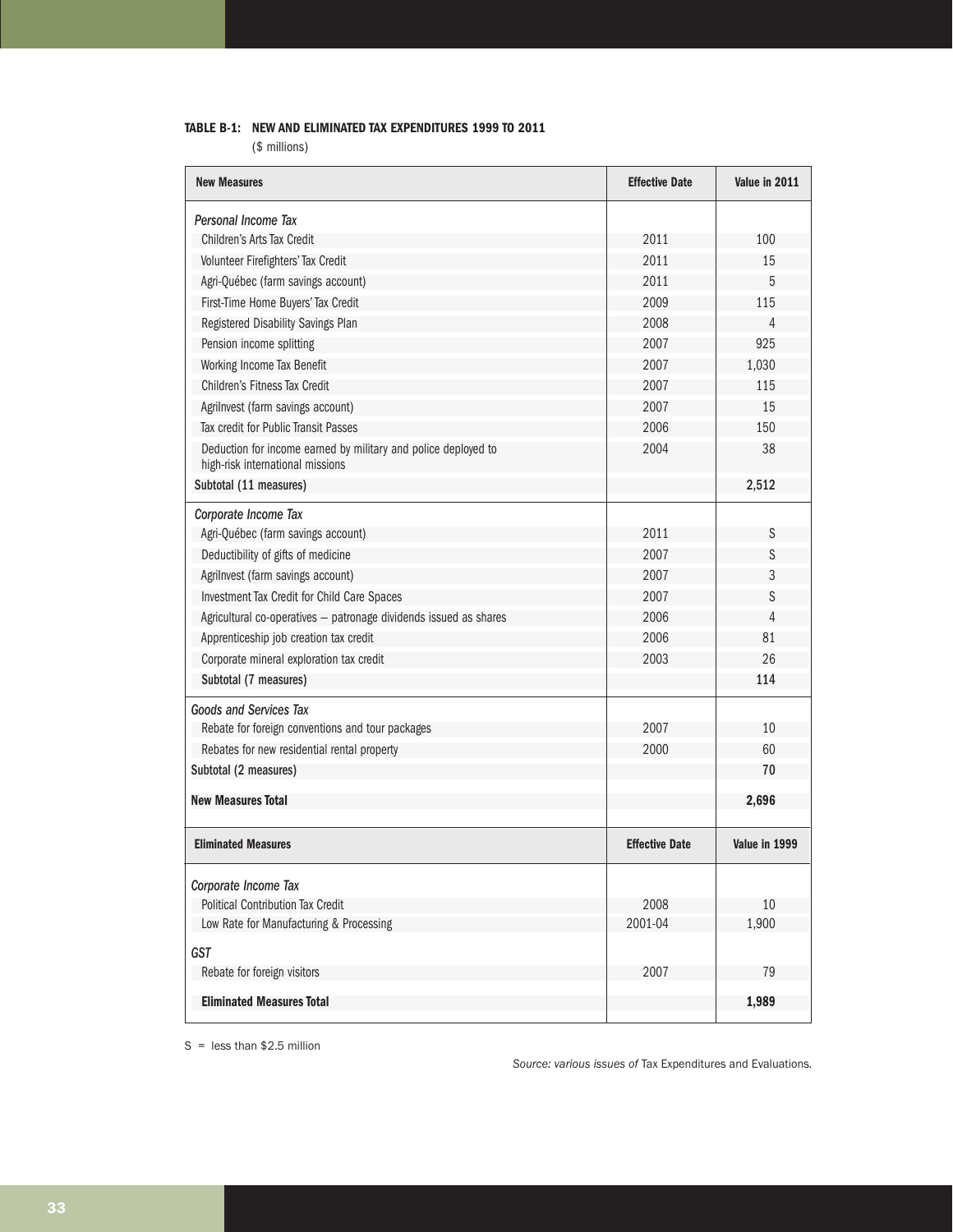# **TABLE B-1: NEW AND ELIMINATED TAX EXPENDITURES 1999 TO 2011**

(\$ millions)

| <b>New Measures</b>                                                                                | <b>Effective Date</b> | Value in 2011 |
|----------------------------------------------------------------------------------------------------|-----------------------|---------------|
| Personal Income Tax                                                                                |                       |               |
| Children's Arts Tax Credit                                                                         | 2011                  | 100           |
| Volunteer Firefighters' Tax Credit                                                                 | 2011                  | 15            |
| Agri-Québec (farm savings account)                                                                 | 2011                  | 5             |
| First-Time Home Buyers' Tax Credit                                                                 | 2009                  | 115           |
| Registered Disability Savings Plan                                                                 | 2008                  | 4             |
| Pension income splitting                                                                           | 2007                  | 925           |
| Working Income Tax Benefit                                                                         | 2007                  | 1,030         |
| Children's Fitness Tax Credit                                                                      | 2007                  | 115           |
| Agrilnvest (farm savings account)                                                                  | 2007                  | 15            |
| Tax credit for Public Transit Passes                                                               | 2006                  | 150           |
| Deduction for income earned by military and police deployed to<br>high-risk international missions | 2004                  | 38            |
| Subtotal (11 measures)                                                                             |                       | 2,512         |
| Corporate Income Tax                                                                               |                       |               |
| Agri-Québec (farm savings account)                                                                 | 2011                  | S             |
| Deductibility of gifts of medicine                                                                 | 2007                  | S             |
| Agrilnvest (farm savings account)                                                                  | 2007                  | 3             |
| Investment Tax Credit for Child Care Spaces                                                        | 2007                  | S             |
| Agricultural co-operatives - patronage dividends issued as shares                                  | 2006                  | 4             |
| Apprenticeship job creation tax credit                                                             | 2006                  | 81            |
| Corporate mineral exploration tax credit                                                           | 2003                  | 26            |
| Subtotal (7 measures)                                                                              |                       | 114           |
| Goods and Services Tax                                                                             |                       |               |
| Rebate for foreign conventions and tour packages                                                   | 2007                  | 10            |
| Rebates for new residential rental property                                                        | 2000                  | 60            |
| Subtotal (2 measures)                                                                              |                       | 70            |
| <b>New Measures Total</b>                                                                          |                       | 2,696         |
| <b>Eliminated Measures</b>                                                                         | <b>Effective Date</b> | Value in 1999 |
|                                                                                                    |                       |               |
| Corporate Income Tax                                                                               |                       |               |
| Political Contribution Tax Credit<br>Low Rate for Manufacturing & Processing                       | 2008<br>2001-04       | 10<br>1,900   |
| <b>GST</b>                                                                                         |                       |               |
| Rebate for foreign visitors                                                                        | 2007                  | 79            |
|                                                                                                    |                       |               |
| <b>Eliminated Measures Total</b>                                                                   |                       | 1,989         |

 $S =$  less than \$2.5 million

*Source: various issues of* Tax Expenditures and Evaluations*.*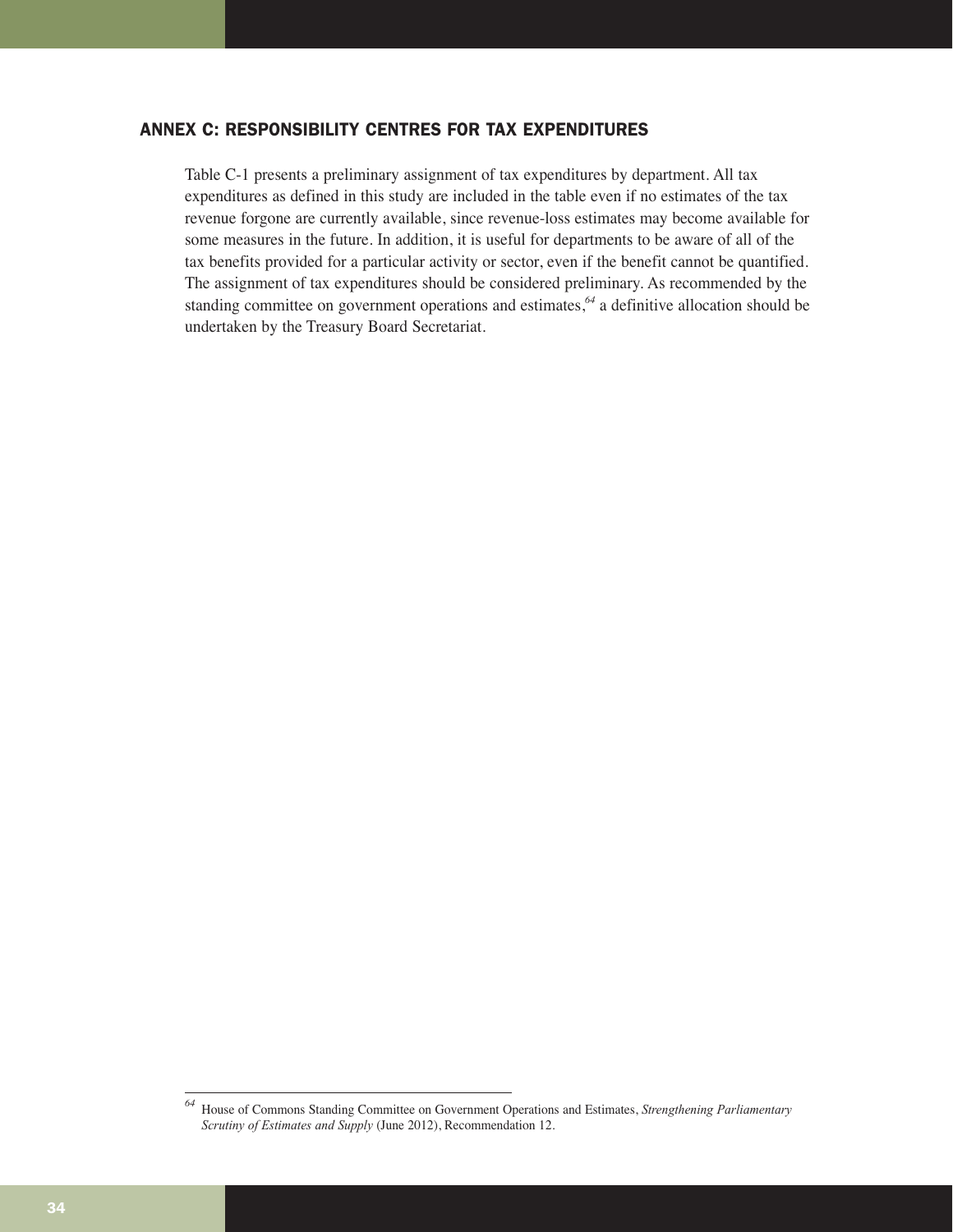# ANNEX C: RESPONSIBILITY CENTRES FOR TAX EXPENDITURES

Table C-1 presents a preliminary assignment of tax expenditures by department. All tax expenditures as defined in this study are included in the table even if no estimates of the tax revenue forgone are currently available, since revenue-loss estimates may become available for some measures in the future. In addition, it is useful for departments to be aware of all of the tax benefits provided for a particular activity or sector, even if the benefit cannot be quantified. The assignment of tax expenditures should be considered preliminary. As recommended by the standing committee on government operations and estimates,*<sup>64</sup>* a definitive allocation should be undertaken by the Treasury Board Secretariat.

*<sup>64</sup>* House of Commons Standing Committee on Government Operations and Estimates, *Strengthening Parliamentary Scrutiny of Estimates and Supply* (June 2012), Recommendation 12.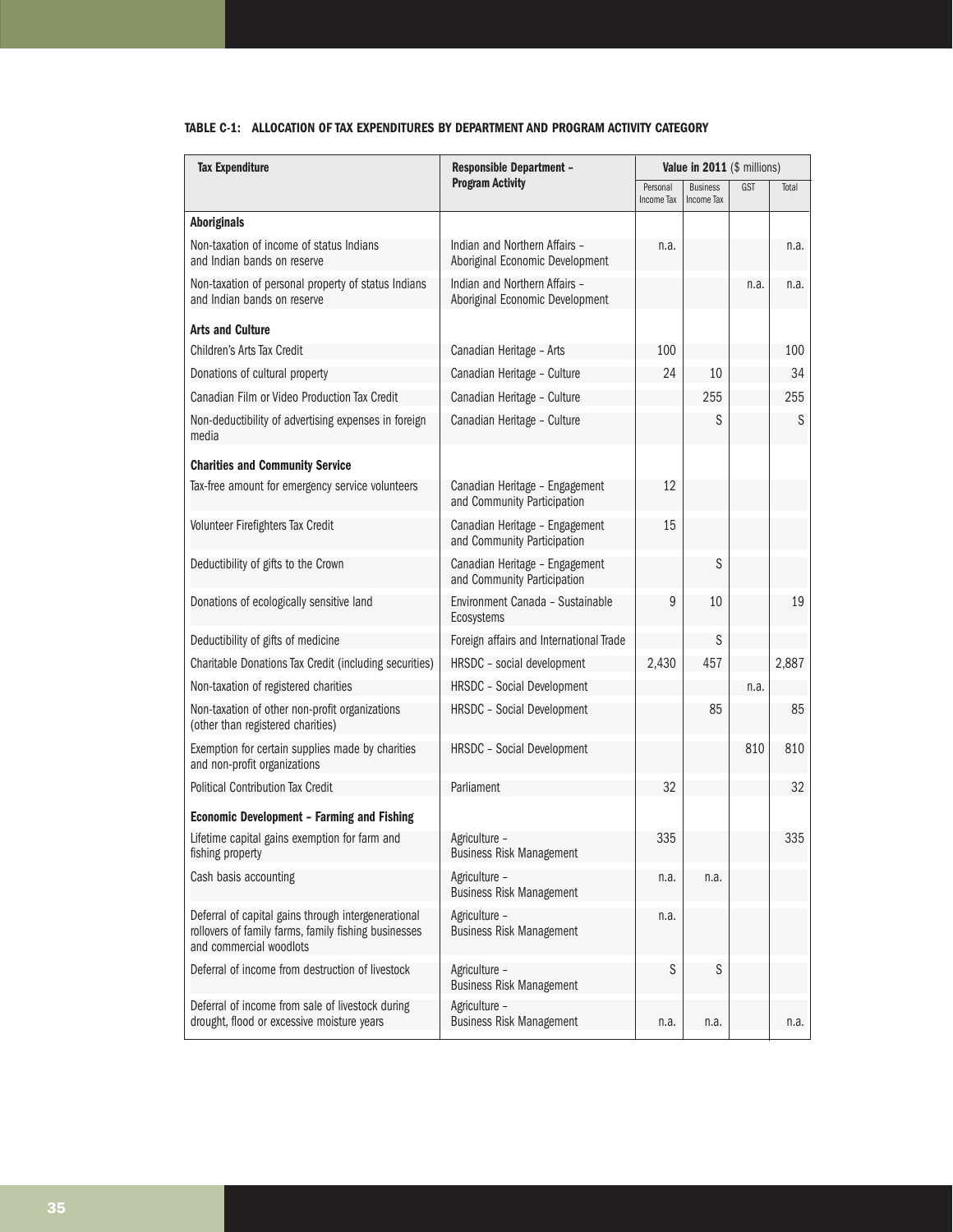# **TABLE C-1: ALLOCATION OF TAX EXPENDITURES BY DEPARTMENT AND PROGRAM ACTIVITY CATEGORY**

| <b>Tax Expenditure</b>                                                                                                                 | <b>Responsible Department -</b>                                  | Value in 2011 (\$ millions) |                               |            |       |
|----------------------------------------------------------------------------------------------------------------------------------------|------------------------------------------------------------------|-----------------------------|-------------------------------|------------|-------|
|                                                                                                                                        | <b>Program Activity</b>                                          | Personal<br>Income Tax      | <b>Business</b><br>Income Tax | <b>GST</b> | Total |
| <b>Aboriginals</b>                                                                                                                     |                                                                  |                             |                               |            |       |
| Non-taxation of income of status Indians<br>and Indian bands on reserve                                                                | Indian and Northern Affairs -<br>Aboriginal Economic Development | n.a.                        |                               |            | n.a.  |
| Non-taxation of personal property of status Indians<br>and Indian bands on reserve                                                     | Indian and Northern Affairs -<br>Aboriginal Economic Development |                             |                               | n.a.       | n.a.  |
| <b>Arts and Culture</b>                                                                                                                |                                                                  |                             |                               |            |       |
| Children's Arts Tax Credit                                                                                                             | Canadian Heritage - Arts                                         | 100                         |                               |            | 100   |
| Donations of cultural property                                                                                                         | Canadian Heritage - Culture                                      | 24                          | 10                            |            | 34    |
| Canadian Film or Video Production Tax Credit                                                                                           | Canadian Heritage - Culture                                      |                             | 255                           |            | 255   |
| Non-deductibility of advertising expenses in foreign<br>media                                                                          | Canadian Heritage - Culture                                      |                             | S                             |            | S     |
| <b>Charities and Community Service</b>                                                                                                 |                                                                  |                             |                               |            |       |
| Tax-free amount for emergency service volunteers                                                                                       | Canadian Heritage - Engagement<br>and Community Participation    | 12                          |                               |            |       |
| Volunteer Firefighters Tax Credit                                                                                                      | Canadian Heritage - Engagement<br>and Community Participation    | 15                          |                               |            |       |
| Deductibility of gifts to the Crown                                                                                                    | Canadian Heritage - Engagement<br>and Community Participation    |                             | S                             |            |       |
| Donations of ecologically sensitive land                                                                                               | Environment Canada - Sustainable<br>Ecosystems                   | 9                           | 10                            |            | 19    |
| Deductibility of gifts of medicine                                                                                                     | Foreign affairs and International Trade                          |                             | S                             |            |       |
| Charitable Donations Tax Credit (including securities)                                                                                 | HRSDC - social development                                       | 2,430                       | 457                           |            | 2,887 |
| Non-taxation of registered charities                                                                                                   | <b>HRSDC</b> - Social Development                                |                             |                               | n.a.       |       |
| Non-taxation of other non-profit organizations<br>(other than registered charities)                                                    | <b>HRSDC</b> - Social Development                                |                             | 85                            |            | 85    |
| Exemption for certain supplies made by charities<br>and non-profit organizations                                                       | <b>HRSDC</b> - Social Development                                |                             |                               | 810        | 810   |
| <b>Political Contribution Tax Credit</b>                                                                                               | Parliament                                                       | 32                          |                               |            | 32    |
| <b>Economic Development - Farming and Fishing</b>                                                                                      |                                                                  |                             |                               |            |       |
| Lifetime capital gains exemption for farm and<br>fishing property                                                                      | Agriculture -<br>Business Risk Management                        | 335                         |                               |            | 335   |
| Cash basis accounting                                                                                                                  | Agriculture -<br><b>Business Risk Management</b>                 | n.a.                        | n.a.                          |            |       |
| Deferral of capital gains through intergenerational<br>rollovers of family farms, family fishing businesses<br>and commercial woodlots | Agriculture -<br><b>Business Risk Management</b>                 | n.a.                        |                               |            |       |
| Deferral of income from destruction of livestock                                                                                       | Agriculture -<br><b>Business Risk Management</b>                 | S                           | S                             |            |       |
| Deferral of income from sale of livestock during<br>drought, flood or excessive moisture years                                         | Agriculture -<br><b>Business Risk Management</b>                 | n.a.                        | n.a.                          |            | n.a.  |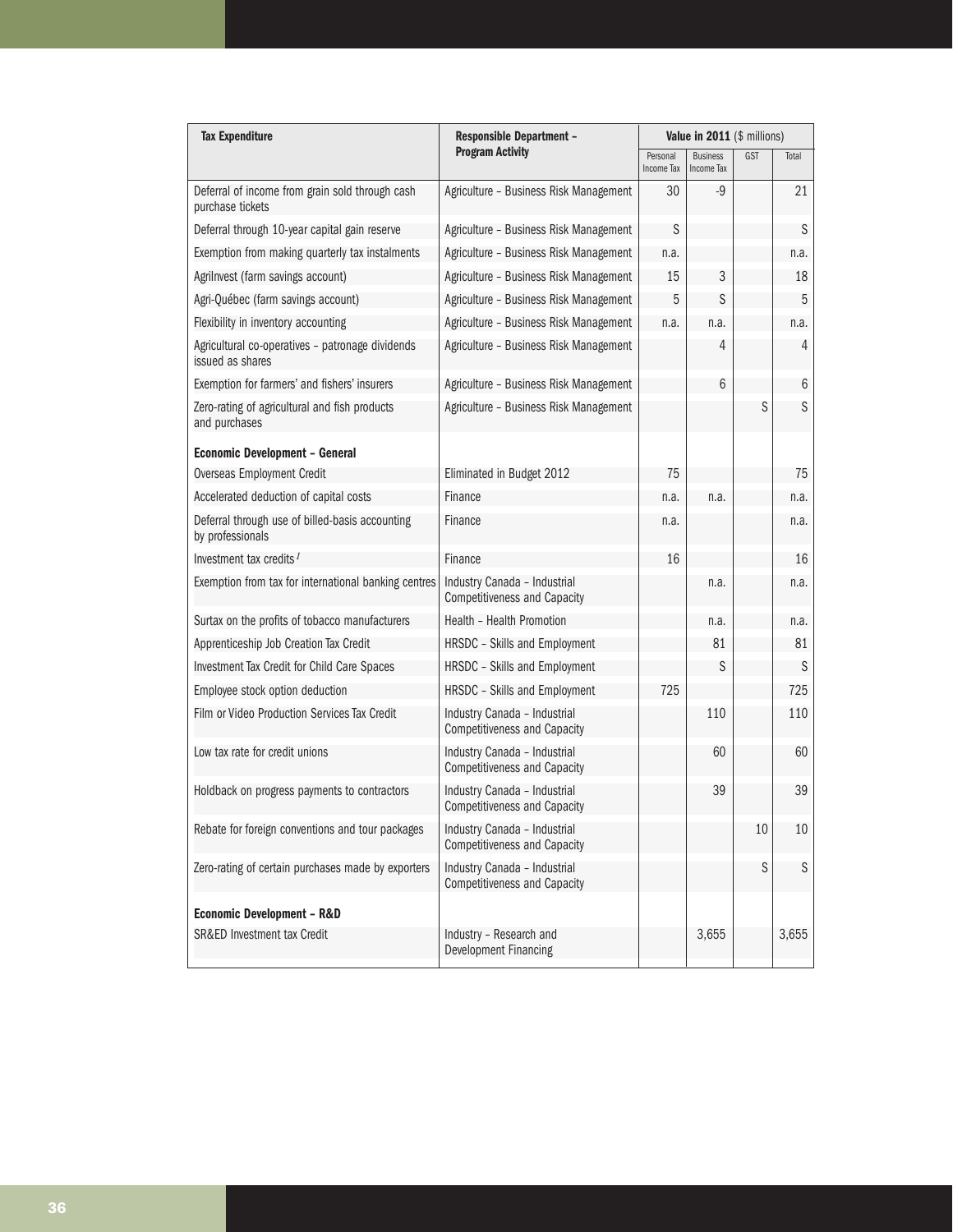| <b>Tax Expenditure</b>                                               | <b>Responsible Department -</b>                                     | Value in 2011 (\$ millions)   |                               |            |       |
|----------------------------------------------------------------------|---------------------------------------------------------------------|-------------------------------|-------------------------------|------------|-------|
|                                                                      | <b>Program Activity</b>                                             | Personal<br><b>Income Tax</b> | <b>Business</b><br>Income Tax | <b>GST</b> | Total |
| Deferral of income from grain sold through cash<br>purchase tickets  | Agriculture - Business Risk Management                              | 30                            | $-9$                          |            | 21    |
| Deferral through 10-year capital gain reserve                        | Agriculture - Business Risk Management                              | S                             |                               |            | S     |
| Exemption from making quarterly tax instalments                      | Agriculture - Business Risk Management                              | n.a.                          |                               |            | n.a.  |
| Agrilnvest (farm savings account)                                    | Agriculture - Business Risk Management                              | 15                            | 3                             |            | 18    |
| Agri-Québec (farm savings account)                                   | Agriculture - Business Risk Management                              | 5                             | S                             |            | 5     |
| Flexibility in inventory accounting                                  | Agriculture - Business Risk Management                              | n.a.                          | n.a.                          |            | n.a.  |
| Agricultural co-operatives - patronage dividends<br>issued as shares | Agriculture - Business Risk Management                              |                               | 4                             |            | 4     |
| Exemption for farmers' and fishers' insurers                         | Agriculture - Business Risk Management                              |                               | 6                             |            | 6     |
| Zero-rating of agricultural and fish products<br>and purchases       | Agriculture - Business Risk Management                              |                               |                               | S          | S     |
| <b>Economic Development - General</b>                                |                                                                     |                               |                               |            |       |
| <b>Overseas Employment Credit</b>                                    | Eliminated in Budget 2012                                           | 75                            |                               |            | 75    |
| Accelerated deduction of capital costs                               | Finance                                                             | n.a.                          | n.a.                          |            | n.a.  |
| Deferral through use of billed-basis accounting<br>by professionals  | Finance                                                             | n.a.                          |                               |            | n.a.  |
| Investment tax credits $I$                                           | Finance                                                             | 16                            |                               |            | 16    |
| Exemption from tax for international banking centres                 | Industry Canada - Industrial<br><b>Competitiveness and Capacity</b> |                               | n.a.                          |            | n.a.  |
| Surtax on the profits of tobacco manufacturers                       | Health - Health Promotion                                           |                               | n.a.                          |            | n.a.  |
| Apprenticeship Job Creation Tax Credit                               | HRSDC - Skills and Employment                                       |                               | 81                            |            | 81    |
| Investment Tax Credit for Child Care Spaces                          | HRSDC - Skills and Employment                                       |                               | S                             |            | S     |
| Employee stock option deduction                                      | HRSDC - Skills and Employment                                       | 725                           |                               |            | 725   |
| Film or Video Production Services Tax Credit                         | Industry Canada - Industrial<br><b>Competitiveness and Capacity</b> |                               | 110                           |            | 110   |
| Low tax rate for credit unions                                       | Industry Canada - Industrial<br><b>Competitiveness and Capacity</b> |                               | 60                            |            | 60    |
| Holdback on progress payments to contractors                         | Industry Canada - Industrial<br><b>Competitiveness and Capacity</b> |                               | 39                            |            | 39    |
| Rebate for foreign conventions and tour packages                     | Industry Canada - Industrial<br><b>Competitiveness and Capacity</b> |                               |                               | 10         | 10    |
| Zero-rating of certain purchases made by exporters                   | Industry Canada - Industrial<br><b>Competitiveness and Capacity</b> |                               |                               | S          | S     |
| <b>Economic Development - R&amp;D</b>                                |                                                                     |                               |                               |            |       |
| SR&ED Investment tax Credit                                          | Industry - Research and<br>Development Financing                    |                               | 3,655                         |            | 3,655 |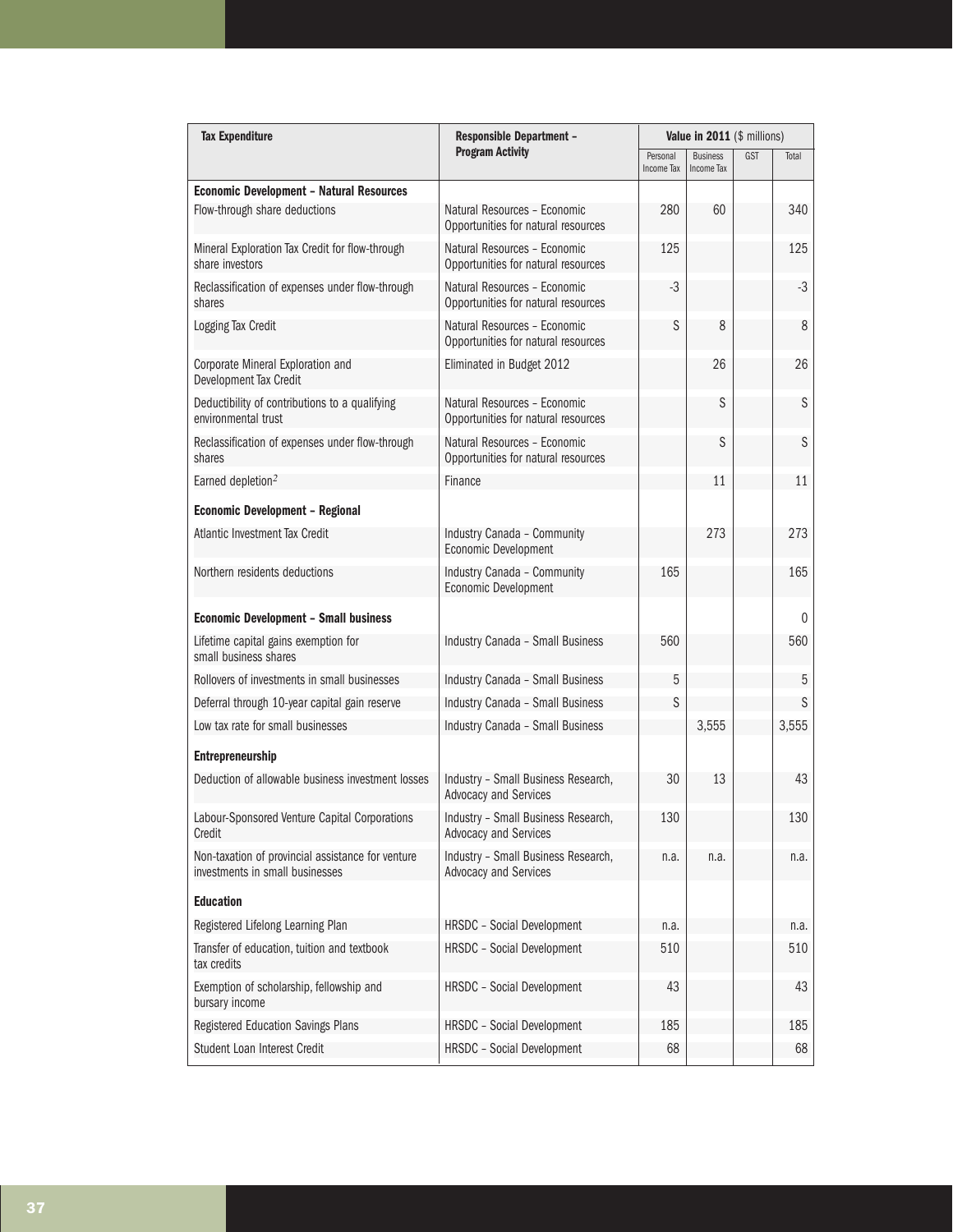| <b>Tax Expenditure</b>                                                               | <b>Responsible Department -</b><br><b>Program Activity</b>          | Value in 2011 (\$ millions) |                               |     |              |
|--------------------------------------------------------------------------------------|---------------------------------------------------------------------|-----------------------------|-------------------------------|-----|--------------|
|                                                                                      |                                                                     | Personal<br>Income Tax      | <b>Business</b><br>Income Tax | GST | Total        |
| <b>Economic Development - Natural Resources</b>                                      |                                                                     |                             |                               |     |              |
| Flow-through share deductions                                                        | Natural Resources - Economic<br>Opportunities for natural resources | 280                         | 60                            |     | 340          |
| Mineral Exploration Tax Credit for flow-through<br>share investors                   | Natural Resources - Economic<br>Opportunities for natural resources | 125                         |                               |     | 125          |
| Reclassification of expenses under flow-through<br>shares                            | Natural Resources - Economic<br>Opportunities for natural resources | $-3$                        |                               |     | $-3$         |
| Logging Tax Credit                                                                   | Natural Resources - Economic<br>Opportunities for natural resources | S                           | 8                             |     | 8            |
| Corporate Mineral Exploration and<br>Development Tax Credit                          | Eliminated in Budget 2012                                           |                             | 26                            |     | 26           |
| Deductibility of contributions to a qualifying<br>environmental trust                | Natural Resources - Economic<br>Opportunities for natural resources |                             | S                             |     | S            |
| Reclassification of expenses under flow-through<br>shares                            | Natural Resources - Economic<br>Opportunities for natural resources |                             | S                             |     | S            |
| Earned depletion <sup>2</sup>                                                        | Finance                                                             |                             | 11                            |     | 11           |
| <b>Economic Development - Regional</b>                                               |                                                                     |                             |                               |     |              |
| Atlantic Investment Tax Credit                                                       | Industry Canada - Community<br>Economic Development                 |                             | 273                           |     | 273          |
| Northern residents deductions                                                        | Industry Canada - Community<br>Economic Development                 | 165                         |                               |     | 165          |
| <b>Economic Development - Small business</b>                                         |                                                                     |                             |                               |     | $\mathbf{0}$ |
| Lifetime capital gains exemption for<br>small business shares                        | Industry Canada - Small Business                                    | 560                         |                               |     | 560          |
| Rollovers of investments in small businesses                                         | Industry Canada - Small Business                                    | 5                           |                               |     | 5            |
| Deferral through 10-year capital gain reserve                                        | Industry Canada - Small Business                                    | S                           |                               |     | S            |
| Low tax rate for small businesses                                                    | Industry Canada - Small Business                                    |                             | 3,555                         |     | 3,555        |
| <b>Entrepreneurship</b>                                                              |                                                                     |                             |                               |     |              |
| Deduction of allowable business investment losses                                    | Industry - Small Business Research,<br>Advocacy and Services        | 30                          | 13                            |     | 43           |
| Labour-Sponsored Venture Capital Corporations<br>Credit                              | Industry - Small Business Research,<br><b>Advocacy and Services</b> | 130                         |                               |     | 130          |
| Non-taxation of provincial assistance for venture<br>investments in small businesses | Industry - Small Business Research,<br><b>Advocacy and Services</b> | n.a.                        | n.a.                          |     | n.a.         |
| <b>Education</b>                                                                     |                                                                     |                             |                               |     |              |
| Registered Lifelong Learning Plan                                                    | <b>HRSDC</b> - Social Development                                   | n.a.                        |                               |     | n.a.         |
| Transfer of education, tuition and textbook<br>tax credits                           | HRSDC - Social Development                                          | 510                         |                               |     | 510          |
| Exemption of scholarship, fellowship and<br>bursary income                           | HRSDC - Social Development                                          | 43                          |                               |     | 43           |
| Registered Education Savings Plans                                                   | HRSDC - Social Development                                          | 185                         |                               |     | 185          |
| Student Loan Interest Credit                                                         | <b>HRSDC</b> - Social Development                                   | 68                          |                               |     | 68           |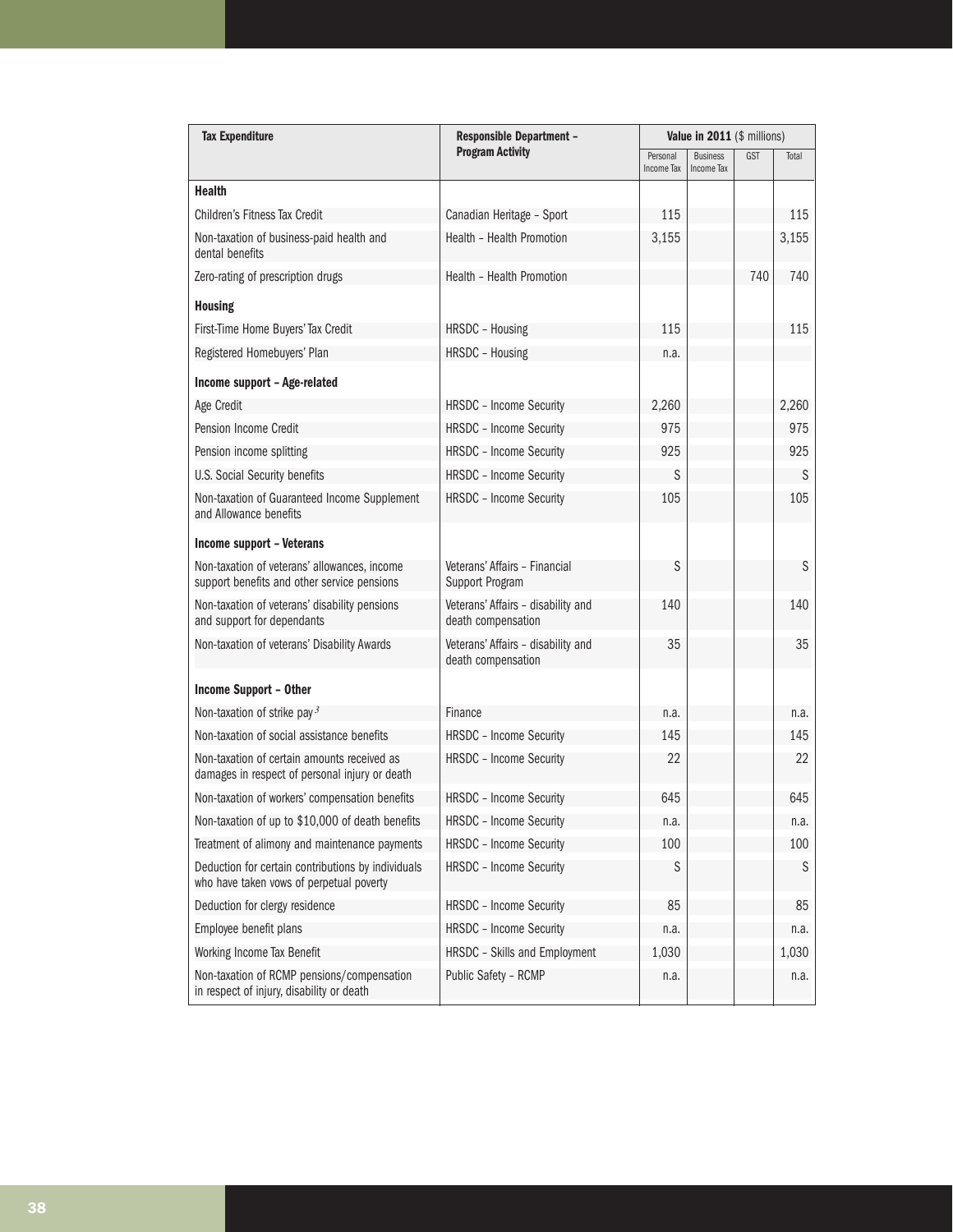| <b>Tax Expenditure</b>                                                                         | <b>Responsible Department -</b>                          | Value in 2011 (\$ millions)   |                               |     |       |  |
|------------------------------------------------------------------------------------------------|----------------------------------------------------------|-------------------------------|-------------------------------|-----|-------|--|
|                                                                                                | <b>Program Activity</b>                                  | Personal<br><b>Income Tax</b> | <b>Business</b><br>Income Tax | GST | Total |  |
| <b>Health</b>                                                                                  |                                                          |                               |                               |     |       |  |
| Children's Fitness Tax Credit                                                                  | Canadian Heritage - Sport                                | 115                           |                               |     | 115   |  |
| Non-taxation of business-paid health and<br>dental benefits                                    | Health - Health Promotion                                | 3,155                         |                               |     | 3,155 |  |
| Zero-rating of prescription drugs                                                              | Health - Health Promotion                                |                               |                               | 740 | 740   |  |
| <b>Housing</b>                                                                                 |                                                          |                               |                               |     |       |  |
| First-Time Home Buyers' Tax Credit                                                             | HRSDC - Housing                                          | 115                           |                               |     | 115   |  |
| Registered Homebuyers' Plan                                                                    | HRSDC - Housing                                          | n.a.                          |                               |     |       |  |
| Income support - Age-related                                                                   |                                                          |                               |                               |     |       |  |
| Age Credit                                                                                     | <b>HRSDC</b> - Income Security                           | 2,260                         |                               |     | 2,260 |  |
| Pension Income Credit                                                                          | <b>HRSDC - Income Security</b>                           | 975                           |                               |     | 975   |  |
| Pension income splitting                                                                       | <b>HRSDC - Income Security</b>                           | 925                           |                               |     | 925   |  |
| U.S. Social Security benefits                                                                  | <b>HRSDC</b> - Income Security                           | S                             |                               |     | S     |  |
| Non-taxation of Guaranteed Income Supplement<br>and Allowance benefits                         | <b>HRSDC</b> - Income Security                           | 105                           |                               |     | 105   |  |
| Income support - Veterans                                                                      |                                                          |                               |                               |     |       |  |
| Non-taxation of veterans' allowances, income<br>support benefits and other service pensions    | Veterans' Affairs - Financial<br>Support Program         | S                             |                               |     | S     |  |
| Non-taxation of veterans' disability pensions<br>and support for dependants                    | Veterans' Affairs - disability and<br>death compensation | 140                           |                               |     | 140   |  |
| Non-taxation of veterans' Disability Awards                                                    | Veterans' Affairs - disability and<br>death compensation | 35                            |                               |     | 35    |  |
| <b>Income Support - Other</b>                                                                  |                                                          |                               |                               |     |       |  |
| Non-taxation of strike pay $3$                                                                 | Finance                                                  | n.a.                          |                               |     | n.a.  |  |
| Non-taxation of social assistance benefits                                                     | <b>HRSDC - Income Security</b>                           | 145                           |                               |     | 145   |  |
| Non-taxation of certain amounts received as<br>damages in respect of personal injury or death  | <b>HRSDC</b> - Income Security                           | 22                            |                               |     | 22    |  |
| Non-taxation of workers' compensation benefits                                                 | <b>HRSDC</b> - Income Security                           | 645                           |                               |     | 645   |  |
| Non-taxation of up to \$10,000 of death benefits                                               | HRSDC - Income Security                                  | n.a.                          |                               |     | n.a.  |  |
| Treatment of alimony and maintenance payments                                                  | <b>HRSDC</b> - Income Security                           | 100                           |                               |     | 100   |  |
| Deduction for certain contributions by individuals<br>who have taken vows of perpetual poverty | HRSDC - Income Security                                  | S                             |                               |     | S     |  |
| Deduction for clergy residence                                                                 | HRSDC - Income Security                                  | 85                            |                               |     | 85    |  |
| Employee benefit plans                                                                         | <b>HRSDC</b> - Income Security                           | n.a.                          |                               |     | n.a.  |  |
| Working Income Tax Benefit                                                                     | HRSDC - Skills and Employment                            | 1,030                         |                               |     | 1,030 |  |
| Non-taxation of RCMP pensions/compensation<br>in respect of injury, disability or death        | Public Safety - RCMP                                     | n.a.                          |                               |     | n.a.  |  |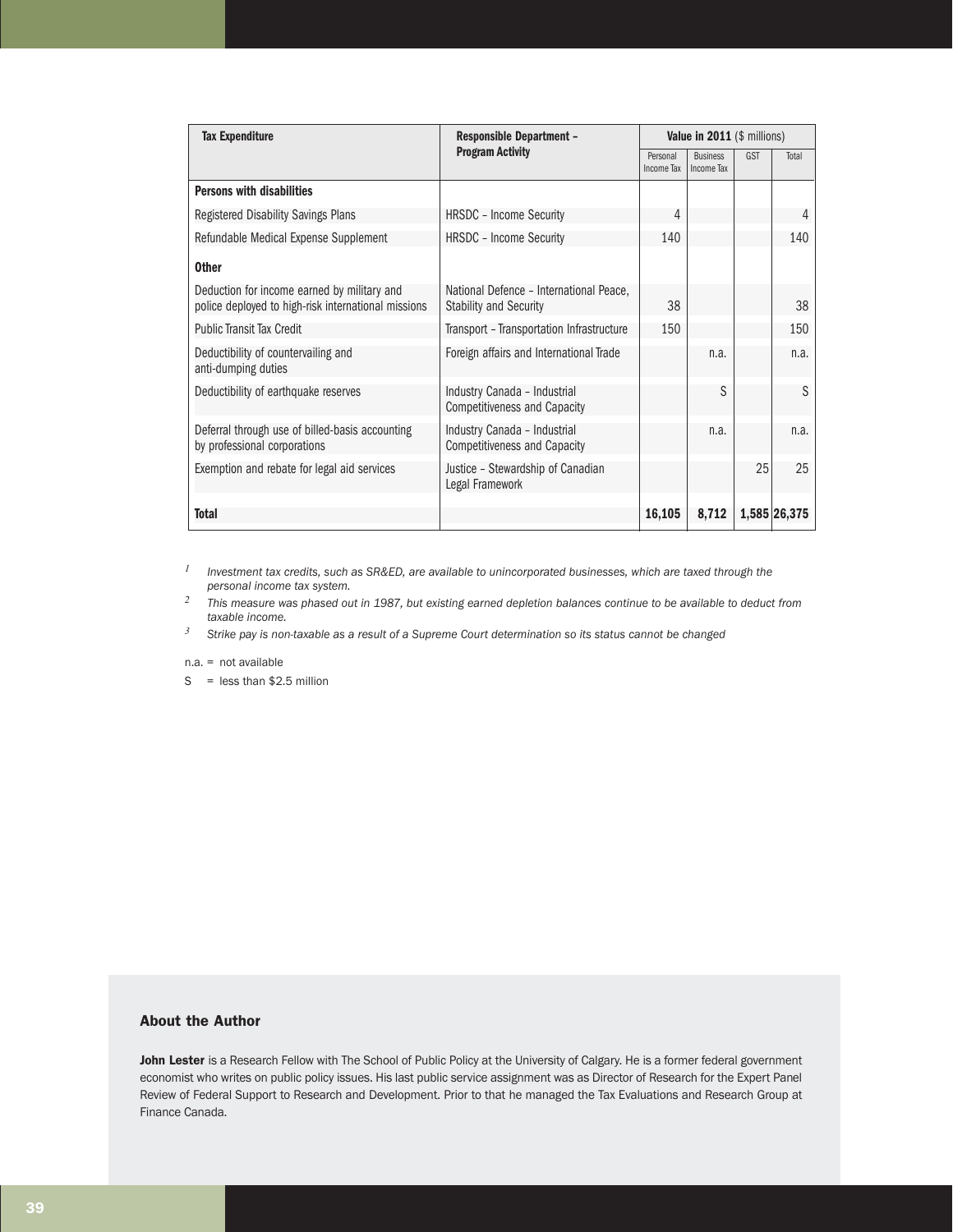| <b>Tax Expenditure</b><br><b>Responsible Department -</b>                                          |                                                                          | Value in 2011 (\$ millions) |                               |     |              |
|----------------------------------------------------------------------------------------------------|--------------------------------------------------------------------------|-----------------------------|-------------------------------|-----|--------------|
|                                                                                                    | <b>Program Activity</b>                                                  | Personal<br>Income Tax      | <b>Business</b><br>Income Tax | GST | Total        |
| <b>Persons with disabilities</b>                                                                   |                                                                          |                             |                               |     |              |
| Registered Disability Savings Plans                                                                | <b>HRSDC</b> - Income Security                                           | 4                           |                               |     | 4            |
| Refundable Medical Expense Supplement                                                              | <b>HRSDC - Income Security</b>                                           | 140                         |                               |     | 140          |
| <b>Other</b>                                                                                       |                                                                          |                             |                               |     |              |
| Deduction for income earned by military and<br>police deployed to high-risk international missions | National Defence - International Peace,<br><b>Stability and Security</b> | 38                          |                               |     | 38           |
| <b>Public Transit Tax Credit</b>                                                                   | Transport - Transportation Infrastructure                                | 150                         |                               |     | 150          |
| Deductibility of countervailing and<br>anti-dumping duties                                         | Foreign affairs and International Trade                                  |                             | n.a.                          |     | n.a.         |
| Deductibility of earthquake reserves                                                               | Industry Canada - Industrial<br><b>Competitiveness and Capacity</b>      |                             | S                             |     | S            |
| Deferral through use of billed-basis accounting<br>by professional corporations                    | Industry Canada - Industrial<br><b>Competitiveness and Capacity</b>      |                             | n.a.                          |     | n.a.         |
| Exemption and rebate for legal aid services                                                        | Justice - Stewardship of Canadian<br>Legal Framework                     |                             |                               | 25  | 25           |
| Total                                                                                              |                                                                          | 16,105                      | 8,712                         |     | 1,585 26,375 |

*<sup>1</sup> Investment tax credits, such as SR&ED, are available to unincorporated businesses, which are taxed through the personal income tax system.*

*<sup>2</sup> This measure was phased out in 1987, but existing earned depletion balances continue to be available to deduct from taxable income.*

*<sup>3</sup> Strike pay is non-taxable as a result of a Supreme Court determination so its status cannot be changed* 

n.a. = not available

 $S =$  less than \$2.5 million

# About the Author

John Lester is a Research Fellow with The School of Public Policy at the University of Calgary. He is a former federal government economist who writes on public policy issues. His last public service assignment was as Director of Research for the Expert Panel Review of Federal Support to Research and Development. Prior to that he managed the Tax Evaluations and Research Group at Finance Canada.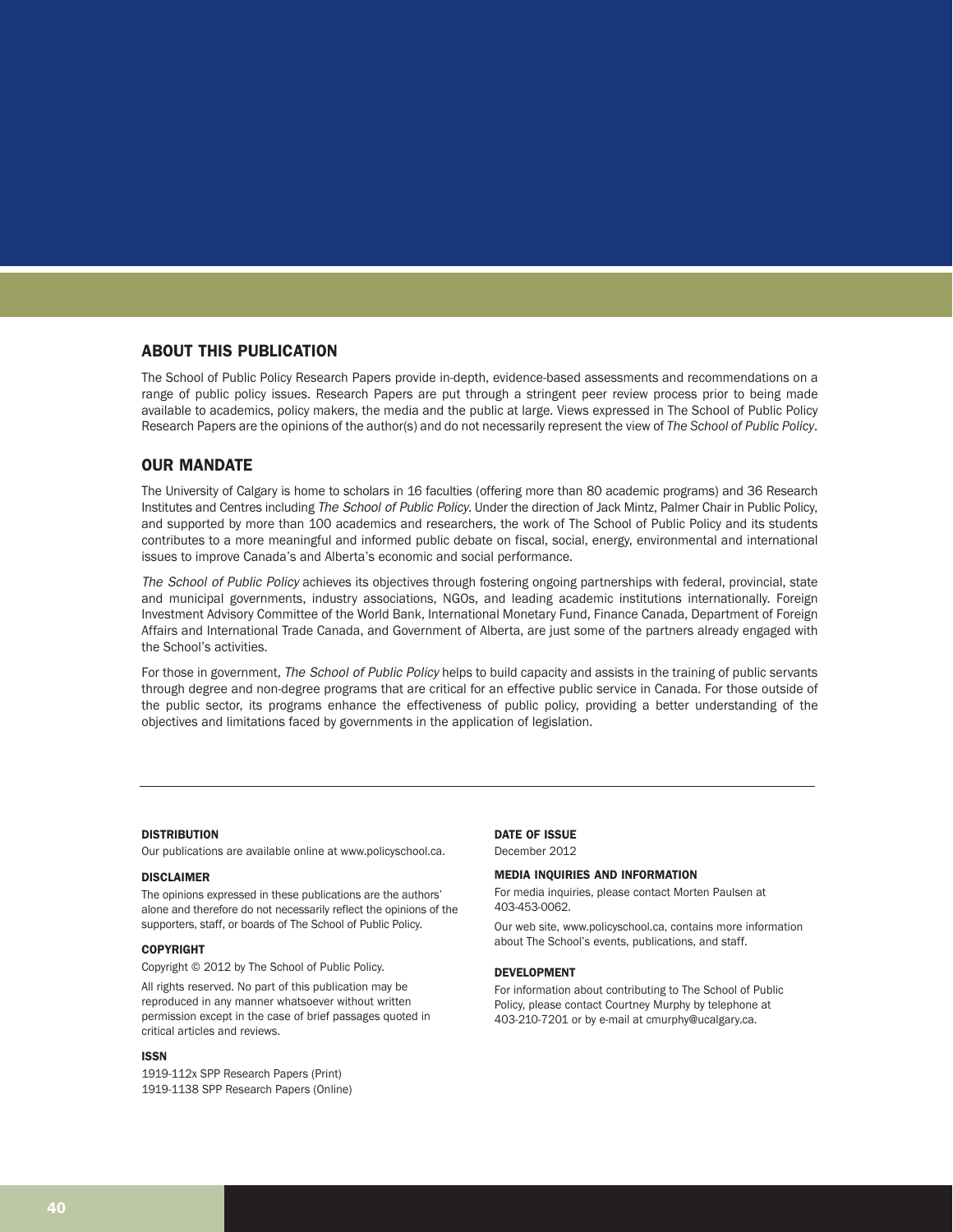# ABOUT THIS PUBLICATION

The School of Public Policy Research Papers provide in-depth, evidence-based assessments and recommendations on a range of public policy issues. Research Papers are put through a stringent peer review process prior to being made available to academics, policy makers, the media and the public at large. Views expressed in The School of Public Policy Research Papers are the opinions of the author(s) and do not necessarily represent the view of *The School of Public Policy*.

#### OUR MANDATE

The University of Calgary is home to scholars in 16 faculties (offering more than 80 academic programs) and 36 Research Institutes and Centres including The School of Public Policy. Under the direction of Jack Mintz, Palmer Chair in Public Policy, and supported by more than 100 academics and researchers, the work of The School of Public Policy and its students contributes to a more meaningful and informed public debate on fiscal, social, energy, environmental and international issues to improve Canada's and Alberta's economic and social performance.

The School of Public Policy achieves its objectives through fostering ongoing partnerships with federal, provincial, state and municipal governments, industry associations, NGOs, and leading academic institutions internationally. Foreign Investment Advisory Committee of the World Bank, International Monetary Fund, Finance Canada, Department of Foreign Affairs and International Trade Canada, and Government of Alberta, are just some of the partners already engaged with the School's activities.

For those in government, The School of Public Policy helps to build capacity and assists in the training of public servants through degree and non-degree programs that are critical for an effective public service in Canada. For those outside of the public sector, its programs enhance the effectiveness of public policy, providing a better understanding of the objectives and limitations faced by governments in the application of legislation.

#### **DISTRIBUTION**

Our publications are available online at www.policyschool.ca.

#### DISCLAIMER

The opinions expressed in these publications are the authors' alone and therefore do not necessarily reflect the opinions of the supporters, staff, or boards of The School of Public Policy.

#### COPYRIGHT

Copyright © 2012 by The School of Public Policy.

All rights reserved. No part of this publication may be reproduced in any manner whatsoever without written permission except in the case of brief passages quoted in critical articles and reviews.

#### ISSN

1919-112x SPP Research Papers (Print) 1919-1138 SPP Research Papers (Online)

#### DATE OF ISSUE

December 2012

#### MEDIA INQUIRIES AND INFORMATION

For media inquiries, please contact Morten Paulsen at 403-453-0062.

Our web site, www.policyschool.ca, contains more information about The School's events, publications, and staff.

#### DEVELOPMENT

For information about contributing to The School of Public Policy, please contact Courtney Murphy by telephone at 403-210-7201 or by e-mail at cmurphy@ucalgary.ca.